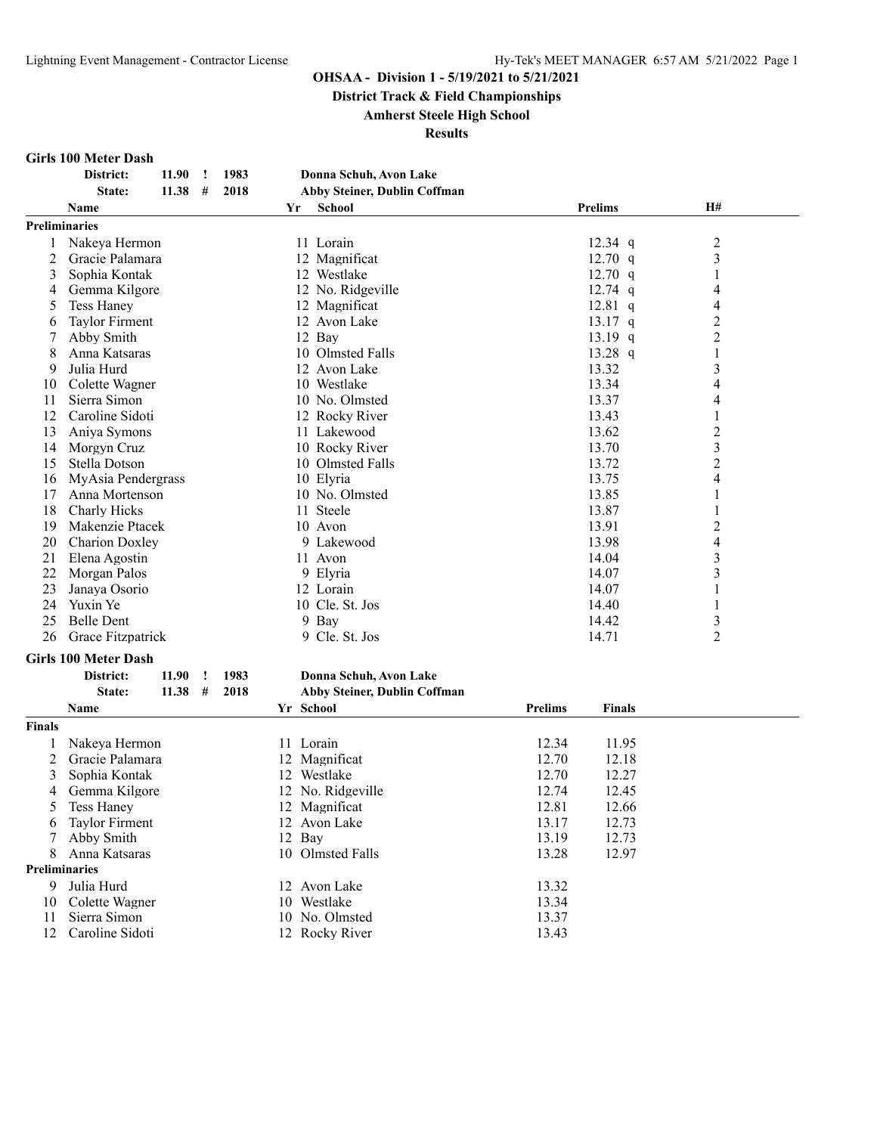**District Track & Field Championships**

**Amherst Steele High School**

**Results**

#### **Girls 100 Meter Dash**

6 Taylor Firment

10 Colette Wagner

**Preliminaries**

|               | District:<br>1983<br>11.90<br>$\mathbf{I}$ | Donna Schuh, Avon Lake              |                                 |                          |  |
|---------------|--------------------------------------------|-------------------------------------|---------------------------------|--------------------------|--|
|               | 2018<br>State:<br>11.38<br>#               | <b>Abby Steiner, Dublin Coffman</b> |                                 |                          |  |
|               | Name                                       | <b>School</b><br>Yr                 | <b>Prelims</b>                  | H#                       |  |
|               | <b>Preliminaries</b>                       |                                     |                                 |                          |  |
| 1             | Nakeya Hermon                              | 11 Lorain                           | $12.34$ q                       | 2                        |  |
| 2             | Gracie Palamara                            | 12 Magnificat                       | $12.70$ q                       | 3                        |  |
| 3             | Sophia Kontak                              | 12 Westlake                         | $12.70$ q                       | 1                        |  |
| 4             | Gemma Kilgore                              | 12 No. Ridgeville                   | $12.74$ q                       | 4                        |  |
| 5             | <b>Tess Haney</b>                          | 12 Magnificat                       | $12.81$ q                       | 4                        |  |
| 6             | <b>Taylor Firment</b>                      | 12 Avon Lake                        | $13.17$ q                       | $\overline{c}$           |  |
| 7             | Abby Smith                                 | 12 Bay                              | 13.19 $q$                       | $\overline{c}$           |  |
| 8             | Anna Katsaras                              | 10 Olmsted Falls                    | 13.28 $q$                       | 1                        |  |
| 9             | Julia Hurd                                 | 12 Avon Lake                        | 13.32                           | $\overline{\mathbf{3}}$  |  |
| 10            | Colette Wagner                             | 10 Westlake                         | 13.34                           | $\overline{\mathcal{A}}$ |  |
| 11            | Sierra Simon                               | 10 No. Olmsted                      | 13.37                           | 4                        |  |
| 12            | Caroline Sidoti                            | 12 Rocky River                      | 13.43                           | 1                        |  |
| 13            | Aniya Symons                               | 11 Lakewood                         | 13.62                           | $\overline{c}$           |  |
| 14            | Morgyn Cruz                                | 10 Rocky River                      | 13.70                           | $\overline{\mathbf{3}}$  |  |
| 15            | Stella Dotson                              | 10 Olmsted Falls                    | 13.72                           | $\overline{2}$           |  |
| 16            | MyAsia Pendergrass                         | 10 Elyria                           | 13.75                           | 4                        |  |
| 17            | Anna Mortenson                             | 10 No. Olmsted                      | 13.85                           | 1                        |  |
| 18            | Charly Hicks                               | 11 Steele                           | 13.87                           | 1                        |  |
| 19            | Makenzie Ptacek                            | 10 Avon                             | 13.91                           | $\overline{c}$           |  |
| 20            | <b>Charion Doxley</b>                      | 9 Lakewood                          | 13.98                           | 4                        |  |
| 21            | Elena Agostin                              | 11 Avon                             | 14.04                           | 3                        |  |
| 22            | Morgan Palos                               | 9 Elyria                            | 14.07                           | $\overline{\mathbf{3}}$  |  |
| 23            | Janaya Osorio                              | 12 Lorain                           | 14.07                           | 1                        |  |
| 24            | Yuxin Ye                                   | 10 Cle. St. Jos                     | 14.40                           | 1                        |  |
| 25            | <b>Belle Dent</b>                          | 9 Bay                               | 14.42                           | 3                        |  |
| 26            | Grace Fitzpatrick                          | 9 Cle. St. Jos                      | 14.71                           | $\overline{2}$           |  |
|               | <b>Girls 100 Meter Dash</b>                |                                     |                                 |                          |  |
|               | District:<br>11.90<br>1983<br>$\mathbf{I}$ | Donna Schuh, Avon Lake              |                                 |                          |  |
|               | State:<br>11.38<br>#<br>2018               | <b>Abby Steiner, Dublin Coffman</b> |                                 |                          |  |
|               | <b>Name</b>                                | Yr School                           | <b>Prelims</b><br><b>Finals</b> |                          |  |
|               |                                            |                                     |                                 |                          |  |
| <b>Finals</b> |                                            |                                     |                                 |                          |  |
| 1             | Nakeya Hermon                              | 11 Lorain                           | 12.34<br>11.95                  |                          |  |
| 2             | Gracie Palamara                            | 12 Magnificat                       | 12.70<br>12.18                  |                          |  |
| 3             | Sophia Kontak                              | 12 Westlake                         | 12.70<br>12.27                  |                          |  |
| 4             | Gemma Kilgore                              | 12 No. Ridgeville                   | 12.74<br>12.45                  |                          |  |
| 5             | <b>Tess Haney</b>                          | 12 Magnificat                       | 12.81<br>12.66                  |                          |  |
| 6             | <b>Taylor Firment</b>                      | 12 Avon Lake                        | 13.17<br>12.73                  |                          |  |

 Abby Smith 12 Bay 13.19 12.73 Anna Katsaras 10 Olmsted Falls 13.28 12.97

9 Julia Hurd 12 Avon Lake 13.32<br>10 Colette Wagner 10 Westlake 13.34

11 Sierra Simon 10 No. Olmsted 13.37 Caroline Sidoti 12 Rocky River 13.43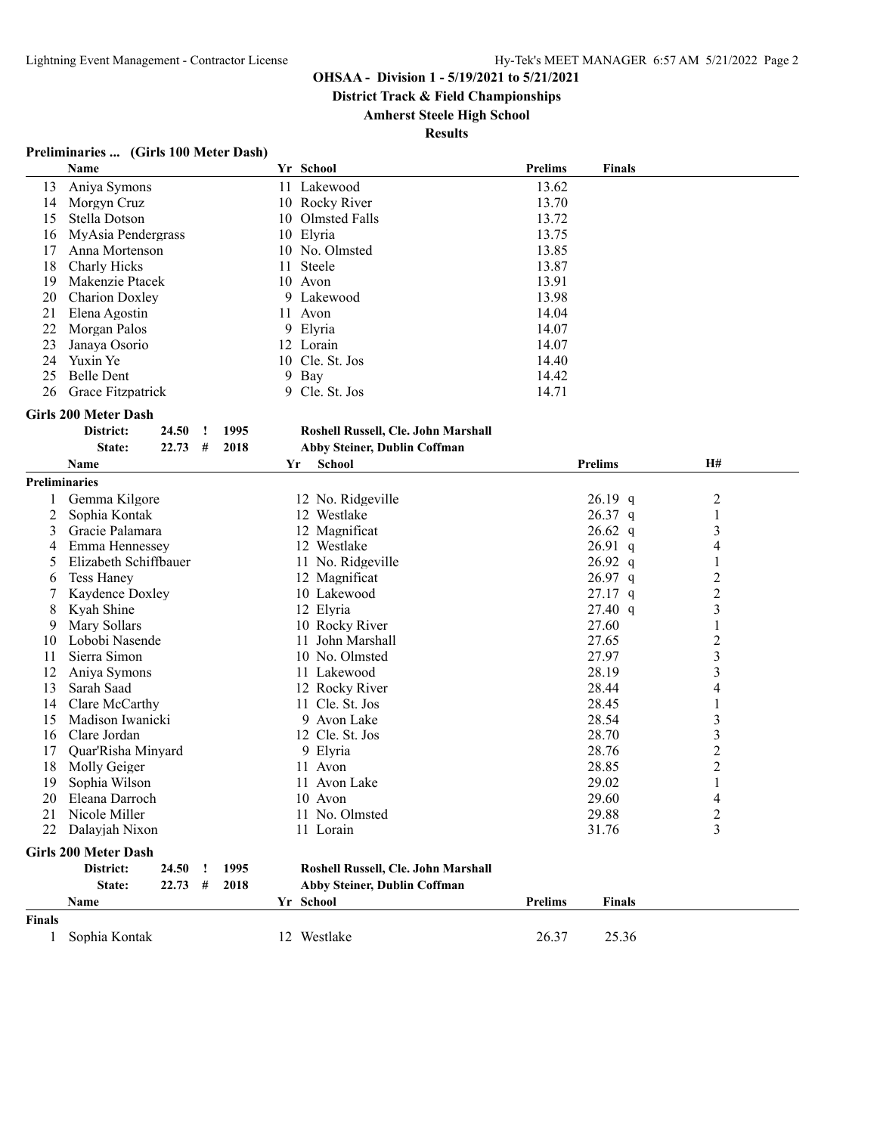**District Track & Field Championships**

**Amherst Steele High School**

**Results**

# **Preliminaries ... (Girls 100 Meter Dash)**

|                      | Name                        |                      | Yr School                           | <b>Prelims</b> | <b>Finals</b>  |                          |
|----------------------|-----------------------------|----------------------|-------------------------------------|----------------|----------------|--------------------------|
| 13                   | Aniya Symons                |                      | 11 Lakewood                         | 13.62          |                |                          |
| 14                   | Morgyn Cruz                 |                      | 10 Rocky River                      | 13.70          |                |                          |
| 15                   | Stella Dotson               |                      | 10 Olmsted Falls                    | 13.72          |                |                          |
| 16                   | MyAsia Pendergrass          |                      | 10 Elyria                           | 13.75          |                |                          |
| 17                   | Anna Mortenson              |                      | 10 No. Olmsted                      | 13.85          |                |                          |
| 18                   | Charly Hicks                |                      | Steele<br>11                        | 13.87          |                |                          |
| 19                   | Makenzie Ptacek             |                      | 10 Avon                             | 13.91          |                |                          |
| 20                   | Charion Doxley              |                      | 9 Lakewood                          | 13.98          |                |                          |
| 21                   | Elena Agostin               |                      | 11 Avon                             | 14.04          |                |                          |
| 22                   | Morgan Palos                |                      | 9 Elyria                            | 14.07          |                |                          |
| 23                   | Janaya Osorio               |                      | 12 Lorain                           | 14.07          |                |                          |
| 24                   | Yuxin Ye                    |                      | 10 Cle. St. Jos                     | 14.40          |                |                          |
| 25                   | <b>Belle Dent</b>           |                      | 9 Bay                               |                |                |                          |
|                      |                             |                      |                                     | 14.42          |                |                          |
| 26                   | Grace Fitzpatrick           |                      | 9 Cle. St. Jos                      | 14.71          |                |                          |
|                      | <b>Girls 200 Meter Dash</b> |                      |                                     |                |                |                          |
|                      | District:<br>24.50          | 1995<br>$\mathbf{I}$ | Roshell Russell, Cle. John Marshall |                |                |                          |
|                      | State:<br>22.73             | #<br>2018            | Abby Steiner, Dublin Coffman        |                |                |                          |
|                      | Name                        |                      | <b>School</b><br>Yr                 |                | <b>Prelims</b> | <b>H#</b>                |
| <b>Preliminaries</b> |                             |                      |                                     |                |                |                          |
|                      | Gemma Kilgore               |                      | 12 No. Ridgeville                   |                | $26.19$ q      | $\overline{c}$           |
| 2                    | Sophia Kontak               |                      | 12 Westlake                         |                | 26.37 q        | 1                        |
| 3                    | Gracie Palamara             |                      | 12 Magnificat                       |                | $26.62\ q$     |                          |
|                      |                             |                      |                                     |                |                | $\mathfrak{Z}$           |
| 4                    | Emma Hennessey              |                      | 12 Westlake                         |                | $26.91\ q$     | 4                        |
| 5                    | Elizabeth Schiffbauer       |                      | 11 No. Ridgeville                   |                | $26.92$ q      | 1                        |
| 6                    | <b>Tess Haney</b>           |                      | 12 Magnificat                       |                | 26.97 q        | $\overline{c}$           |
| 7                    | Kaydence Doxley             |                      | 10 Lakewood                         |                | $27.17$ q      | $\overline{c}$           |
| 8                    | Kyah Shine                  |                      | 12 Elyria                           |                | 27.40 q        | $\mathfrak{Z}$           |
| 9                    | Mary Sollars                |                      | 10 Rocky River                      |                | 27.60          | 1                        |
| 10                   | Lobobi Nasende              |                      | 11 John Marshall                    |                | 27.65          | $\overline{c}$           |
| 11                   | Sierra Simon                |                      | 10 No. Olmsted                      |                | 27.97          | 3                        |
| 12                   | Aniya Symons                |                      | 11 Lakewood                         |                | 28.19          | 3                        |
| 13                   | Sarah Saad                  |                      | 12 Rocky River                      |                | 28.44          | $\overline{\mathcal{A}}$ |
| 14                   | Clare McCarthy              |                      | 11 Cle. St. Jos                     |                | 28.45          | $\mathbf{1}$             |
| 15                   | Madison Iwanicki            |                      | 9 Avon Lake                         |                | 28.54          | $\mathfrak{Z}$           |
| 16                   | Clare Jordan                |                      | 12 Cle. St. Jos                     |                | 28.70          | $\mathfrak{Z}$           |
| 17                   | Quar'Risha Minyard          |                      | 9 Elyria                            |                | 28.76          | $\overline{c}$           |
| 18                   | Molly Geiger                |                      | 11 Avon                             |                | 28.85          | $\overline{c}$           |
| 19                   | Sophia Wilson               |                      | 11 Avon Lake                        |                | 29.02          | $\mathbf{1}$             |
| 20                   | Eleana Darroch              |                      | 10 Avon                             |                | 29.60          | 4                        |
|                      | 21 Nicole Miller            |                      | 11 No. Olmsted                      |                | 29.88          | $\overline{\mathbf{c}}$  |
| 22                   | Dalayjah Nixon              |                      | 11 Lorain                           |                | 31.76          | 3                        |
|                      |                             |                      |                                     |                |                |                          |
|                      | <b>Girls 200 Meter Dash</b> |                      |                                     |                |                |                          |
|                      | District:<br>24.50          | 1995<br>Ţ            | Roshell Russell, Cle. John Marshall |                |                |                          |
|                      | State:<br>22.73             | 2018<br>#            | Abby Steiner, Dublin Coffman        |                |                |                          |
|                      | Name                        |                      | Yr School                           | <b>Prelims</b> | <b>Finals</b>  |                          |
| <b>Finals</b>        |                             |                      |                                     |                |                |                          |
| $\mathbf{1}$         | Sophia Kontak               |                      | 12 Westlake                         | 26.37          | 25.36          |                          |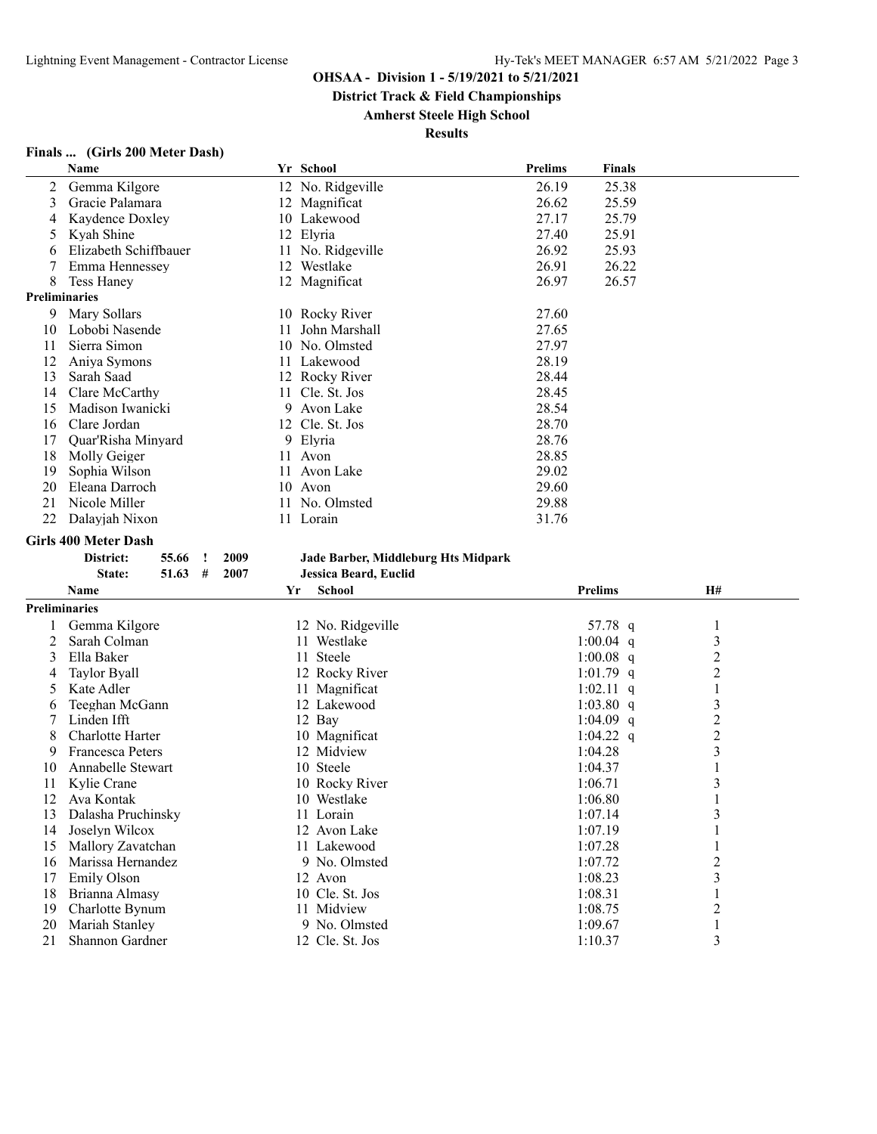**District Track & Field Championships**

# **Amherst Steele High School**

|                      | Name                                  | Yr School                           | Prelims | <b>Finals</b>      |                         |
|----------------------|---------------------------------------|-------------------------------------|---------|--------------------|-------------------------|
| 2                    | Gemma Kilgore                         | 12 No. Ridgeville                   | 26.19   | 25.38              |                         |
| 3                    | Gracie Palamara                       | 12 Magnificat                       | 26.62   | 25.59              |                         |
| 4                    | Kaydence Doxley                       | 10 Lakewood                         | 27.17   | 25.79              |                         |
| 5                    | Kyah Shine                            | 12 Elyria                           | 27.40   | 25.91              |                         |
| 6                    | Elizabeth Schiffbauer                 | 11 No. Ridgeville                   | 26.92   | 25.93              |                         |
| 7                    | Emma Hennessey                        | 12 Westlake                         | 26.91   | 26.22              |                         |
| 8                    | <b>Tess Haney</b>                     | 12 Magnificat                       | 26.97   | 26.57              |                         |
| <b>Preliminaries</b> |                                       |                                     |         |                    |                         |
| 9                    | Mary Sollars                          | 10 Rocky River                      | 27.60   |                    |                         |
| 10                   | Lobobi Nasende                        | John Marshall<br>11                 | 27.65   |                    |                         |
| 11                   | Sierra Simon                          | 10 No. Olmsted                      | 27.97   |                    |                         |
| 12                   | Aniya Symons                          | Lakewood<br>11                      | 28.19   |                    |                         |
| 13                   | Sarah Saad                            | 12 Rocky River                      | 28.44   |                    |                         |
| 14                   | Clare McCarthy                        | Cle. St. Jos<br>11                  | 28.45   |                    |                         |
| 15                   | Madison Iwanicki                      | 9 Avon Lake                         | 28.54   |                    |                         |
| 16                   | Clare Jordan                          | 12 Cle. St. Jos                     | 28.70   |                    |                         |
| 17                   | Quar'Risha Minyard                    | Elyria<br>9                         | 28.76   |                    |                         |
| 18                   | Molly Geiger                          | Avon<br>11                          | 28.85   |                    |                         |
| 19                   | Sophia Wilson                         | Avon Lake<br>11                     | 29.02   |                    |                         |
| 20                   | Eleana Darroch                        | 10<br>Avon                          | 29.60   |                    |                         |
| 21                   | Nicole Miller                         | No. Olmsted<br>11                   | 29.88   |                    |                         |
| 22                   | Dalayjah Nixon                        | 11 Lorain                           | 31.76   |                    |                         |
|                      |                                       |                                     |         |                    |                         |
|                      | <b>Girls 400 Meter Dash</b>           |                                     |         |                    |                         |
|                      | 2009<br>District:<br>55.66<br>$\cdot$ | Jade Barber, Middleburg Hts Midpark |         |                    |                         |
|                      | State:<br>$51.63$ #<br>2007           | Jessica Beard, Euclid               |         |                    |                         |
|                      | Name                                  | <b>School</b><br>Yr                 |         | <b>Prelims</b>     | H#                      |
| <b>Preliminaries</b> |                                       |                                     |         |                    |                         |
| 1                    | Gemma Kilgore                         | 12 No. Ridgeville                   |         | 57.78 q            | 1                       |
| 2                    | Sarah Colman                          | 11 Westlake                         |         | 1:00.04 $q$        | 3                       |
| 3                    | Ella Baker                            | 11 Steele                           |         | 1:00.08 $q$        | $\overline{c}$          |
| 4                    | <b>Taylor Byall</b>                   | 12 Rocky River                      |         | 1:01.79 q          | $\overline{c}$          |
| 5                    | Kate Adler                            | 11 Magnificat                       |         | $1:02.11$ q        | $\mathbf{1}$            |
| 6                    | Teeghan McGann                        | 12 Lakewood                         |         | $1:03.80$ q        | $\mathfrak{Z}$          |
| 7                    |                                       |                                     |         |                    |                         |
| 8                    |                                       |                                     |         |                    |                         |
| 9                    | Linden Ifft                           | 12 Bay                              |         | 1:04.09 $q$        | $\overline{\mathbf{c}}$ |
| 10                   | Charlotte Harter                      | 10 Magnificat                       |         | 1:04.22 $q$        | $\overline{\mathbf{c}}$ |
|                      | <b>Francesca Peters</b>               | 12 Midview                          |         | 1:04.28            | 3                       |
|                      | Annabelle Stewart                     | 10 Steele                           |         | 1:04.37            | $\mathbf{1}$            |
| 11                   | Kylie Crane                           | 10 Rocky River                      |         | 1:06.71            | 3                       |
| 12                   | Ava Kontak                            | 10 Westlake                         |         | 1:06.80            | 1                       |
| 13                   | Dalasha Pruchinsky                    | 11 Lorain                           |         | 1:07.14            | 3                       |
| 14                   | Joselyn Wilcox                        | 12 Avon Lake                        |         | 1:07.19            | 1                       |
| 15                   | Mallory Zavatchan                     | 11 Lakewood                         |         | 1:07.28            | 1                       |
| 16                   | Marissa Hernandez                     | 9 No. Olmsted                       |         | 1:07.72            | $\overline{c}$          |
| 17                   | Emily Olson                           | 12 Avon                             |         | 1:08.23            | 3                       |
| 18                   | Brianna Almasy                        | 10 Cle. St. Jos                     |         | 1:08.31            | $\mathbf{1}$            |
| 19                   | Charlotte Bynum                       | 11 Midview                          |         | 1:08.75            | $\overline{c}$          |
| 20<br>21             | Mariah Stanley<br>Shannon Gardner     | 9 No. Olmsted<br>12 Cle. St. Jos    |         | 1:09.67<br>1:10.37 | $\mathbf{1}$<br>3       |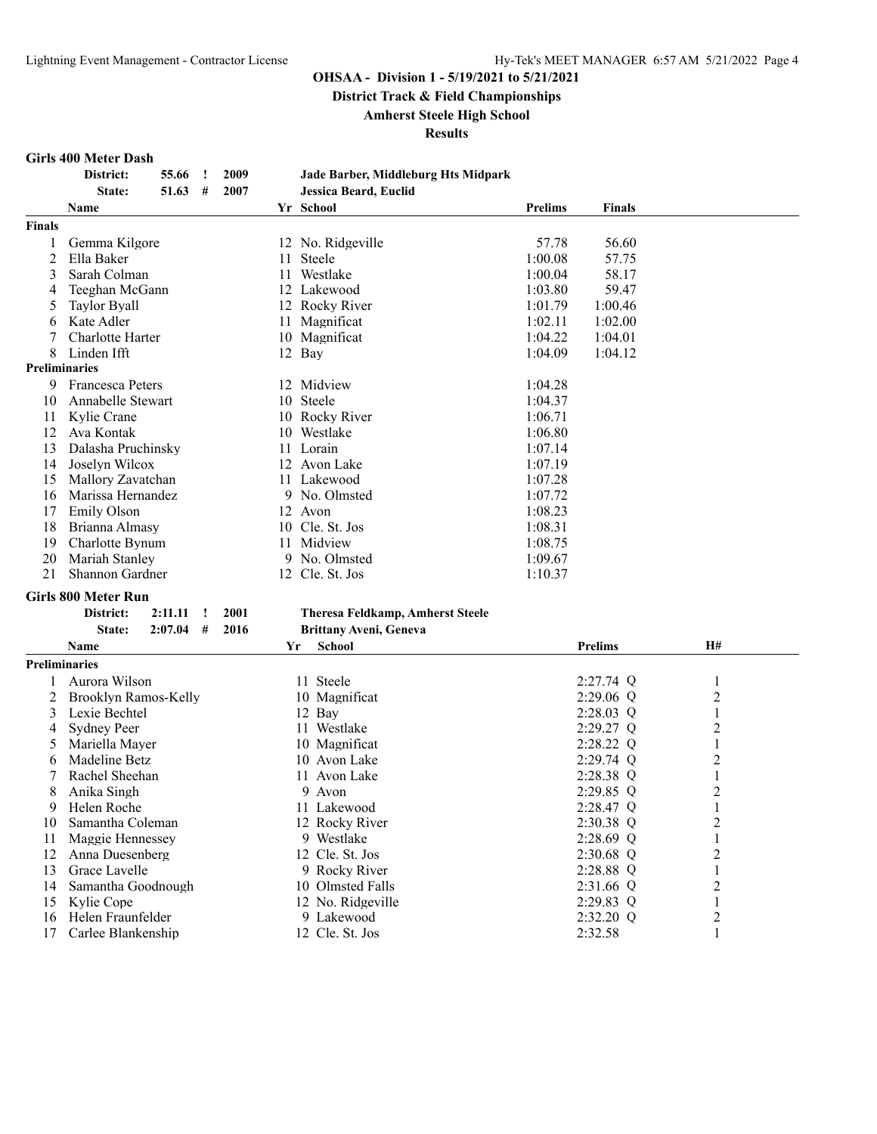**District Track & Field Championships**

**Amherst Steele High School**

**Results**

#### **Girls 400 Meter Dash**

|               | District:<br>55.66<br><u>!</u>  | 2009 |    | Jade Barber, Middleburg Hts Midpark     |                |                |                |  |
|---------------|---------------------------------|------|----|-----------------------------------------|----------------|----------------|----------------|--|
|               | State:<br>51.63<br>#            | 2007 |    | Jessica Beard, Euclid                   |                |                |                |  |
|               | Name                            |      |    | Yr School                               | <b>Prelims</b> | <b>Finals</b>  |                |  |
| <b>Finals</b> |                                 |      |    |                                         |                |                |                |  |
| 1             | Gemma Kilgore                   |      |    | 12 No. Ridgeville                       | 57.78          | 56.60          |                |  |
| 2             | Ella Baker                      |      |    | 11 Steele                               | 1:00.08        | 57.75          |                |  |
| 3             | Sarah Colman                    |      |    | 11 Westlake                             | 1:00.04        | 58.17          |                |  |
| 4             | Teeghan McGann                  |      |    | 12 Lakewood                             | 1:03.80        | 59.47          |                |  |
| 5             | <b>Taylor Byall</b>             |      |    | 12 Rocky River                          | 1:01.79        | 1:00.46        |                |  |
|               | Kate Adler                      |      |    |                                         | 1:02.11        |                |                |  |
| 6             |                                 |      | 11 | Magnificat                              |                | 1:02.00        |                |  |
|               | Charlotte Harter                |      |    | 10 Magnificat                           | 1:04.22        | 1:04.01        |                |  |
| 8             | Linden Ifft                     |      |    | 12 Bay                                  | 1:04.09        | 1:04.12        |                |  |
|               | <b>Preliminaries</b>            |      |    |                                         |                |                |                |  |
| 9             | <b>Francesca Peters</b>         |      |    | 12 Midview                              | 1:04.28        |                |                |  |
| 10            | Annabelle Stewart               |      |    | 10 Steele                               | 1:04.37        |                |                |  |
| 11            | Kylie Crane                     |      |    | 10 Rocky River                          | 1:06.71        |                |                |  |
| 12            | Ava Kontak                      |      |    | 10 Westlake                             | 1:06.80        |                |                |  |
| 13            | Dalasha Pruchinsky              |      |    | 11 Lorain                               | 1:07.14        |                |                |  |
| 14            | Joselyn Wilcox                  |      |    | 12 Avon Lake                            | 1:07.19        |                |                |  |
| 15            | Mallory Zavatchan               |      |    | 11 Lakewood                             | 1:07.28        |                |                |  |
| 16            | Marissa Hernandez               |      |    | 9 No. Olmsted                           | 1:07.72        |                |                |  |
| 17            | Emily Olson                     |      |    | 12 Avon                                 | 1:08.23        |                |                |  |
| 18            | Brianna Almasy                  |      |    | 10 Cle. St. Jos                         | 1:08.31        |                |                |  |
| 19            | Charlotte Bynum                 |      |    | 11 Midview                              | 1:08.75        |                |                |  |
| 20            | Mariah Stanley                  |      |    | 9 No. Olmsted                           | 1:09.67        |                |                |  |
| 21            | Shannon Gardner                 |      |    | 12 Cle. St. Jos                         | 1:10.37        |                |                |  |
|               |                                 |      |    |                                         |                |                |                |  |
|               | <b>Girls 800 Meter Run</b>      |      |    |                                         |                |                |                |  |
|               | 2:11.11<br>District:<br>$\cdot$ | 2001 |    | <b>Theresa Feldkamp, Amherst Steele</b> |                |                |                |  |
|               | State:<br>2:07.04<br>#          | 2016 |    | Brittany Aveni, Geneva                  |                |                |                |  |
|               | Name                            |      | Yr | School                                  |                | <b>Prelims</b> | <b>H#</b>      |  |
|               | <b>Preliminaries</b>            |      |    |                                         |                |                |                |  |
| 1             | Aurora Wilson                   |      |    | 11 Steele                               |                | $2:27.74$ Q    | 1              |  |
| 2             | Brooklyn Ramos-Kelly            |      |    | 10 Magnificat                           |                | $2:29.06$ Q    | 2              |  |
| 3             | Lexie Bechtel                   |      |    | 12 Bay                                  |                | 2:28.03 Q      | 1              |  |
| 4             | <b>Sydney Peer</b>              |      |    | 11 Westlake                             |                | 2:29.27 Q      | $\overline{c}$ |  |
| 5             | Mariella Mayer                  |      |    | 10 Magnificat                           |                | 2:28.22 Q      | $\mathbf{1}$   |  |
| 6             | Madeline Betz                   |      |    | 10 Avon Lake                            |                | 2:29.74 Q      | 2              |  |
| 7             | Rachel Sheehan                  |      |    | 11 Avon Lake                            |                | 2:28.38 Q      | $\mathbf{1}$   |  |
| 8             | Anika Singh                     |      |    | 9 Avon                                  |                | 2:29.85 Q      | 2              |  |
| 9             | Helen Roche                     |      |    | 11 Lakewood                             |                | 2:28.47 Q      | 1              |  |
| 10            | Samantha Coleman                |      |    | 12 Rocky River                          |                | 2:30.38 Q      | 2              |  |
| 11            | Maggie Hennessey                |      |    | 9 Westlake                              |                | 2:28.69 Q      | 1              |  |
|               | Anna Duesenberg                 |      |    |                                         |                |                |                |  |
| 12            | Grace Lavelle                   |      |    | 12 Cle. St. Jos                         |                | 2:30.68 Q      | 2              |  |
| 13            |                                 |      |    | 9 Rocky River                           |                | 2:28.88 Q      | $\mathbf{1}$   |  |
| 14            | Samantha Goodnough              |      |    | 10 Olmsted Falls                        |                | 2:31.66 Q      | 2              |  |
| 15            | Kylie Cope                      |      |    | 12 No. Ridgeville                       |                | 2:29.83 Q      | 1              |  |
| 16            | Helen Fraunfelder               |      |    | 9 Lakewood                              |                | 2:32.20 Q      | 2              |  |
| 17            | Carlee Blankenship              |      |    | 12 Cle. St. Jos                         |                | 2:32.58        | $\mathbf{1}$   |  |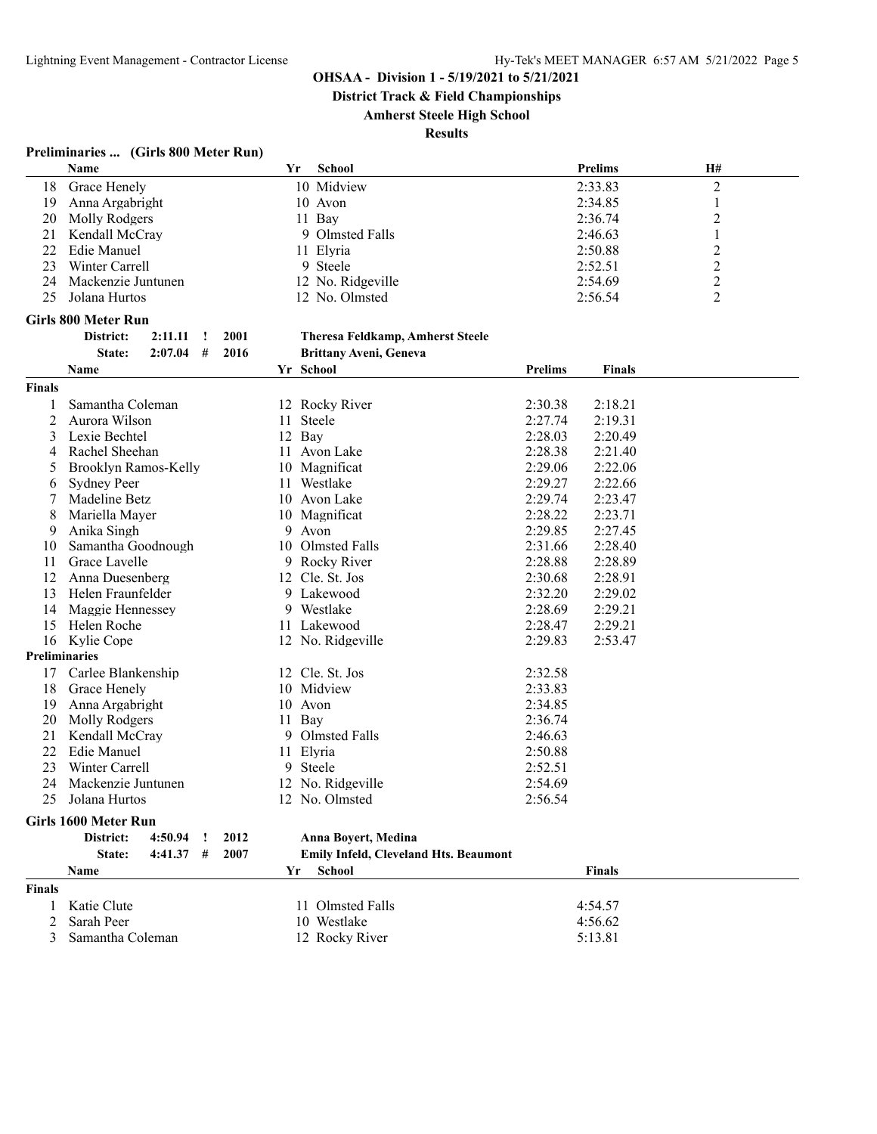**District Track & Field Championships**

**Amherst Steele High School**

**Results**

# **Preliminaries ... (Girls 800 Meter Run)**

|    | <b>Name</b>        | Yr | <b>School</b>     | <b>Prelims</b> | H# |  |
|----|--------------------|----|-------------------|----------------|----|--|
| 18 | Grace Henely       |    | 10 Midview        | 2:33.83        |    |  |
| 19 | Anna Argabright    |    | 10 Avon           | 2:34.85        |    |  |
|    | 20 Molly Rodgers   |    | 11 Bay            | 2:36.74        |    |  |
| 21 | Kendall McCray     |    | 9 Olmsted Falls   | 2:46.63        |    |  |
|    | 22 Edie Manuel     |    | 11 Elyria         | 2:50.88        |    |  |
| 23 | Winter Carrell     |    | 9 Steele          | 2:52.51        |    |  |
| 24 | Mackenzie Juntunen |    | 12 No. Ridgeville | 2:54.69        |    |  |
| 25 | Jolana Hurtos      |    | 12 No. Olmsted    | 2:56.54        |    |  |

#### **Girls 800 Meter Run**

| District: | 2:11.11 | 2001 |
|-----------|---------|------|
| State:    | 2017 NA | 2016 |

# **District: 2:11.11 ! 2001 Theresa Feldkamp, Amherst Steele**

| <b>Prelims</b><br>Yr School<br><b>Finals</b><br>Name<br><b>Finals</b><br>Samantha Coleman<br>2:30.38<br>2:18.21<br>12 Rocky River<br>1<br>$\overline{2}$<br>Aurora Wilson<br>2:27.74<br>2:19.31<br>11 Steele<br>2:28.03<br>2:20.49<br>3<br>Lexie Bechtel<br>12 Bay<br>Rachel Sheehan<br>11 Avon Lake<br>2:28.38<br>2:21.40<br>4<br>2:29.06<br>2:22.06<br>Brooklyn Ramos-Kelly<br>10 Magnificat<br>5<br>2:29.27<br>2:22.66<br><b>Sydney Peer</b><br>11 Westlake<br>6<br>2:29.74<br>Madeline Betz<br>10 Avon Lake<br>2:23.47<br>2:28.22<br>Mariella Mayer<br>2:23.71<br>8<br>10 Magnificat<br>2:29.85<br>2:27.45<br>Anika Singh<br>9 Avon<br>9<br>Olmsted Falls<br>2:31.66<br>2:28.40<br>Samantha Goodnough<br>10<br>10<br>Grace Lavelle<br>2:28.88<br>11<br>9 Rocky River<br>2:28.89<br>Anna Duesenberg<br>2:30.68<br>2:28.91<br>12<br>12 Cle. St. Jos<br>2:32.20<br>13<br>Helen Fraunfelder<br>9 Lakewood<br>2:29.02<br>2:28.69<br>Maggie Hennessey<br>9 Westlake<br>2:29.21<br>14 |
|------------------------------------------------------------------------------------------------------------------------------------------------------------------------------------------------------------------------------------------------------------------------------------------------------------------------------------------------------------------------------------------------------------------------------------------------------------------------------------------------------------------------------------------------------------------------------------------------------------------------------------------------------------------------------------------------------------------------------------------------------------------------------------------------------------------------------------------------------------------------------------------------------------------------------------------------------------------------------------|
|                                                                                                                                                                                                                                                                                                                                                                                                                                                                                                                                                                                                                                                                                                                                                                                                                                                                                                                                                                                    |
|                                                                                                                                                                                                                                                                                                                                                                                                                                                                                                                                                                                                                                                                                                                                                                                                                                                                                                                                                                                    |
|                                                                                                                                                                                                                                                                                                                                                                                                                                                                                                                                                                                                                                                                                                                                                                                                                                                                                                                                                                                    |
|                                                                                                                                                                                                                                                                                                                                                                                                                                                                                                                                                                                                                                                                                                                                                                                                                                                                                                                                                                                    |
|                                                                                                                                                                                                                                                                                                                                                                                                                                                                                                                                                                                                                                                                                                                                                                                                                                                                                                                                                                                    |
|                                                                                                                                                                                                                                                                                                                                                                                                                                                                                                                                                                                                                                                                                                                                                                                                                                                                                                                                                                                    |
|                                                                                                                                                                                                                                                                                                                                                                                                                                                                                                                                                                                                                                                                                                                                                                                                                                                                                                                                                                                    |
|                                                                                                                                                                                                                                                                                                                                                                                                                                                                                                                                                                                                                                                                                                                                                                                                                                                                                                                                                                                    |
|                                                                                                                                                                                                                                                                                                                                                                                                                                                                                                                                                                                                                                                                                                                                                                                                                                                                                                                                                                                    |
|                                                                                                                                                                                                                                                                                                                                                                                                                                                                                                                                                                                                                                                                                                                                                                                                                                                                                                                                                                                    |
|                                                                                                                                                                                                                                                                                                                                                                                                                                                                                                                                                                                                                                                                                                                                                                                                                                                                                                                                                                                    |
|                                                                                                                                                                                                                                                                                                                                                                                                                                                                                                                                                                                                                                                                                                                                                                                                                                                                                                                                                                                    |
|                                                                                                                                                                                                                                                                                                                                                                                                                                                                                                                                                                                                                                                                                                                                                                                                                                                                                                                                                                                    |
|                                                                                                                                                                                                                                                                                                                                                                                                                                                                                                                                                                                                                                                                                                                                                                                                                                                                                                                                                                                    |
|                                                                                                                                                                                                                                                                                                                                                                                                                                                                                                                                                                                                                                                                                                                                                                                                                                                                                                                                                                                    |
|                                                                                                                                                                                                                                                                                                                                                                                                                                                                                                                                                                                                                                                                                                                                                                                                                                                                                                                                                                                    |
| 11 Lakewood<br>2:28.47<br>2:29.21<br>15<br>Helen Roche                                                                                                                                                                                                                                                                                                                                                                                                                                                                                                                                                                                                                                                                                                                                                                                                                                                                                                                             |
| 2:29.83<br>2:53.47<br>16<br>Kylie Cope<br>12 No. Ridgeville                                                                                                                                                                                                                                                                                                                                                                                                                                                                                                                                                                                                                                                                                                                                                                                                                                                                                                                        |
| <b>Preliminaries</b>                                                                                                                                                                                                                                                                                                                                                                                                                                                                                                                                                                                                                                                                                                                                                                                                                                                                                                                                                               |
| Carlee Blankenship<br>12 Cle. St. Jos<br>2:32.58<br>17                                                                                                                                                                                                                                                                                                                                                                                                                                                                                                                                                                                                                                                                                                                                                                                                                                                                                                                             |
| 10 Midview<br>2:33.83<br>18<br>Grace Henely                                                                                                                                                                                                                                                                                                                                                                                                                                                                                                                                                                                                                                                                                                                                                                                                                                                                                                                                        |
| 2:34.85<br>19<br>Anna Argabright<br>10 Avon                                                                                                                                                                                                                                                                                                                                                                                                                                                                                                                                                                                                                                                                                                                                                                                                                                                                                                                                        |
| 20<br>Molly Rodgers<br>11 Bay<br>2:36.74                                                                                                                                                                                                                                                                                                                                                                                                                                                                                                                                                                                                                                                                                                                                                                                                                                                                                                                                           |
| 9 Olmsted Falls<br>21<br>Kendall McCray<br>2:46.63                                                                                                                                                                                                                                                                                                                                                                                                                                                                                                                                                                                                                                                                                                                                                                                                                                                                                                                                 |
| 22<br>Edie Manuel<br>11 Elyria<br>2:50.88                                                                                                                                                                                                                                                                                                                                                                                                                                                                                                                                                                                                                                                                                                                                                                                                                                                                                                                                          |
| Winter Carrell<br>9 Steele<br>2:52.51<br>23                                                                                                                                                                                                                                                                                                                                                                                                                                                                                                                                                                                                                                                                                                                                                                                                                                                                                                                                        |
| Mackenzie Juntunen<br>2:54.69<br>24<br>12 No. Ridgeville                                                                                                                                                                                                                                                                                                                                                                                                                                                                                                                                                                                                                                                                                                                                                                                                                                                                                                                           |
| 25<br>Jolana Hurtos<br>12 No. Olmsted<br>2:56.54                                                                                                                                                                                                                                                                                                                                                                                                                                                                                                                                                                                                                                                                                                                                                                                                                                                                                                                                   |
| Girls 1600 Meter Run                                                                                                                                                                                                                                                                                                                                                                                                                                                                                                                                                                                                                                                                                                                                                                                                                                                                                                                                                               |
| District:<br>4:50.94<br>2012<br>Ţ<br>Anna Boyert, Medina                                                                                                                                                                                                                                                                                                                                                                                                                                                                                                                                                                                                                                                                                                                                                                                                                                                                                                                           |
| $4:41.37$ #<br>2007<br>Emily Infeld, Cleveland Hts. Beaumont<br>State:                                                                                                                                                                                                                                                                                                                                                                                                                                                                                                                                                                                                                                                                                                                                                                                                                                                                                                             |
| <b>School</b><br>Name<br>Yr<br><b>Finals</b>                                                                                                                                                                                                                                                                                                                                                                                                                                                                                                                                                                                                                                                                                                                                                                                                                                                                                                                                       |
| <b>Finals</b>                                                                                                                                                                                                                                                                                                                                                                                                                                                                                                                                                                                                                                                                                                                                                                                                                                                                                                                                                                      |
| Katie Clute<br>11 Olmsted Falls<br>4:54.57                                                                                                                                                                                                                                                                                                                                                                                                                                                                                                                                                                                                                                                                                                                                                                                                                                                                                                                                         |
| Sarah Peer<br>10 Westlake<br>2<br>4:56.62                                                                                                                                                                                                                                                                                                                                                                                                                                                                                                                                                                                                                                                                                                                                                                                                                                                                                                                                          |
| 3<br>12 Rocky River<br>5:13.81<br>Samantha Coleman                                                                                                                                                                                                                                                                                                                                                                                                                                                                                                                                                                                                                                                                                                                                                                                                                                                                                                                                 |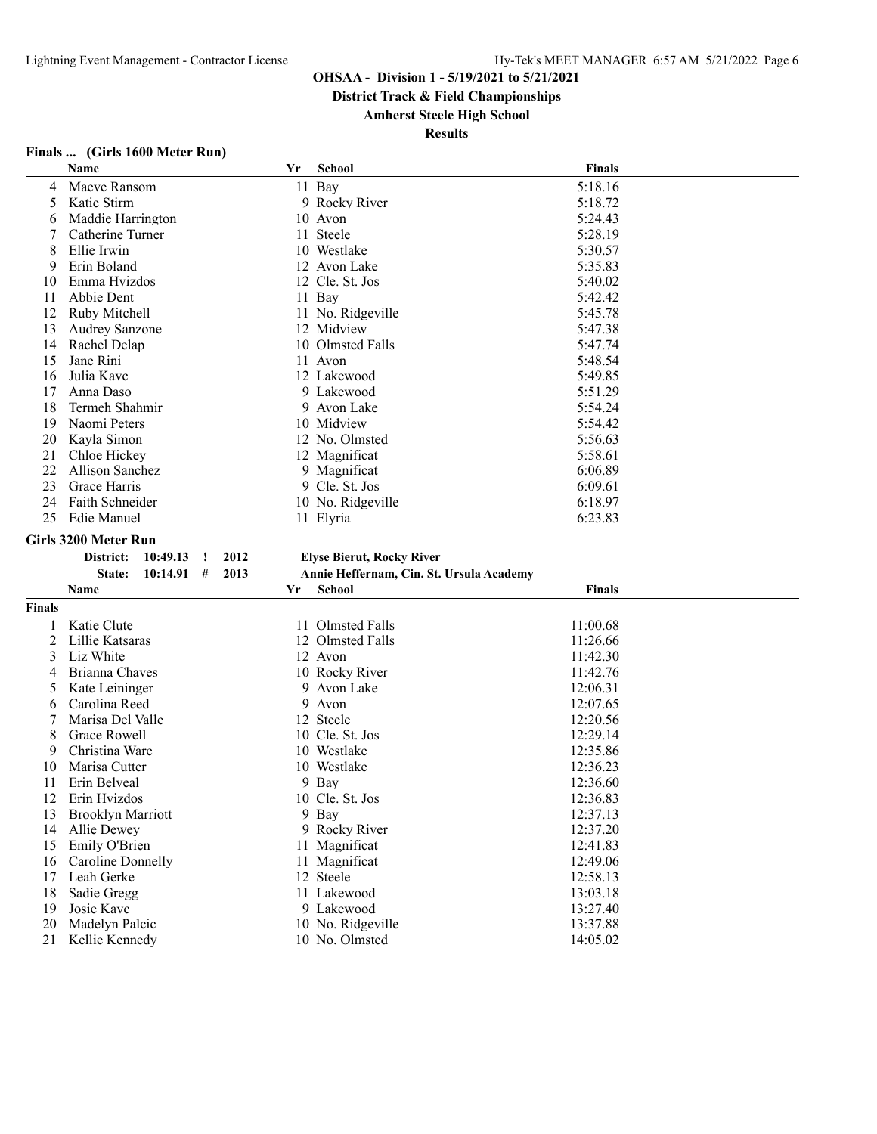**District Track & Field Championships**

**Amherst Steele High School**

**Results**

|        | $\frac{1}{2}$<br>Name                                            | Yr | <b>School</b>                                             | <b>Finals</b>        |
|--------|------------------------------------------------------------------|----|-----------------------------------------------------------|----------------------|
| 4      | Maeve Ransom                                                     |    | 11 Bay                                                    | 5:18.16              |
| 5      | Katie Stirm                                                      |    | 9 Rocky River                                             | 5:18.72              |
| 6      | Maddie Harrington                                                |    | 10 Avon                                                   | 5:24.43              |
|        | Catherine Turner                                                 |    | 11 Steele                                                 | 5:28.19              |
| 8      | Ellie Irwin                                                      |    | 10 Westlake                                               | 5:30.57              |
| 9      | Erin Boland                                                      |    | 12 Avon Lake                                              | 5:35.83              |
| 10     | Emma Hvizdos                                                     |    | 12 Cle. St. Jos                                           | 5:40.02              |
| 11     | Abbie Dent                                                       |    | 11 Bay                                                    | 5:42.42              |
| 12     | Ruby Mitchell                                                    |    | 11 No. Ridgeville                                         | 5:45.78              |
| 13     | <b>Audrey Sanzone</b>                                            |    | 12 Midview                                                | 5:47.38              |
| 14     | Rachel Delap                                                     |    | 10 Olmsted Falls                                          | 5:47.74              |
| 15     | Jane Rini                                                        |    | 11 Avon                                                   | 5:48.54              |
| 16     | Julia Kavc                                                       |    | 12 Lakewood                                               | 5:49.85              |
| 17     | Anna Daso                                                        |    | 9 Lakewood                                                | 5:51.29              |
| 18     | Termeh Shahmir                                                   |    | 9 Avon Lake                                               | 5:54.24              |
| 19     | Naomi Peters                                                     |    | 10 Midview                                                | 5:54.42              |
| 20     | Kayla Simon                                                      |    | 12 No. Olmsted                                            | 5:56.63              |
| 21     | Chloe Hickey                                                     |    | 12 Magnificat                                             | 5:58.61              |
| 22     | <b>Allison Sanchez</b>                                           |    | 9 Magnificat                                              | 6:06.89              |
| 23     | Grace Harris                                                     |    | 9 Cle. St. Jos                                            | 6:09.61              |
| 24     | Faith Schneider                                                  |    | 10 No. Ridgeville                                         | 6:18.97              |
|        | Edie Manuel                                                      |    | 11 Elyria                                                 | 6:23.83              |
| 25     |                                                                  |    |                                                           |                      |
|        |                                                                  |    |                                                           |                      |
|        | Girls 3200 Meter Run<br>2012<br>District:<br>10:49.13<br>$\cdot$ |    |                                                           |                      |
|        | 10:14.91<br>#<br>2013<br>State:                                  |    | <b>Elyse Bierut, Rocky River</b>                          |                      |
|        | Name                                                             | Yr | Annie Heffernam, Cin. St. Ursula Academy<br><b>School</b> | <b>Finals</b>        |
| Finals |                                                                  |    |                                                           |                      |
|        |                                                                  |    |                                                           |                      |
| 1      | Katie Clute                                                      |    | 11 Olmsted Falls                                          | 11:00.68             |
| 2      | Lillie Katsaras                                                  |    | 12 Olmsted Falls                                          | 11:26.66             |
| 3      | Liz White                                                        |    | 12 Avon                                                   | 11:42.30             |
| 4      | Brianna Chaves                                                   | 9  | 10 Rocky River                                            | 11:42.76             |
| 5      | Kate Leininger                                                   |    | Avon Lake                                                 | 12:06.31             |
| 6<br>7 | Carolina Reed                                                    | 9  | Avon                                                      | 12:07.65             |
|        | Marisa Del Valle                                                 |    | 12 Steele                                                 | 12:20.56             |
| 8      | Grace Rowell                                                     |    | 10 Cle. St. Jos                                           | 12:29.14             |
| 9      | Christina Ware                                                   |    | 10 Westlake                                               | 12:35.86             |
| 10     | Marisa Cutter                                                    |    | 10 Westlake                                               | 12:36.23             |
| 11     | Erin Belveal                                                     |    | 9 Bay                                                     | 12:36.60             |
| 12     | Erin Hvizdos                                                     |    | 10 Cle. St. Jos                                           | 12:36.83             |
| 13     | <b>Brooklyn Marriott</b>                                         |    | 9 Bay                                                     | 12:37.13             |
| 14     | Allie Dewey                                                      |    | 9 Rocky River                                             | 12:37.20             |
| 15     | Emily O'Brien                                                    |    | 11 Magnificat                                             | 12:41.83             |
| 16     | Caroline Donnelly                                                |    | 11 Magnificat                                             | 12:49.06             |
| 17     | Leah Gerke                                                       |    | 12 Steele                                                 | 12:58.13             |
| 18     | Sadie Gregg                                                      |    | 11 Lakewood                                               | 13:03.18             |
| 19     | Josie Kavc                                                       |    | 9 Lakewood                                                | 13:27.40             |
| 20     | Madelyn Palcic<br>21 Kellie Kennedy                              |    | 10 No. Ridgeville<br>10 No. Olmsted                       | 13:37.88<br>14:05.02 |

## **Finals ... (Girls 1600 Meter Run)**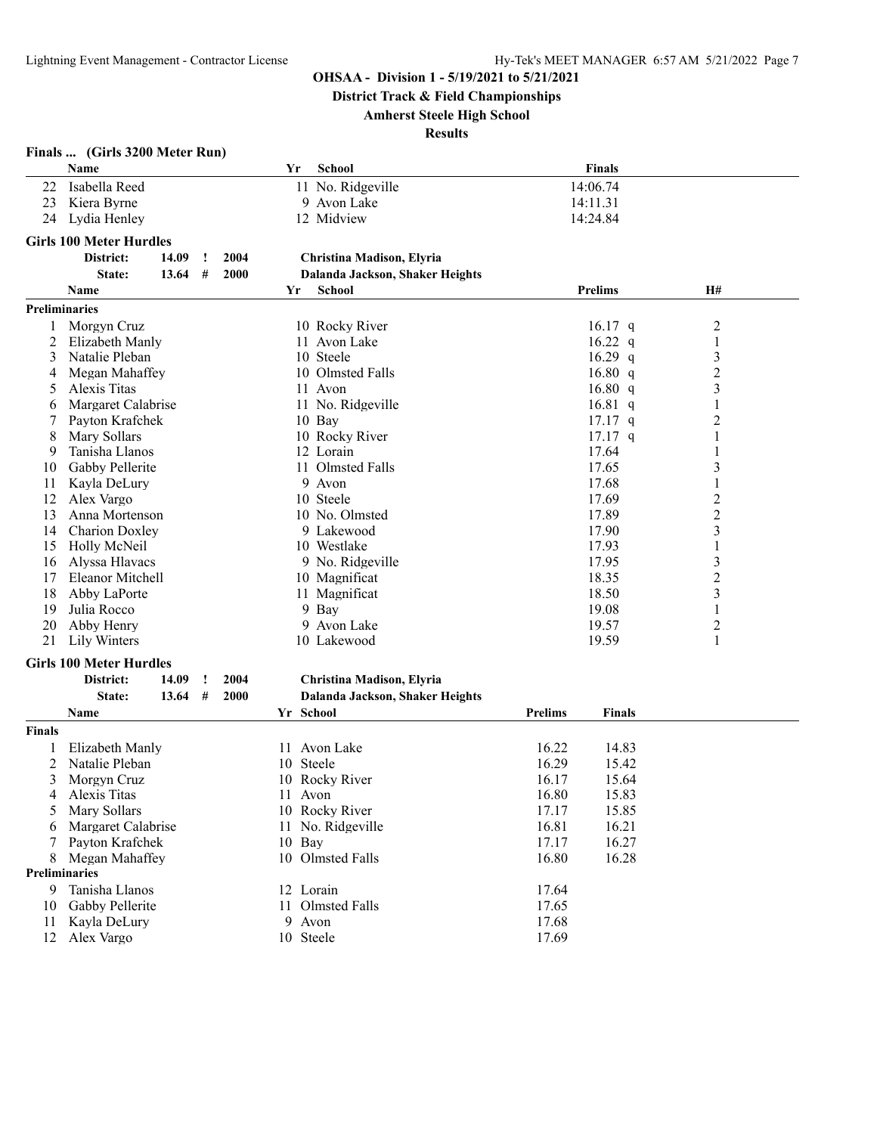**District Track & Field Championships**

#### **Amherst Steele High School**

| <b>School</b><br>Finals<br>Name<br>Yr<br>11 No. Ridgeville<br>14:06.74<br>Isabella Reed<br>22<br>Kiera Byrne<br>9 Avon Lake<br>14:11.31<br>23<br>12 Midview<br>14:24.84<br>24<br>Lydia Henley<br><b>Girls 100 Meter Hurdles</b><br>District:<br>14.09<br>2004<br>Christina Madison, Elyria<br>!<br>#<br>2000<br>State:<br>13.64<br>Dalanda Jackson, Shaker Heights<br><b>Prelims</b><br>H#<br>Name<br><b>School</b><br>Yr<br><b>Preliminaries</b><br>10 Rocky River<br>$16.17$ q<br>$\overline{c}$<br>Morgyn Cruz<br>1<br>11 Avon Lake<br>16.22 $q$<br>1<br>2<br>Elizabeth Manly<br>10 Steele<br>3<br>3<br>Natalie Pleban<br>16.29 $q$<br>$\overline{c}$<br>16.80 q<br>Megan Mahaffey<br>10 Olmsted Falls<br>4<br>16.80 q<br>3<br>Alexis Titas<br>11 Avon<br>5<br>$16.81\ q$<br>Margaret Calabrise<br>11 No. Ridgeville<br>1<br>6<br>2<br>Payton Krafchek<br>10 Bay<br>$17.17$ q<br>7<br>Mary Sollars<br>10 Rocky River<br>$17.17$ q<br>8<br>1<br>Tanisha Llanos<br>12 Lorain<br>17.64<br>9<br>1<br>11 Olmsted Falls<br>3<br>Gabby Pellerite<br>17.65<br>10<br>9 Avon<br>Kayla DeLury<br>17.68<br>$\mathbf{1}$<br>11<br>$\overline{c}$<br>Alex Vargo<br>10 Steele<br>17.69<br>12<br>$\overline{c}$<br>Anna Mortenson<br>10 No. Olmsted<br>17.89<br>13<br>3<br><b>Charion Doxley</b><br>9 Lakewood<br>17.90<br>14<br>Holly McNeil<br>10 Westlake<br>17.93<br>1<br>15<br>9 No. Ridgeville<br>17.95<br>$\mathfrak{Z}$<br>Alyssa Hlavacs<br>16<br>$\overline{c}$<br>18.35<br>Eleanor Mitchell<br>10 Magnificat<br>17<br>18.50<br>3<br>11 Magnificat<br>18<br>Abby LaPorte<br>Julia Rocco<br>9 Bay<br>19.08<br>19<br>1<br>9 Avon Lake<br>$\overline{c}$<br>Abby Henry<br>19.57<br>20<br>10 Lakewood<br>1<br>21<br>Lily Winters<br>19.59<br><b>Girls 100 Meter Hurdles</b><br>14.09<br>2004<br>Christina Madison, Elyria<br>District:<br>1<br>State:<br>13.64<br>#<br><b>2000</b><br>Dalanda Jackson, Shaker Heights<br>Yr School<br><b>Prelims</b><br>Name<br><b>Finals</b><br>Finals<br>11 Avon Lake<br>16.22<br>14.83<br>Elizabeth Manly<br>1<br>16.29<br>2<br>Natalie Pleban<br>10 Steele<br>15.42<br>3<br>16.17<br>10 Rocky River<br>15.64<br>Morgyn Cruz<br>Alexis Titas<br>11 Avon<br>16.80<br>15.83<br>4<br>Mary Sollars<br>10 Rocky River<br>15.85<br>17.17<br>5<br>Margaret Calabrise<br>11 No. Ridgeville<br>16.81<br>16.21<br>6<br>Payton Krafchek<br>$10$ Bay<br>17.17<br>16.27<br>7<br>10 Olmsted Falls<br>8 Megan Mahaffey<br>16.80<br>16.28<br>Preliminaries<br>12 Lorain<br>9<br>Tanisha Llanos<br>17.64<br>10<br>Gabby Pellerite<br>11 Olmsted Falls<br>17.65<br>Kayla DeLury<br>9 Avon<br>17.68<br>11 | Finals  (Girls 3200 Meter Run) |  |  |  |       |  |  |
|--------------------------------------------------------------------------------------------------------------------------------------------------------------------------------------------------------------------------------------------------------------------------------------------------------------------------------------------------------------------------------------------------------------------------------------------------------------------------------------------------------------------------------------------------------------------------------------------------------------------------------------------------------------------------------------------------------------------------------------------------------------------------------------------------------------------------------------------------------------------------------------------------------------------------------------------------------------------------------------------------------------------------------------------------------------------------------------------------------------------------------------------------------------------------------------------------------------------------------------------------------------------------------------------------------------------------------------------------------------------------------------------------------------------------------------------------------------------------------------------------------------------------------------------------------------------------------------------------------------------------------------------------------------------------------------------------------------------------------------------------------------------------------------------------------------------------------------------------------------------------------------------------------------------------------------------------------------------------------------------------------------------------------------------------------------------------------------------------------------------------------------------------------------------------------------------------------------------------------------------------------------------------------------------------------------------------------------------------------------------------------------------------------------------------------------------------------------------------------------------------------------------------------------------------------------------------------------------------------------------|--------------------------------|--|--|--|-------|--|--|
|                                                                                                                                                                                                                                                                                                                                                                                                                                                                                                                                                                                                                                                                                                                                                                                                                                                                                                                                                                                                                                                                                                                                                                                                                                                                                                                                                                                                                                                                                                                                                                                                                                                                                                                                                                                                                                                                                                                                                                                                                                                                                                                                                                                                                                                                                                                                                                                                                                                                                                                                                                                                                    |                                |  |  |  |       |  |  |
|                                                                                                                                                                                                                                                                                                                                                                                                                                                                                                                                                                                                                                                                                                                                                                                                                                                                                                                                                                                                                                                                                                                                                                                                                                                                                                                                                                                                                                                                                                                                                                                                                                                                                                                                                                                                                                                                                                                                                                                                                                                                                                                                                                                                                                                                                                                                                                                                                                                                                                                                                                                                                    |                                |  |  |  |       |  |  |
|                                                                                                                                                                                                                                                                                                                                                                                                                                                                                                                                                                                                                                                                                                                                                                                                                                                                                                                                                                                                                                                                                                                                                                                                                                                                                                                                                                                                                                                                                                                                                                                                                                                                                                                                                                                                                                                                                                                                                                                                                                                                                                                                                                                                                                                                                                                                                                                                                                                                                                                                                                                                                    |                                |  |  |  |       |  |  |
|                                                                                                                                                                                                                                                                                                                                                                                                                                                                                                                                                                                                                                                                                                                                                                                                                                                                                                                                                                                                                                                                                                                                                                                                                                                                                                                                                                                                                                                                                                                                                                                                                                                                                                                                                                                                                                                                                                                                                                                                                                                                                                                                                                                                                                                                                                                                                                                                                                                                                                                                                                                                                    |                                |  |  |  |       |  |  |
|                                                                                                                                                                                                                                                                                                                                                                                                                                                                                                                                                                                                                                                                                                                                                                                                                                                                                                                                                                                                                                                                                                                                                                                                                                                                                                                                                                                                                                                                                                                                                                                                                                                                                                                                                                                                                                                                                                                                                                                                                                                                                                                                                                                                                                                                                                                                                                                                                                                                                                                                                                                                                    |                                |  |  |  |       |  |  |
|                                                                                                                                                                                                                                                                                                                                                                                                                                                                                                                                                                                                                                                                                                                                                                                                                                                                                                                                                                                                                                                                                                                                                                                                                                                                                                                                                                                                                                                                                                                                                                                                                                                                                                                                                                                                                                                                                                                                                                                                                                                                                                                                                                                                                                                                                                                                                                                                                                                                                                                                                                                                                    |                                |  |  |  |       |  |  |
|                                                                                                                                                                                                                                                                                                                                                                                                                                                                                                                                                                                                                                                                                                                                                                                                                                                                                                                                                                                                                                                                                                                                                                                                                                                                                                                                                                                                                                                                                                                                                                                                                                                                                                                                                                                                                                                                                                                                                                                                                                                                                                                                                                                                                                                                                                                                                                                                                                                                                                                                                                                                                    |                                |  |  |  |       |  |  |
|                                                                                                                                                                                                                                                                                                                                                                                                                                                                                                                                                                                                                                                                                                                                                                                                                                                                                                                                                                                                                                                                                                                                                                                                                                                                                                                                                                                                                                                                                                                                                                                                                                                                                                                                                                                                                                                                                                                                                                                                                                                                                                                                                                                                                                                                                                                                                                                                                                                                                                                                                                                                                    |                                |  |  |  |       |  |  |
|                                                                                                                                                                                                                                                                                                                                                                                                                                                                                                                                                                                                                                                                                                                                                                                                                                                                                                                                                                                                                                                                                                                                                                                                                                                                                                                                                                                                                                                                                                                                                                                                                                                                                                                                                                                                                                                                                                                                                                                                                                                                                                                                                                                                                                                                                                                                                                                                                                                                                                                                                                                                                    |                                |  |  |  |       |  |  |
|                                                                                                                                                                                                                                                                                                                                                                                                                                                                                                                                                                                                                                                                                                                                                                                                                                                                                                                                                                                                                                                                                                                                                                                                                                                                                                                                                                                                                                                                                                                                                                                                                                                                                                                                                                                                                                                                                                                                                                                                                                                                                                                                                                                                                                                                                                                                                                                                                                                                                                                                                                                                                    |                                |  |  |  |       |  |  |
|                                                                                                                                                                                                                                                                                                                                                                                                                                                                                                                                                                                                                                                                                                                                                                                                                                                                                                                                                                                                                                                                                                                                                                                                                                                                                                                                                                                                                                                                                                                                                                                                                                                                                                                                                                                                                                                                                                                                                                                                                                                                                                                                                                                                                                                                                                                                                                                                                                                                                                                                                                                                                    |                                |  |  |  |       |  |  |
|                                                                                                                                                                                                                                                                                                                                                                                                                                                                                                                                                                                                                                                                                                                                                                                                                                                                                                                                                                                                                                                                                                                                                                                                                                                                                                                                                                                                                                                                                                                                                                                                                                                                                                                                                                                                                                                                                                                                                                                                                                                                                                                                                                                                                                                                                                                                                                                                                                                                                                                                                                                                                    |                                |  |  |  |       |  |  |
|                                                                                                                                                                                                                                                                                                                                                                                                                                                                                                                                                                                                                                                                                                                                                                                                                                                                                                                                                                                                                                                                                                                                                                                                                                                                                                                                                                                                                                                                                                                                                                                                                                                                                                                                                                                                                                                                                                                                                                                                                                                                                                                                                                                                                                                                                                                                                                                                                                                                                                                                                                                                                    |                                |  |  |  |       |  |  |
|                                                                                                                                                                                                                                                                                                                                                                                                                                                                                                                                                                                                                                                                                                                                                                                                                                                                                                                                                                                                                                                                                                                                                                                                                                                                                                                                                                                                                                                                                                                                                                                                                                                                                                                                                                                                                                                                                                                                                                                                                                                                                                                                                                                                                                                                                                                                                                                                                                                                                                                                                                                                                    |                                |  |  |  |       |  |  |
|                                                                                                                                                                                                                                                                                                                                                                                                                                                                                                                                                                                                                                                                                                                                                                                                                                                                                                                                                                                                                                                                                                                                                                                                                                                                                                                                                                                                                                                                                                                                                                                                                                                                                                                                                                                                                                                                                                                                                                                                                                                                                                                                                                                                                                                                                                                                                                                                                                                                                                                                                                                                                    |                                |  |  |  |       |  |  |
|                                                                                                                                                                                                                                                                                                                                                                                                                                                                                                                                                                                                                                                                                                                                                                                                                                                                                                                                                                                                                                                                                                                                                                                                                                                                                                                                                                                                                                                                                                                                                                                                                                                                                                                                                                                                                                                                                                                                                                                                                                                                                                                                                                                                                                                                                                                                                                                                                                                                                                                                                                                                                    |                                |  |  |  |       |  |  |
|                                                                                                                                                                                                                                                                                                                                                                                                                                                                                                                                                                                                                                                                                                                                                                                                                                                                                                                                                                                                                                                                                                                                                                                                                                                                                                                                                                                                                                                                                                                                                                                                                                                                                                                                                                                                                                                                                                                                                                                                                                                                                                                                                                                                                                                                                                                                                                                                                                                                                                                                                                                                                    |                                |  |  |  |       |  |  |
|                                                                                                                                                                                                                                                                                                                                                                                                                                                                                                                                                                                                                                                                                                                                                                                                                                                                                                                                                                                                                                                                                                                                                                                                                                                                                                                                                                                                                                                                                                                                                                                                                                                                                                                                                                                                                                                                                                                                                                                                                                                                                                                                                                                                                                                                                                                                                                                                                                                                                                                                                                                                                    |                                |  |  |  |       |  |  |
|                                                                                                                                                                                                                                                                                                                                                                                                                                                                                                                                                                                                                                                                                                                                                                                                                                                                                                                                                                                                                                                                                                                                                                                                                                                                                                                                                                                                                                                                                                                                                                                                                                                                                                                                                                                                                                                                                                                                                                                                                                                                                                                                                                                                                                                                                                                                                                                                                                                                                                                                                                                                                    |                                |  |  |  |       |  |  |
|                                                                                                                                                                                                                                                                                                                                                                                                                                                                                                                                                                                                                                                                                                                                                                                                                                                                                                                                                                                                                                                                                                                                                                                                                                                                                                                                                                                                                                                                                                                                                                                                                                                                                                                                                                                                                                                                                                                                                                                                                                                                                                                                                                                                                                                                                                                                                                                                                                                                                                                                                                                                                    |                                |  |  |  |       |  |  |
|                                                                                                                                                                                                                                                                                                                                                                                                                                                                                                                                                                                                                                                                                                                                                                                                                                                                                                                                                                                                                                                                                                                                                                                                                                                                                                                                                                                                                                                                                                                                                                                                                                                                                                                                                                                                                                                                                                                                                                                                                                                                                                                                                                                                                                                                                                                                                                                                                                                                                                                                                                                                                    |                                |  |  |  |       |  |  |
|                                                                                                                                                                                                                                                                                                                                                                                                                                                                                                                                                                                                                                                                                                                                                                                                                                                                                                                                                                                                                                                                                                                                                                                                                                                                                                                                                                                                                                                                                                                                                                                                                                                                                                                                                                                                                                                                                                                                                                                                                                                                                                                                                                                                                                                                                                                                                                                                                                                                                                                                                                                                                    |                                |  |  |  |       |  |  |
|                                                                                                                                                                                                                                                                                                                                                                                                                                                                                                                                                                                                                                                                                                                                                                                                                                                                                                                                                                                                                                                                                                                                                                                                                                                                                                                                                                                                                                                                                                                                                                                                                                                                                                                                                                                                                                                                                                                                                                                                                                                                                                                                                                                                                                                                                                                                                                                                                                                                                                                                                                                                                    |                                |  |  |  |       |  |  |
|                                                                                                                                                                                                                                                                                                                                                                                                                                                                                                                                                                                                                                                                                                                                                                                                                                                                                                                                                                                                                                                                                                                                                                                                                                                                                                                                                                                                                                                                                                                                                                                                                                                                                                                                                                                                                                                                                                                                                                                                                                                                                                                                                                                                                                                                                                                                                                                                                                                                                                                                                                                                                    |                                |  |  |  |       |  |  |
|                                                                                                                                                                                                                                                                                                                                                                                                                                                                                                                                                                                                                                                                                                                                                                                                                                                                                                                                                                                                                                                                                                                                                                                                                                                                                                                                                                                                                                                                                                                                                                                                                                                                                                                                                                                                                                                                                                                                                                                                                                                                                                                                                                                                                                                                                                                                                                                                                                                                                                                                                                                                                    |                                |  |  |  |       |  |  |
|                                                                                                                                                                                                                                                                                                                                                                                                                                                                                                                                                                                                                                                                                                                                                                                                                                                                                                                                                                                                                                                                                                                                                                                                                                                                                                                                                                                                                                                                                                                                                                                                                                                                                                                                                                                                                                                                                                                                                                                                                                                                                                                                                                                                                                                                                                                                                                                                                                                                                                                                                                                                                    |                                |  |  |  |       |  |  |
|                                                                                                                                                                                                                                                                                                                                                                                                                                                                                                                                                                                                                                                                                                                                                                                                                                                                                                                                                                                                                                                                                                                                                                                                                                                                                                                                                                                                                                                                                                                                                                                                                                                                                                                                                                                                                                                                                                                                                                                                                                                                                                                                                                                                                                                                                                                                                                                                                                                                                                                                                                                                                    |                                |  |  |  |       |  |  |
|                                                                                                                                                                                                                                                                                                                                                                                                                                                                                                                                                                                                                                                                                                                                                                                                                                                                                                                                                                                                                                                                                                                                                                                                                                                                                                                                                                                                                                                                                                                                                                                                                                                                                                                                                                                                                                                                                                                                                                                                                                                                                                                                                                                                                                                                                                                                                                                                                                                                                                                                                                                                                    |                                |  |  |  |       |  |  |
|                                                                                                                                                                                                                                                                                                                                                                                                                                                                                                                                                                                                                                                                                                                                                                                                                                                                                                                                                                                                                                                                                                                                                                                                                                                                                                                                                                                                                                                                                                                                                                                                                                                                                                                                                                                                                                                                                                                                                                                                                                                                                                                                                                                                                                                                                                                                                                                                                                                                                                                                                                                                                    |                                |  |  |  |       |  |  |
|                                                                                                                                                                                                                                                                                                                                                                                                                                                                                                                                                                                                                                                                                                                                                                                                                                                                                                                                                                                                                                                                                                                                                                                                                                                                                                                                                                                                                                                                                                                                                                                                                                                                                                                                                                                                                                                                                                                                                                                                                                                                                                                                                                                                                                                                                                                                                                                                                                                                                                                                                                                                                    |                                |  |  |  |       |  |  |
|                                                                                                                                                                                                                                                                                                                                                                                                                                                                                                                                                                                                                                                                                                                                                                                                                                                                                                                                                                                                                                                                                                                                                                                                                                                                                                                                                                                                                                                                                                                                                                                                                                                                                                                                                                                                                                                                                                                                                                                                                                                                                                                                                                                                                                                                                                                                                                                                                                                                                                                                                                                                                    |                                |  |  |  |       |  |  |
|                                                                                                                                                                                                                                                                                                                                                                                                                                                                                                                                                                                                                                                                                                                                                                                                                                                                                                                                                                                                                                                                                                                                                                                                                                                                                                                                                                                                                                                                                                                                                                                                                                                                                                                                                                                                                                                                                                                                                                                                                                                                                                                                                                                                                                                                                                                                                                                                                                                                                                                                                                                                                    |                                |  |  |  |       |  |  |
|                                                                                                                                                                                                                                                                                                                                                                                                                                                                                                                                                                                                                                                                                                                                                                                                                                                                                                                                                                                                                                                                                                                                                                                                                                                                                                                                                                                                                                                                                                                                                                                                                                                                                                                                                                                                                                                                                                                                                                                                                                                                                                                                                                                                                                                                                                                                                                                                                                                                                                                                                                                                                    |                                |  |  |  |       |  |  |
|                                                                                                                                                                                                                                                                                                                                                                                                                                                                                                                                                                                                                                                                                                                                                                                                                                                                                                                                                                                                                                                                                                                                                                                                                                                                                                                                                                                                                                                                                                                                                                                                                                                                                                                                                                                                                                                                                                                                                                                                                                                                                                                                                                                                                                                                                                                                                                                                                                                                                                                                                                                                                    |                                |  |  |  |       |  |  |
|                                                                                                                                                                                                                                                                                                                                                                                                                                                                                                                                                                                                                                                                                                                                                                                                                                                                                                                                                                                                                                                                                                                                                                                                                                                                                                                                                                                                                                                                                                                                                                                                                                                                                                                                                                                                                                                                                                                                                                                                                                                                                                                                                                                                                                                                                                                                                                                                                                                                                                                                                                                                                    |                                |  |  |  |       |  |  |
|                                                                                                                                                                                                                                                                                                                                                                                                                                                                                                                                                                                                                                                                                                                                                                                                                                                                                                                                                                                                                                                                                                                                                                                                                                                                                                                                                                                                                                                                                                                                                                                                                                                                                                                                                                                                                                                                                                                                                                                                                                                                                                                                                                                                                                                                                                                                                                                                                                                                                                                                                                                                                    |                                |  |  |  |       |  |  |
|                                                                                                                                                                                                                                                                                                                                                                                                                                                                                                                                                                                                                                                                                                                                                                                                                                                                                                                                                                                                                                                                                                                                                                                                                                                                                                                                                                                                                                                                                                                                                                                                                                                                                                                                                                                                                                                                                                                                                                                                                                                                                                                                                                                                                                                                                                                                                                                                                                                                                                                                                                                                                    |                                |  |  |  |       |  |  |
|                                                                                                                                                                                                                                                                                                                                                                                                                                                                                                                                                                                                                                                                                                                                                                                                                                                                                                                                                                                                                                                                                                                                                                                                                                                                                                                                                                                                                                                                                                                                                                                                                                                                                                                                                                                                                                                                                                                                                                                                                                                                                                                                                                                                                                                                                                                                                                                                                                                                                                                                                                                                                    |                                |  |  |  |       |  |  |
|                                                                                                                                                                                                                                                                                                                                                                                                                                                                                                                                                                                                                                                                                                                                                                                                                                                                                                                                                                                                                                                                                                                                                                                                                                                                                                                                                                                                                                                                                                                                                                                                                                                                                                                                                                                                                                                                                                                                                                                                                                                                                                                                                                                                                                                                                                                                                                                                                                                                                                                                                                                                                    |                                |  |  |  |       |  |  |
|                                                                                                                                                                                                                                                                                                                                                                                                                                                                                                                                                                                                                                                                                                                                                                                                                                                                                                                                                                                                                                                                                                                                                                                                                                                                                                                                                                                                                                                                                                                                                                                                                                                                                                                                                                                                                                                                                                                                                                                                                                                                                                                                                                                                                                                                                                                                                                                                                                                                                                                                                                                                                    |                                |  |  |  |       |  |  |
|                                                                                                                                                                                                                                                                                                                                                                                                                                                                                                                                                                                                                                                                                                                                                                                                                                                                                                                                                                                                                                                                                                                                                                                                                                                                                                                                                                                                                                                                                                                                                                                                                                                                                                                                                                                                                                                                                                                                                                                                                                                                                                                                                                                                                                                                                                                                                                                                                                                                                                                                                                                                                    |                                |  |  |  |       |  |  |
|                                                                                                                                                                                                                                                                                                                                                                                                                                                                                                                                                                                                                                                                                                                                                                                                                                                                                                                                                                                                                                                                                                                                                                                                                                                                                                                                                                                                                                                                                                                                                                                                                                                                                                                                                                                                                                                                                                                                                                                                                                                                                                                                                                                                                                                                                                                                                                                                                                                                                                                                                                                                                    |                                |  |  |  |       |  |  |
|                                                                                                                                                                                                                                                                                                                                                                                                                                                                                                                                                                                                                                                                                                                                                                                                                                                                                                                                                                                                                                                                                                                                                                                                                                                                                                                                                                                                                                                                                                                                                                                                                                                                                                                                                                                                                                                                                                                                                                                                                                                                                                                                                                                                                                                                                                                                                                                                                                                                                                                                                                                                                    |                                |  |  |  |       |  |  |
|                                                                                                                                                                                                                                                                                                                                                                                                                                                                                                                                                                                                                                                                                                                                                                                                                                                                                                                                                                                                                                                                                                                                                                                                                                                                                                                                                                                                                                                                                                                                                                                                                                                                                                                                                                                                                                                                                                                                                                                                                                                                                                                                                                                                                                                                                                                                                                                                                                                                                                                                                                                                                    |                                |  |  |  |       |  |  |
|                                                                                                                                                                                                                                                                                                                                                                                                                                                                                                                                                                                                                                                                                                                                                                                                                                                                                                                                                                                                                                                                                                                                                                                                                                                                                                                                                                                                                                                                                                                                                                                                                                                                                                                                                                                                                                                                                                                                                                                                                                                                                                                                                                                                                                                                                                                                                                                                                                                                                                                                                                                                                    |                                |  |  |  |       |  |  |
|                                                                                                                                                                                                                                                                                                                                                                                                                                                                                                                                                                                                                                                                                                                                                                                                                                                                                                                                                                                                                                                                                                                                                                                                                                                                                                                                                                                                                                                                                                                                                                                                                                                                                                                                                                                                                                                                                                                                                                                                                                                                                                                                                                                                                                                                                                                                                                                                                                                                                                                                                                                                                    |                                |  |  |  |       |  |  |
|                                                                                                                                                                                                                                                                                                                                                                                                                                                                                                                                                                                                                                                                                                                                                                                                                                                                                                                                                                                                                                                                                                                                                                                                                                                                                                                                                                                                                                                                                                                                                                                                                                                                                                                                                                                                                                                                                                                                                                                                                                                                                                                                                                                                                                                                                                                                                                                                                                                                                                                                                                                                                    |                                |  |  |  |       |  |  |
|                                                                                                                                                                                                                                                                                                                                                                                                                                                                                                                                                                                                                                                                                                                                                                                                                                                                                                                                                                                                                                                                                                                                                                                                                                                                                                                                                                                                                                                                                                                                                                                                                                                                                                                                                                                                                                                                                                                                                                                                                                                                                                                                                                                                                                                                                                                                                                                                                                                                                                                                                                                                                    |                                |  |  |  |       |  |  |
|                                                                                                                                                                                                                                                                                                                                                                                                                                                                                                                                                                                                                                                                                                                                                                                                                                                                                                                                                                                                                                                                                                                                                                                                                                                                                                                                                                                                                                                                                                                                                                                                                                                                                                                                                                                                                                                                                                                                                                                                                                                                                                                                                                                                                                                                                                                                                                                                                                                                                                                                                                                                                    |                                |  |  |  |       |  |  |
| 12 Alex Vargo<br>10 Steele                                                                                                                                                                                                                                                                                                                                                                                                                                                                                                                                                                                                                                                                                                                                                                                                                                                                                                                                                                                                                                                                                                                                                                                                                                                                                                                                                                                                                                                                                                                                                                                                                                                                                                                                                                                                                                                                                                                                                                                                                                                                                                                                                                                                                                                                                                                                                                                                                                                                                                                                                                                         |                                |  |  |  | 17.69 |  |  |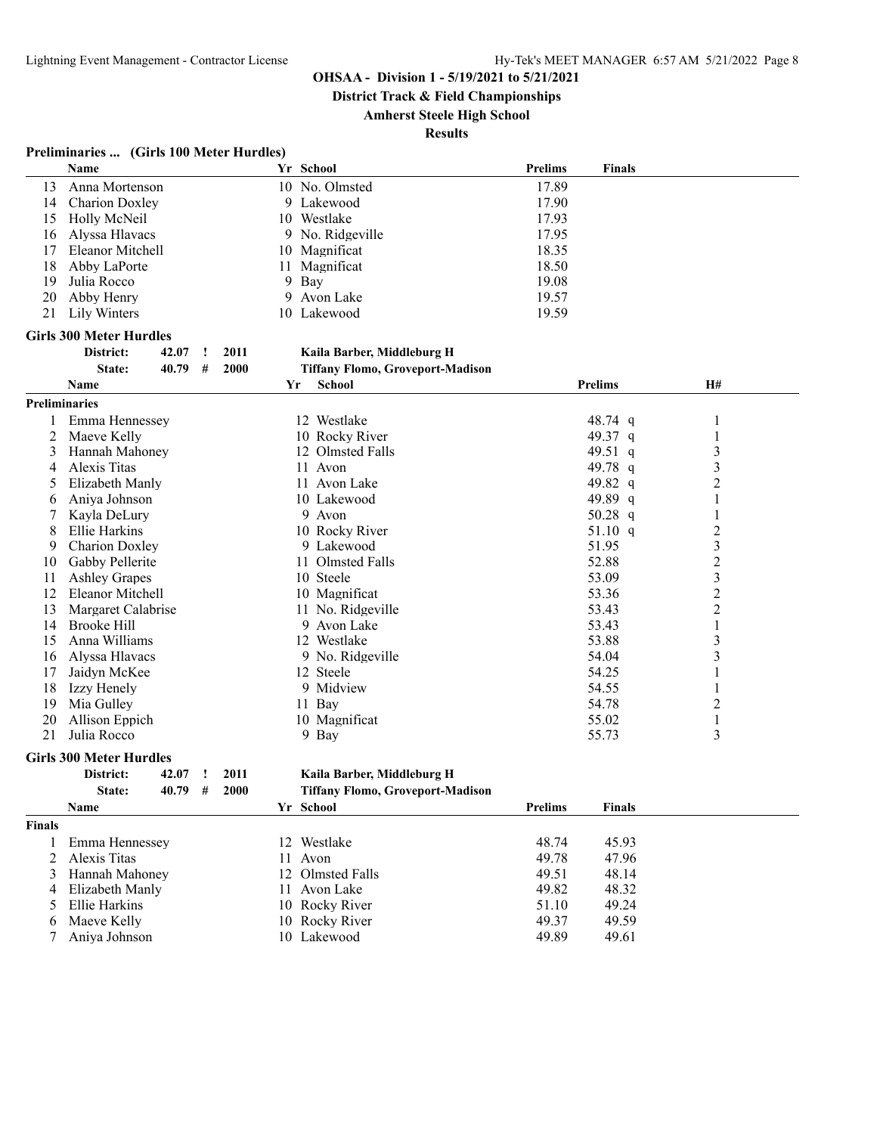**District Track & Field Championships**

**Amherst Steele High School**

**Results**

|             | Preliminaries  (Girls 100 Meter Hurdles) |           |
|-------------|------------------------------------------|-----------|
| <b>Name</b> |                                          | Yr School |

|                      | Name                            |    | Yr School                               | <b>Prelims</b> | <b>Finals</b>  |                  |  |
|----------------------|---------------------------------|----|-----------------------------------------|----------------|----------------|------------------|--|
| 13                   | Anna Mortenson                  |    | 10 No. Olmsted                          | 17.89          |                |                  |  |
| 14                   | <b>Charion Doxley</b>           |    | 9 Lakewood                              | 17.90          |                |                  |  |
| 15                   | Holly McNeil                    |    | 10 Westlake                             | 17.93          |                |                  |  |
| 16                   | Alyssa Hlavacs                  | 9  | No. Ridgeville                          | 17.95          |                |                  |  |
| 17                   | Eleanor Mitchell                | 10 | Magnificat                              | 18.35          |                |                  |  |
| 18                   | Abby LaPorte                    | 11 | Magnificat                              | 18.50          |                |                  |  |
| 19                   | Julia Rocco                     | 9  | Bay                                     | 19.08          |                |                  |  |
| 20                   | Abby Henry                      | 9  | Avon Lake                               | 19.57          |                |                  |  |
| 21                   | Lily Winters                    |    | 10 Lakewood                             | 19.59          |                |                  |  |
|                      | <b>Girls 300 Meter Hurdles</b>  |    |                                         |                |                |                  |  |
|                      | District:<br>42.07<br>2011<br>1 |    | Kaila Barber, Middleburg H              |                |                |                  |  |
|                      | 2000<br>State:<br>40.79<br>#    |    | <b>Tiffany Flomo, Groveport-Madison</b> |                |                |                  |  |
|                      | <b>Name</b>                     | Yr | <b>School</b>                           |                | <b>Prelims</b> | H#               |  |
| <b>Preliminaries</b> |                                 |    |                                         |                |                |                  |  |
|                      | Emma Hennessey                  |    | 12 Westlake                             |                | 48.74 q        | 1                |  |
| 2                    | Maeve Kelly                     |    | 10 Rocky River                          |                | 49.37 q        | 1                |  |
| 3                    | Hannah Mahoney                  |    | 12 Olmsted Falls                        |                | 49.51 q        | 3                |  |
| 4                    | Alexis Titas                    |    | 11 Avon                                 |                | 49.78 q        | 3                |  |
| 5                    | Elizabeth Manly                 |    | 11 Avon Lake                            |                | 49.82 q        | 2                |  |
| 6                    | Aniya Johnson                   |    | 10 Lakewood                             |                | 49.89 q        | 1                |  |
|                      | Kayla DeLury                    |    | 9 Avon                                  |                | 50.28 $q$      | 1                |  |
| 8                    | Ellie Harkins                   |    | 10 Rocky River                          |                | 51.10 q        | 2                |  |
| 9                    | <b>Charion Doxley</b>           |    | 9 Lakewood                              |                | 51.95          | 3                |  |
| 10                   | Gabby Pellerite                 |    | 11 Olmsted Falls                        |                | 52.88          | $\overline{c}$   |  |
| 11                   | <b>Ashley Grapes</b>            |    | 10 Steele                               |                | 53.09          | 3                |  |
| 12                   | Eleanor Mitchell                |    | 10 Magnificat                           |                | 53.36          | $\overline{c}$   |  |
| 13                   | Margaret Calabrise              |    | 11 No. Ridgeville                       |                | 53.43          | $\boldsymbol{2}$ |  |
| 14                   | <b>Brooke Hill</b>              |    | 9.<br>Avon Lake                         |                | 53.43          | $\mathbf{1}$     |  |
| 15                   | Anna Williams                   |    | 12 Westlake                             |                | 53.88          | 3                |  |
| 16                   | Alyssa Hlavacs                  |    | 9 No. Ridgeville                        |                | 54.04          | 3                |  |
| 17                   | Jaidyn McKee                    |    | 12 Steele                               |                | 54.25          | 1                |  |
| 18                   | Izzy Henely                     |    | 9 Midview                               |                | 54.55          | 1                |  |
| 19                   | Mia Gulley                      |    | 11 Bay                                  |                | 54.78          | 2                |  |
| 20                   | Allison Eppich                  |    | 10 Magnificat                           |                | 55.02          | $\mathbf{1}$     |  |
| 21                   | Julia Rocco                     |    | 9 Bay                                   |                | 55.73          | 3                |  |

# **Girls 300 Meter Hurdles**

| District: | 42.07 | $\frac{1}{2011}$ |  |
|-----------|-------|------------------|--|
| State:    | 40.79 | # 2000           |  |

**District: 42.07 ! 2011 Kaila Barber, Middleburg H**

**State: 40.79 # 2000 Tiffany Flomo, Groveport-Madison**

|               | <b>Name</b>       | Yr School        | <b>Prelims</b> | <b>Finals</b> |  |
|---------------|-------------------|------------------|----------------|---------------|--|
| <b>Finals</b> |                   |                  |                |               |  |
|               | Emma Hennessey    | 12 Westlake      | 48.74          | 45.93         |  |
|               | 2 Alexis Titas    | 11 Avon          | 49.78          | 47.96         |  |
| 3             | Hannah Mahoney    | 12 Olmsted Falls | 49.51          | 48.14         |  |
|               | 4 Elizabeth Manly | 11 Avon Lake     | 49.82          | 48.32         |  |
|               | 5 Ellie Harkins   | 10 Rocky River   | 51.10          | 49.24         |  |
|               | 6 Maeve Kelly     | 10 Rocky River   | 49.37          | 49.59         |  |
|               | Aniva Johnson     | 10 Lakewood      | 49.89          | 49.61         |  |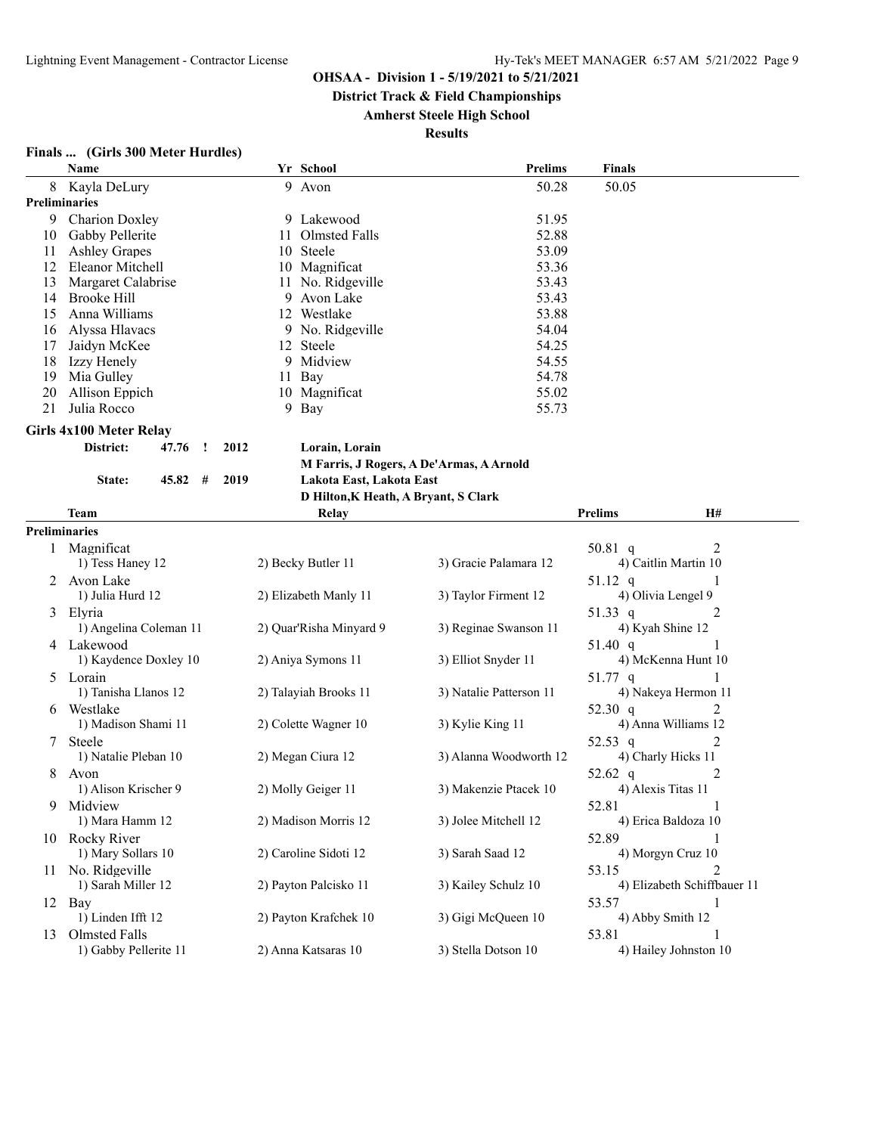**District Track & Field Championships**

**Amherst Steele High School**

| <b>Finals</b> |  |  |  | (Girls 300 Meter Hurdles) |  |
|---------------|--|--|--|---------------------------|--|
|---------------|--|--|--|---------------------------|--|

|    | Name                    |      |    | Yr School                                     | <b>Prelims</b>                           | Finals                               |
|----|-------------------------|------|----|-----------------------------------------------|------------------------------------------|--------------------------------------|
| 8  | Kayla DeLury            |      |    | 9 Avon                                        | 50.28                                    | 50.05                                |
|    | <b>Preliminaries</b>    |      |    |                                               |                                          |                                      |
| 9  | Charion Doxley          |      |    | 9 Lakewood                                    | 51.95                                    |                                      |
| 10 | Gabby Pellerite         |      | 11 | Olmsted Falls                                 | 52.88                                    |                                      |
| 11 | <b>Ashley Grapes</b>    |      | 10 | Steele                                        | 53.09                                    |                                      |
| 12 | Eleanor Mitchell        |      |    | 10 Magnificat                                 | 53.36                                    |                                      |
| 13 | Margaret Calabrise      |      |    | 11 No. Ridgeville                             | 53.43                                    |                                      |
| 14 | <b>Brooke Hill</b>      |      | 9  | Avon Lake                                     | 53.43                                    |                                      |
| 15 | Anna Williams           |      |    | 12 Westlake                                   | 53.88                                    |                                      |
| 16 | Alyssa Hlavacs          |      |    | 9 No. Ridgeville                              | 54.04                                    |                                      |
| 17 | Jaidyn McKee            |      |    | 12 Steele                                     | 54.25                                    |                                      |
| 18 | Izzy Henely             |      | 9  | Midview                                       | 54.55                                    |                                      |
| 19 | Mia Gulley              |      | 11 | Bay                                           | 54.78                                    |                                      |
| 20 | Allison Eppich          |      |    | 10 Magnificat                                 | 55.02                                    |                                      |
| 21 | Julia Rocco             |      |    | 9 Bay                                         | 55.73                                    |                                      |
|    | Girls 4x100 Meter Relay |      |    |                                               |                                          |                                      |
|    | District:<br>47.76<br>Ţ | 2012 |    |                                               |                                          |                                      |
|    |                         |      |    | Lorain, Lorain                                |                                          |                                      |
|    |                         |      |    |                                               | M Farris, J Rogers, A De'Armas, A Arnold |                                      |
|    | 45.82<br>#<br>State:    | 2019 |    | Lakota East, Lakota East                      |                                          |                                      |
|    | Team                    |      |    | D Hilton, K Heath, A Bryant, S Clark<br>Relay |                                          | H#<br><b>Prelims</b>                 |
|    |                         |      |    |                                               |                                          |                                      |
|    | <b>Preliminaries</b>    |      |    |                                               |                                          |                                      |
|    | Magnificat              |      |    |                                               |                                          | 50.81 q<br>2<br>4) Caitlin Martin 10 |
|    | 1) Tess Haney 12        |      |    | 2) Becky Butler 11                            | 3) Gracie Palamara 12                    |                                      |
| 2  | Avon Lake               |      |    |                                               |                                          | $51.12$ q                            |
|    | 1) Julia Hurd 12        |      |    | 2) Elizabeth Manly 11                         | 3) Taylor Firment 12                     | 4) Olivia Lengel 9                   |
| 3  | Elyria                  |      |    |                                               |                                          | 51.33 q<br>2                         |
|    | 1) Angelina Coleman 11  |      |    | 2) Quar'Risha Minyard 9                       | 3) Reginae Swanson 11                    | 4) Kyah Shine 12                     |
|    | 4 Lakewood              |      |    |                                               |                                          | 51.40 q                              |
|    | 1) Kaydence Doxley 10   |      |    | 2) Aniya Symons 11                            | 3) Elliot Snyder 11                      | 4) McKenna Hunt 10                   |
| 5  | Lorain                  |      |    |                                               |                                          | $51.77$ q                            |
|    | 1) Tanisha Llanos 12    |      |    | 2) Talayiah Brooks 11                         | 3) Natalie Patterson 11                  | 4) Nakeya Hermon 11                  |
| 6  | Westlake                |      |    |                                               |                                          | 2<br>52.30 q                         |
|    | 1) Madison Shami 11     |      |    | 2) Colette Wagner 10                          | 3) Kylie King 11                         | 4) Anna Williams 12                  |
| 7  | Steele                  |      |    |                                               |                                          | 2<br>52.53 q                         |
|    | 1) Natalie Pleban 10    |      |    | 2) Megan Ciura 12                             | 3) Alanna Woodworth 12                   | 4) Charly Hicks 11                   |
| 8  | Avon                    |      |    |                                               |                                          | 2<br>52.62 q                         |
|    | 1) Alison Krischer 9    |      |    | 2) Molly Geiger 11                            | 3) Makenzie Ptacek 10                    | 4) Alexis Titas 11                   |
| 9  | Midview                 |      |    |                                               |                                          | 52.81                                |
|    | 1) Mara Hamm 12         |      |    | 2) Madison Morris 12                          | 3) Jolee Mitchell 12                     | 4) Erica Baldoza 10                  |
|    | 10 Rocky River          |      |    |                                               |                                          | 52.89                                |
|    | 1) Mary Sollars 10      |      |    | 2) Caroline Sidoti 12                         | 3) Sarah Saad 12                         | 4) Morgyn Cruz 10                    |
|    | 11 No. Ridgeville       |      |    |                                               |                                          | 53.15<br>2                           |
|    | 1) Sarah Miller 12      |      |    | 2) Payton Palcisko 11                         | 3) Kailey Schulz 10                      | 4) Elizabeth Schiffbauer 11          |
|    | 12 Bay                  |      |    |                                               |                                          | 53.57<br>1                           |
|    | 1) Linden Ifft 12       |      |    | 2) Payton Krafchek 10                         | 3) Gigi McQueen 10                       | 4) Abby Smith 12                     |
| 13 | Olmsted Falls           |      |    |                                               |                                          | 53.81                                |
|    | 1) Gabby Pellerite 11   |      |    | 2) Anna Katsaras 10                           | 3) Stella Dotson 10                      | 4) Hailey Johnston 10                |
|    |                         |      |    |                                               |                                          |                                      |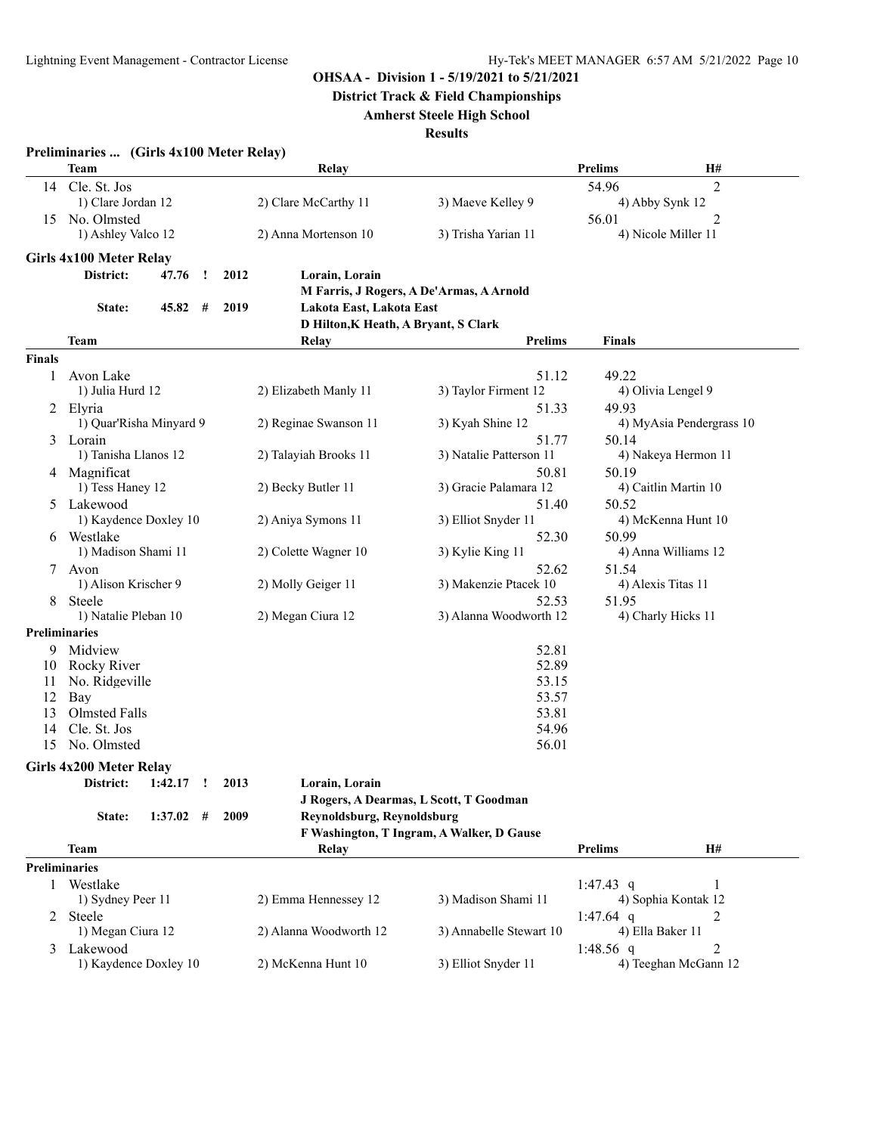**District Track & Field Championships**

# **Amherst Steele High School**

|               | Preliminaries  (Girls 4x100 Meter Relay) |                                      |                                           |                  |                          |
|---------------|------------------------------------------|--------------------------------------|-------------------------------------------|------------------|--------------------------|
|               | Team                                     | Relay                                |                                           | <b>Prelims</b>   | H#                       |
| 14            | Cle. St. Jos                             |                                      |                                           | 54.96            | 2                        |
|               | 1) Clare Jordan 12                       | 2) Clare McCarthy 11                 | 3) Maeve Kelley 9                         |                  | 4) Abby Synk 12          |
| 15            | No. Olmsted                              |                                      |                                           | 56.01            | 2                        |
|               | 1) Ashley Valco 12                       | 2) Anna Mortenson 10                 | 3) Trisha Yarian 11                       |                  | 4) Nicole Miller 11      |
|               | Girls 4x100 Meter Relay                  |                                      |                                           |                  |                          |
|               | District:<br>47.76<br>2012<br><u>!</u>   | Lorain, Lorain                       |                                           |                  |                          |
|               |                                          |                                      | M Farris, J Rogers, A De'Armas, A Arnold  |                  |                          |
|               | 45.82<br>2019<br>State:<br>#             | Lakota East, Lakota East             |                                           |                  |                          |
|               |                                          | D Hilton, K Heath, A Bryant, S Clark |                                           |                  |                          |
|               | Team                                     | Relay                                | Prelims                                   | <b>Finals</b>    |                          |
| <b>Finals</b> |                                          |                                      |                                           |                  |                          |
| 1             | Avon Lake                                |                                      | 51.12                                     | 49.22            |                          |
|               | 1) Julia Hurd 12                         | 2) Elizabeth Manly 11                | 3) Taylor Firment 12                      |                  | 4) Olivia Lengel 9       |
|               | 2 Elyria                                 |                                      | 51.33                                     | 49.93            |                          |
|               | 1) Quar'Risha Minyard 9                  | 2) Reginae Swanson 11                | 3) Kyah Shine 12                          |                  | 4) MyAsia Pendergrass 10 |
|               | 3 Lorain                                 |                                      | 51.77                                     | 50.14            |                          |
|               | 1) Tanisha Llanos 12                     | 2) Talayiah Brooks 11                | 3) Natalie Patterson 11                   |                  | 4) Nakeya Hermon 11      |
|               | 4 Magnificat                             |                                      | 50.81                                     | 50.19            |                          |
|               | 1) Tess Haney 12                         | 2) Becky Butler 11                   | 3) Gracie Palamara 12                     |                  | 4) Caitlin Martin 10     |
|               | 5 Lakewood                               |                                      | 51.40                                     | 50.52            |                          |
|               | 1) Kaydence Doxley 10                    | 2) Aniya Symons 11                   | 3) Elliot Snyder 11                       |                  | 4) McKenna Hunt 10       |
|               | 6 Westlake                               |                                      | 52.30                                     | 50.99            |                          |
|               | 1) Madison Shami 11                      | 2) Colette Wagner 10                 | 3) Kylie King 11                          |                  | 4) Anna Williams 12      |
| 7             | Avon                                     |                                      | 52.62                                     | 51.54            |                          |
|               | 1) Alison Krischer 9                     | 2) Molly Geiger 11                   | 3) Makenzie Ptacek 10                     |                  | 4) Alexis Titas 11       |
| 8             | Steele                                   |                                      | 52.53                                     | 51.95            |                          |
|               | 1) Natalie Pleban 10                     | 2) Megan Ciura 12                    | 3) Alanna Woodworth 12                    |                  | 4) Charly Hicks 11       |
|               | <b>Preliminaries</b>                     |                                      |                                           |                  |                          |
| 9.            | Midview                                  |                                      | 52.81                                     |                  |                          |
| 10            | Rocky River                              |                                      | 52.89                                     |                  |                          |
| 11            | No. Ridgeville                           |                                      | 53.15                                     |                  |                          |
| 12            | Bay                                      |                                      | 53.57                                     |                  |                          |
| 13            | Olmsted Falls                            |                                      | 53.81                                     |                  |                          |
| 14            | Cle. St. Jos                             |                                      | 54.96                                     |                  |                          |
| 15            | No. Olmsted                              |                                      | 56.01                                     |                  |                          |
|               | Girls 4x200 Meter Relay                  |                                      |                                           |                  |                          |
|               | District: 1:42.17 ! 2013                 | Lorain, Lorain                       |                                           |                  |                          |
|               |                                          |                                      | J Rogers, A Dearmas, L Scott, T Goodman   |                  |                          |
|               | 2009<br>$1:37.02$ #<br>State:            | Reynoldsburg, Reynoldsburg           |                                           |                  |                          |
|               |                                          |                                      | F Washington, T Ingram, A Walker, D Gause |                  |                          |
|               | Team                                     | Relay                                |                                           | <b>Prelims</b>   | H#                       |
|               | <b>Preliminaries</b>                     |                                      |                                           |                  |                          |
| 1             | Westlake                                 |                                      |                                           | 1:47.43 q        |                          |
|               | 1) Sydney Peer 11                        | 2) Emma Hennessey 12                 | 3) Madison Shami 11                       |                  | 4) Sophia Kontak 12      |
| 2             | Steele                                   |                                      |                                           | 1:47.64 q        | 2                        |
|               | 1) Megan Ciura 12                        | 2) Alanna Woodworth 12               | 3) Annabelle Stewart 10                   | 4) Ella Baker 11 |                          |
| 3             | Lakewood                                 |                                      |                                           | 1:48.56 $q$      | 2                        |
|               | 1) Kaydence Doxley 10                    | 2) McKenna Hunt 10                   | 3) Elliot Snyder 11                       |                  | 4) Teeghan McGann 12     |
|               |                                          |                                      |                                           |                  |                          |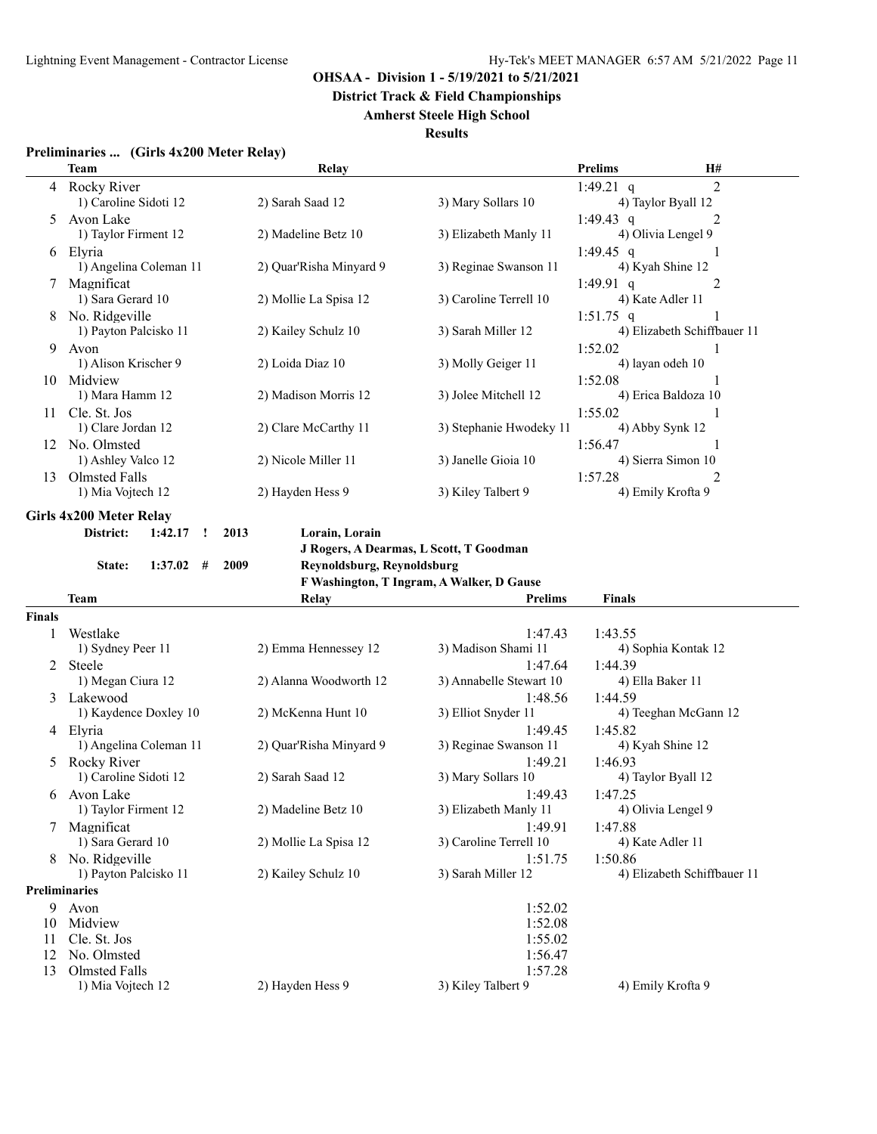**District Track & Field Championships**

# **Amherst Steele High School**

| Preliminaries  (Girls 4x200 Meter Relay) |
|------------------------------------------|
|                                          |

|                      | Team                                         | Relay                                     |                         | <b>Prelims</b><br>H#                              |
|----------------------|----------------------------------------------|-------------------------------------------|-------------------------|---------------------------------------------------|
| 4                    | Rocky River<br>1) Caroline Sidoti 12         | 2) Sarah Saad 12                          | 3) Mary Sollars 10      | $\overline{2}$<br>1:49.21 q<br>4) Taylor Byall 12 |
| 5                    | Avon Lake                                    |                                           |                         | 2<br>1:49.43 q                                    |
|                      | 1) Taylor Firment 12                         | 2) Madeline Betz 10                       | 3) Elizabeth Manly 11   | 4) Olivia Lengel 9                                |
| 6                    | Elyria                                       |                                           |                         | 1:49.45 q<br>1                                    |
|                      | 1) Angelina Coleman 11                       | 2) Quar'Risha Minyard 9                   | 3) Reginae Swanson 11   | 4) Kyah Shine 12                                  |
| 7                    | Magnificat                                   |                                           |                         | 1:49.91 q<br>2                                    |
|                      | 1) Sara Gerard 10                            | 2) Mollie La Spisa 12                     | 3) Caroline Terrell 10  | 4) Kate Adler 11                                  |
| 8                    | No. Ridgeville                               |                                           |                         | $1:51.75$ q                                       |
|                      | 1) Payton Palcisko 11                        | 2) Kailey Schulz 10                       | 3) Sarah Miller 12      | 4) Elizabeth Schiffbauer 11                       |
| 9                    | Avon                                         |                                           |                         | 1:52.02                                           |
|                      | 1) Alison Krischer 9                         | 2) Loida Diaz 10                          | 3) Molly Geiger 11      | 4) layan odeh 10                                  |
| 10                   | Midview                                      |                                           |                         | 1:52.08                                           |
|                      | 1) Mara Hamm 12                              | 2) Madison Morris 12                      | 3) Jolee Mitchell 12    | 4) Erica Baldoza 10                               |
| 11.                  | Cle. St. Jos                                 |                                           |                         | 1:55.02                                           |
|                      | 1) Clare Jordan 12                           | 2) Clare McCarthy 11                      | 3) Stephanie Hwodeky 11 | 4) Abby Synk 12                                   |
|                      | 12 No. Olmsted                               |                                           |                         | 1:56.47<br>1                                      |
|                      | 1) Ashley Valco 12                           | 2) Nicole Miller 11                       | 3) Janelle Gioia 10     | 4) Sierra Simon 10                                |
| 13                   | Olmsted Falls                                |                                           |                         | 1:57.28<br>2                                      |
|                      | 1) Mia Vojtech 12                            | 2) Hayden Hess 9                          | 3) Kiley Talbert 9      | 4) Emily Krofta 9                                 |
|                      | <b>Girls 4x200 Meter Relay</b>               |                                           |                         |                                                   |
|                      | District:<br>1:42.17<br>2013<br>$\mathbf{I}$ | Lorain, Lorain                            |                         |                                                   |
|                      |                                              | J Rogers, A Dearmas, L Scott, T Goodman   |                         |                                                   |
|                      | 1:37.02<br>#<br>2009<br>State:               | Reynoldsburg, Reynoldsburg                |                         |                                                   |
|                      |                                              | F Washington, T Ingram, A Walker, D Gause |                         |                                                   |
|                      | <b>Team</b>                                  | <b>Relay</b>                              | Prelims                 | <b>Finals</b>                                     |
| Finals               |                                              |                                           |                         |                                                   |
| 1                    | Westlake                                     |                                           | 1:47.43                 | 1:43.55                                           |
|                      | 1) Sydney Peer 11                            | 2) Emma Hennessey 12                      | 3) Madison Shami 11     | 4) Sophia Kontak 12                               |
|                      | 2 Steele                                     |                                           | 1:47.64                 |                                                   |
|                      |                                              |                                           |                         | 1:44.39                                           |
|                      | 1) Megan Ciura 12                            | 2) Alanna Woodworth 12                    | 3) Annabelle Stewart 10 | 4) Ella Baker 11                                  |
|                      | 3 Lakewood                                   |                                           | 1:48.56                 | 1:44.59                                           |
|                      | 1) Kaydence Doxley 10                        | 2) McKenna Hunt 10                        | 3) Elliot Snyder 11     | 4) Teeghan McGann 12                              |
|                      | 4 Elyria                                     |                                           | 1:49.45                 | 1:45.82                                           |
|                      | 1) Angelina Coleman 11                       | 2) Quar'Risha Minyard 9                   | 3) Reginae Swanson 11   | 4) Kyah Shine 12                                  |
| 5                    | Rocky River                                  |                                           | 1:49.21                 | 1:46.93                                           |
|                      | 1) Caroline Sidoti 12                        | 2) Sarah Saad 12                          | 3) Mary Sollars 10      | 4) Taylor Byall 12                                |
| 6                    | Avon Lake                                    |                                           | 1:49.43                 | 1:47.25                                           |
|                      | 1) Taylor Firment 12                         | 2) Madeline Betz 10                       | 3) Elizabeth Manly 11   | 4) Olivia Lengel 9                                |
|                      | 7 Magnificat                                 |                                           | 1:49.91                 | 1:47.88                                           |
|                      | 1) Sara Gerard 10                            | 2) Mollie La Spisa 12                     | 3) Caroline Terrell 10  | 4) Kate Adler 11                                  |
|                      | 8 No. Ridgeville                             |                                           | 1:51.75                 | 1:50.86                                           |
|                      | 1) Payton Palcisko 11                        | 2) Kailey Schulz 10                       | 3) Sarah Miller 12      | 4) Elizabeth Schiffbauer 11                       |
| <b>Preliminaries</b> |                                              |                                           |                         |                                                   |
|                      | 9 Avon                                       |                                           | 1:52.02                 |                                                   |
| 10<br>11             | Midview                                      |                                           | 1:52.08                 |                                                   |
| 12                   | Cle. St. Jos<br>No. Olmsted                  |                                           | 1:55.02<br>1:56.47      |                                                   |
| 13                   | Olmsted Falls                                |                                           | 1:57.28                 |                                                   |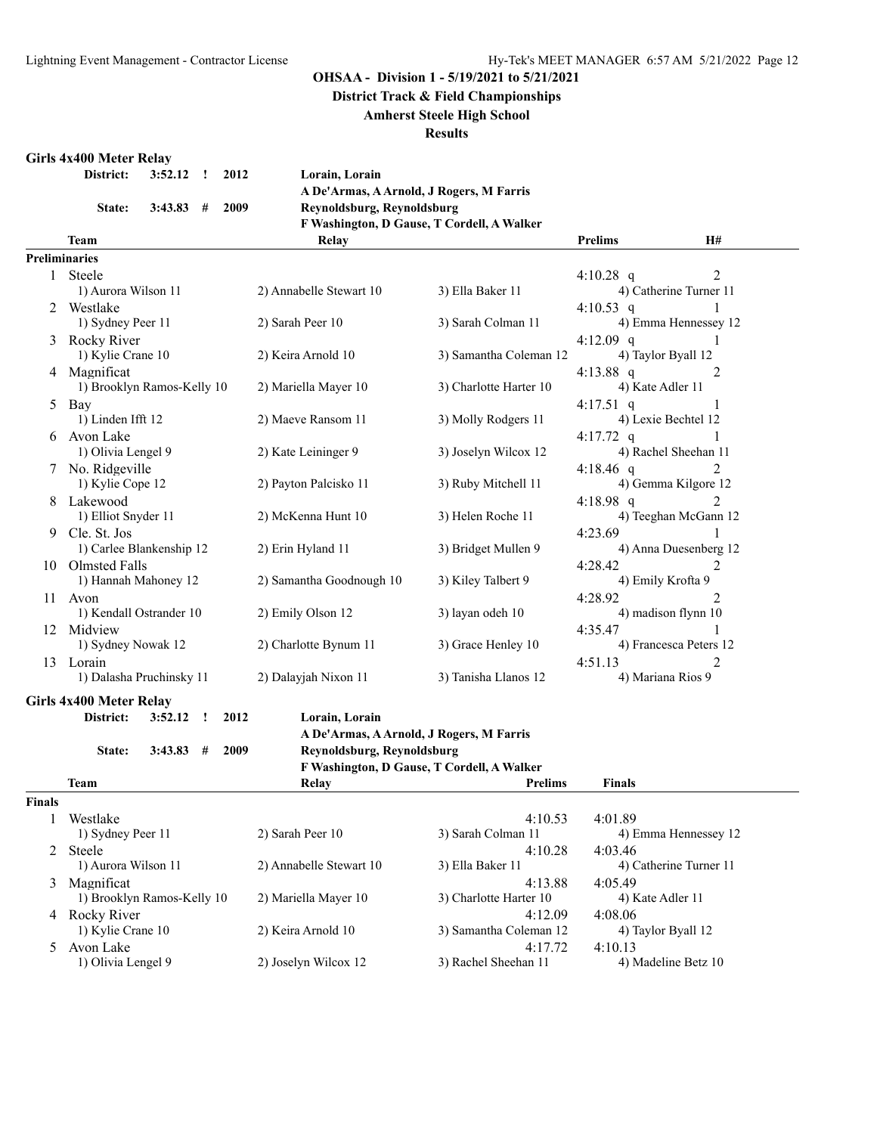**District Track & Field Championships**

**Amherst Steele High School**

#### **Results**

#### **Girls 4x400 Meter Relay**

| District: 3:52.12 ! 2012 |                         |  |
|--------------------------|-------------------------|--|
|                          | State: $3:43.83$ # 2009 |  |

| $\mathbf{I}$ | 2012 | Lorain, Lorain                             |
|--------------|------|--------------------------------------------|
|              |      | A De'Armas, A Arnold, J Rogers, M Farris   |
| #            | 2009 | Reynoldsburg, Reynoldsburg                 |
|              |      | F Washington, D Gause, T Cordell, A Walker |

**Team Relay Prelims H#**

|                | <b>Preliminaries</b>               |                                                                                                                                                                         |                        |                             |
|----------------|------------------------------------|-------------------------------------------------------------------------------------------------------------------------------------------------------------------------|------------------------|-----------------------------|
|                | 1 Steele                           |                                                                                                                                                                         |                        | $\mathfrak{D}$<br>4:10.28 q |
|                | 1) Aurora Wilson 11                | 2) Annabelle Stewart 10                                                                                                                                                 | 3) Ella Baker 11       | 4) Catherine Turner 11      |
| $\mathfrak{D}$ | Westlake                           |                                                                                                                                                                         |                        | 4:10.53 q                   |
|                | 1) Sydney Peer 11                  | 2) Sarah Peer 10                                                                                                                                                        | 3) Sarah Colman 11     | 4) Emma Hennessey 12        |
| 3              | Rocky River                        |                                                                                                                                                                         |                        | 4:12.09 q                   |
|                | 1) Kylie Crane 10                  | 2) Keira Arnold 10                                                                                                                                                      | 3) Samantha Coleman 12 | 4) Taylor Byall 12          |
| 4              | Magnificat                         |                                                                                                                                                                         |                        | 4:13.88 q<br>2              |
|                | 1) Brooklyn Ramos-Kelly 10         | 2) Mariella Mayer 10                                                                                                                                                    | 3) Charlotte Harter 10 | 4) Kate Adler 11            |
| 5              | Bay                                |                                                                                                                                                                         |                        | 4:17.51 q                   |
|                | 1) Linden Ifft 12                  | 2) Maeve Ransom 11                                                                                                                                                      | 3) Molly Rodgers 11    | 4) Lexie Bechtel 12         |
| 6              | Avon Lake                          |                                                                                                                                                                         |                        | $4:17.72$ q                 |
|                | 1) Olivia Lengel 9                 | 2) Kate Leininger 9                                                                                                                                                     | 3) Joselyn Wilcox 12   | 4) Rachel Sheehan 11        |
|                | No. Ridgeville                     |                                                                                                                                                                         |                        | 4:18.46 q<br>$\mathfrak{D}$ |
|                | 1) Kylie Cope 12                   | 2) Payton Palcisko 11                                                                                                                                                   | 3) Ruby Mitchell 11    | 4) Gemma Kilgore 12         |
| 8              | Lakewood                           |                                                                                                                                                                         |                        | 4:18.98 q<br>$\mathfrak{D}$ |
|                | 1) Elliot Snyder 11                | 2) McKenna Hunt 10                                                                                                                                                      | 3) Helen Roche 11      | 4) Teeghan McGann 12        |
| 9              | Cle. St. Jos                       |                                                                                                                                                                         |                        | 4:23.69                     |
|                | 1) Carlee Blankenship 12           | 2) Erin Hyland 11                                                                                                                                                       | 3) Bridget Mullen 9    | 4) Anna Duesenberg 12       |
| 10             | Olmsted Falls                      |                                                                                                                                                                         |                        | 4:28.42<br>$\overline{2}$   |
|                | 1) Hannah Mahoney 12               | 2) Samantha Goodnough 10                                                                                                                                                | 3) Kiley Talbert 9     | 4) Emily Krofta 9           |
| 11             | Avon                               |                                                                                                                                                                         |                        | 4:28.92<br>2                |
|                | 1) Kendall Ostrander 10            | 2) Emily Olson 12                                                                                                                                                       | 3) layan odeh 10       | 4) madison flynn 10         |
| 12             | Midview                            |                                                                                                                                                                         |                        | 4:35.47                     |
|                | 1) Sydney Nowak 12                 | 2) Charlotte Bynum 11                                                                                                                                                   | 3) Grace Henley 10     | 4) Francesca Peters 12      |
| 13             | Lorain                             |                                                                                                                                                                         |                        | 4:51.13<br>$\overline{2}$   |
|                | 1) Dalasha Pruchinsky 11           | 2) Dalayjah Nixon 11                                                                                                                                                    | 3) Tanisha Llanos 12   | 4) Mariana Rios 9           |
|                | Girls 4x400 Meter Relay            |                                                                                                                                                                         |                        |                             |
|                | District:<br>3:52.12<br>2012<br>J. | Lorain, Lorain                                                                                                                                                          |                        |                             |
|                |                                    | $\mathbf{1} \mathbf{R}$ $\mathbf{1} \mathbf{1}$ $\mathbf{1} \mathbf{1}$ $\mathbf{1} \mathbf{R}$ $\mathbf{1} \mathbf{R}$ $\mathbf{1} \mathbf{R}$ $\mathbf{1} \mathbf{R}$ |                        |                             |

**A De'Armas, A Arnold, J Rogers, M Farris**

**State: 3:43.83 # 2009 Reynoldsburg, Reynoldsburg**

**F Washington, D Gause, T Cordell, A Walker**

|               | Team                       | Relay                   | <b>Prelims</b>         | <b>Finals</b>          |
|---------------|----------------------------|-------------------------|------------------------|------------------------|
| <b>Finals</b> |                            |                         |                        |                        |
|               | Westlake                   |                         | 4:10.53                | 4:01.89                |
|               | 1) Sydney Peer 11          | 2) Sarah Peer 10        | 3) Sarah Colman 11     | 4) Emma Hennessey 12   |
| 2             | Steele                     |                         | 4:10.28                | 4:03.46                |
|               | 1) Aurora Wilson 11        | 2) Annabelle Stewart 10 | 3) Ella Baker 11       | 4) Catherine Turner 11 |
| 3             | Magnificat                 |                         | 4:13.88                | 4:05.49                |
|               | 1) Brooklyn Ramos-Kelly 10 | 2) Mariella Mayer 10    | 3) Charlotte Harter 10 | 4) Kate Adler 11       |
|               | 4 Rocky River              |                         | 4:12.09                | 4:08.06                |
|               | 1) Kylie Crane 10          | 2) Keira Arnold 10      | 3) Samantha Coleman 12 | 4) Taylor Byall 12     |
| 5.            | Avon Lake                  |                         | 4:17.72                | 4:10.13                |
|               | 1) Olivia Lengel 9         | 2) Joselyn Wilcox 12    | 3) Rachel Sheehan 11   | 4) Madeline Betz 10    |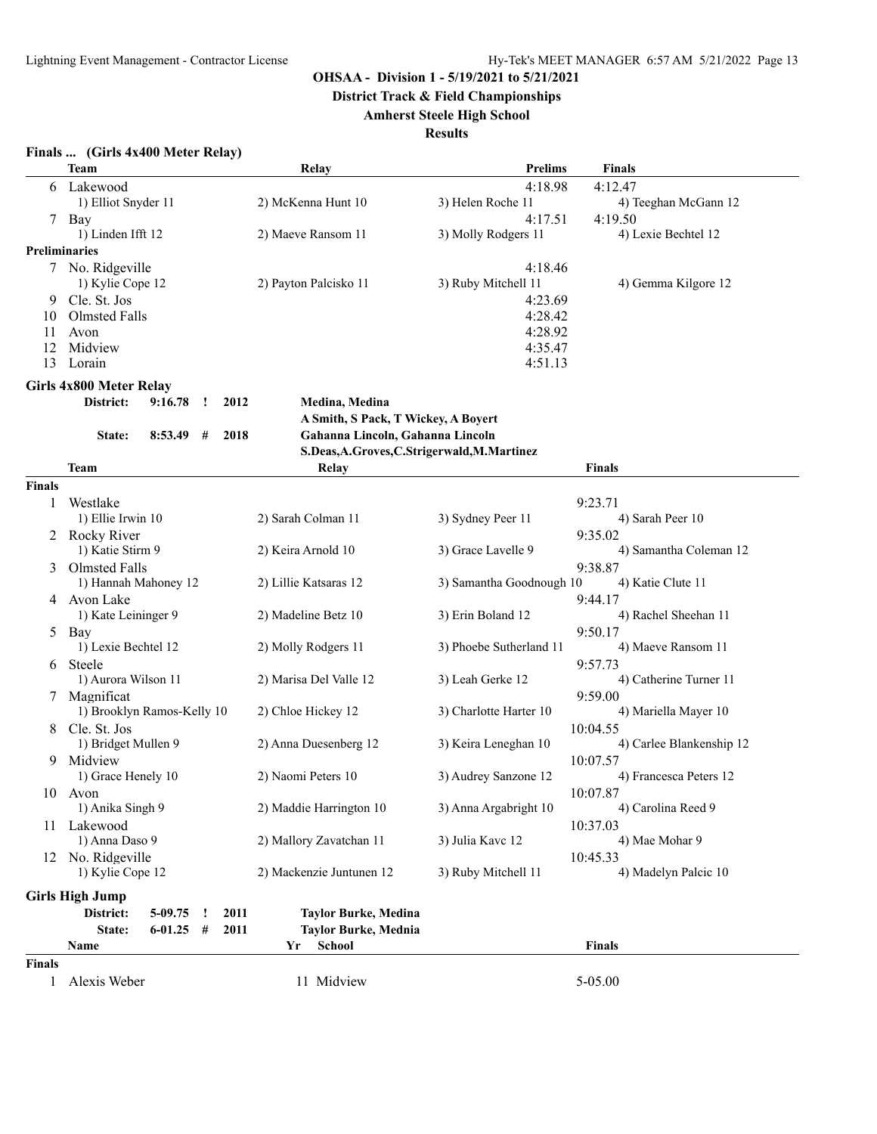**District Track & Field Championships**

# **Amherst Steele High School**

|               | Finals  (Girls 4x400 Meter Relay) |             |              |      |                                             |                          |                          |
|---------------|-----------------------------------|-------------|--------------|------|---------------------------------------------|--------------------------|--------------------------|
|               | <b>Team</b>                       |             |              |      | Relay                                       | <b>Prelims</b>           | Finals                   |
| 6             | Lakewood                          |             |              |      |                                             | 4:18.98                  | 4:12.47                  |
|               | 1) Elliot Snyder 11               |             |              |      | 2) McKenna Hunt 10                          | 3) Helen Roche 11        | 4) Teeghan McGann 12     |
|               | 7 Bay                             |             |              |      |                                             | 4:17.51                  | 4:19.50                  |
|               | 1) Linden Ifft 12                 |             |              |      | 2) Maeve Ransom 11                          | 3) Molly Rodgers 11      | 4) Lexie Bechtel 12      |
|               | <b>Preliminaries</b>              |             |              |      |                                             |                          |                          |
|               | 7 No. Ridgeville                  |             |              |      |                                             | 4:18.46                  |                          |
|               | 1) Kylie Cope 12                  |             |              |      | 2) Payton Palcisko 11                       | 3) Ruby Mitchell 11      | 4) Gemma Kilgore 12      |
|               | 9 Cle. St. Jos                    |             |              |      |                                             | 4:23.69                  |                          |
| 10            | Olmsted Falls                     |             |              |      |                                             | 4:28.42                  |                          |
| 11            | Avon                              |             |              |      |                                             | 4:28.92                  |                          |
| 12            | Midview                           |             |              |      |                                             | 4:35.47                  |                          |
| 13            | Lorain                            |             |              |      |                                             | 4:51.13                  |                          |
|               | Girls 4x800 Meter Relay           |             |              |      |                                             |                          |                          |
|               | District:                         | 9:16.78     | $\mathbf{r}$ | 2012 | Medina, Medina                              |                          |                          |
|               |                                   |             |              |      | A Smith, S Pack, T Wickey, A Boyert         |                          |                          |
|               | State:                            | 8:53.49     | #            | 2018 | Gahanna Lincoln, Gahanna Lincoln            |                          |                          |
|               |                                   |             |              |      | S.Deas, A.Groves, C.Strigerwald, M.Martinez |                          |                          |
|               | <b>Team</b>                       |             |              |      | Relay                                       |                          | <b>Finals</b>            |
| <b>Finals</b> |                                   |             |              |      |                                             |                          |                          |
| 1             | Westlake                          |             |              |      |                                             |                          | 9:23.71                  |
|               | 1) Ellie Irwin 10                 |             |              |      | 2) Sarah Colman 11                          | 3) Sydney Peer 11        | 4) Sarah Peer 10         |
|               |                                   |             |              |      |                                             |                          | 9:35.02                  |
|               | 2 Rocky River<br>1) Katie Stirm 9 |             |              |      | 2) Keira Arnold 10                          | 3) Grace Lavelle 9       | 4) Samantha Coleman 12   |
|               |                                   |             |              |      |                                             |                          |                          |
|               | 3 Olmsted Falls                   |             |              |      |                                             |                          | 9:38.87                  |
|               | 1) Hannah Mahoney 12              |             |              |      | 2) Lillie Katsaras 12                       | 3) Samantha Goodnough 10 | 4) Katie Clute 11        |
|               | 4 Avon Lake                       |             |              |      |                                             |                          | 9:44.17                  |
|               | 1) Kate Leininger 9               |             |              |      | 2) Madeline Betz 10                         | 3) Erin Boland 12        | 4) Rachel Sheehan 11     |
|               | 5 Bay                             |             |              |      |                                             |                          | 9:50.17                  |
|               | 1) Lexie Bechtel 12               |             |              |      | 2) Molly Rodgers 11                         | 3) Phoebe Sutherland 11  | 4) Maeve Ransom 11       |
| 6             | Steele                            |             |              |      |                                             |                          | 9:57.73                  |
|               | 1) Aurora Wilson 11               |             |              |      | 2) Marisa Del Valle 12                      | 3) Leah Gerke 12         | 4) Catherine Turner 11   |
|               | 7 Magnificat                      |             |              |      |                                             |                          | 9:59.00                  |
|               | 1) Brooklyn Ramos-Kelly 10        |             |              |      | 2) Chloe Hickey 12                          | 3) Charlotte Harter 10   | 4) Mariella Mayer 10     |
|               | 8 Cle. St. Jos                    |             |              |      |                                             |                          | 10:04.55                 |
|               | 1) Bridget Mullen 9               |             |              |      | 2) Anna Duesenberg 12                       | 3) Keira Leneghan 10     | 4) Carlee Blankenship 12 |
| 9             | Midview                           |             |              |      |                                             |                          | 10:07.57                 |
|               | 1) Grace Henely 10                |             |              |      | 2) Naomi Peters 10                          | 3) Audrey Sanzone 12     | 4) Francesca Peters 12   |
|               | 10 Avon                           |             |              |      |                                             |                          | 10:07.87                 |
|               | 1) Anika Singh 9                  |             |              |      | 2) Maddie Harrington 10                     | 3) Anna Argabright 10    | 4) Carolina Reed 9       |
|               | 11 Lakewood                       |             |              |      |                                             |                          | 10:37.03                 |
|               | 1) Anna Daso 9                    |             |              |      | 2) Mallory Zavatchan 11                     | 3) Julia Kavc 12         | 4) Mae Mohar 9           |
|               | 12 No. Ridgeville                 |             |              |      | 10:45.33                                    |                          |                          |
|               | 1) Kylie Cope 12                  |             |              |      | 2) Mackenzie Juntunen 12                    | 3) Ruby Mitchell 11      | 4) Madelyn Palcic 10     |
|               |                                   |             |              |      |                                             |                          |                          |
|               | <b>Girls High Jump</b>            |             |              |      |                                             |                          |                          |
|               | District:                         | 5-09.75     | $\cdot$      | 2011 | <b>Taylor Burke, Medina</b>                 |                          |                          |
|               | State:                            | $6-01.25$ # |              | 2011 | <b>Taylor Burke, Mednia</b>                 |                          |                          |
|               | Name                              |             |              |      | School<br>Yr                                |                          | Finals                   |
| <b>Finals</b> |                                   |             |              |      |                                             |                          |                          |
| 1             | Alexis Weber                      |             |              |      | 11 Midview                                  |                          | 5-05.00                  |
|               |                                   |             |              |      |                                             |                          |                          |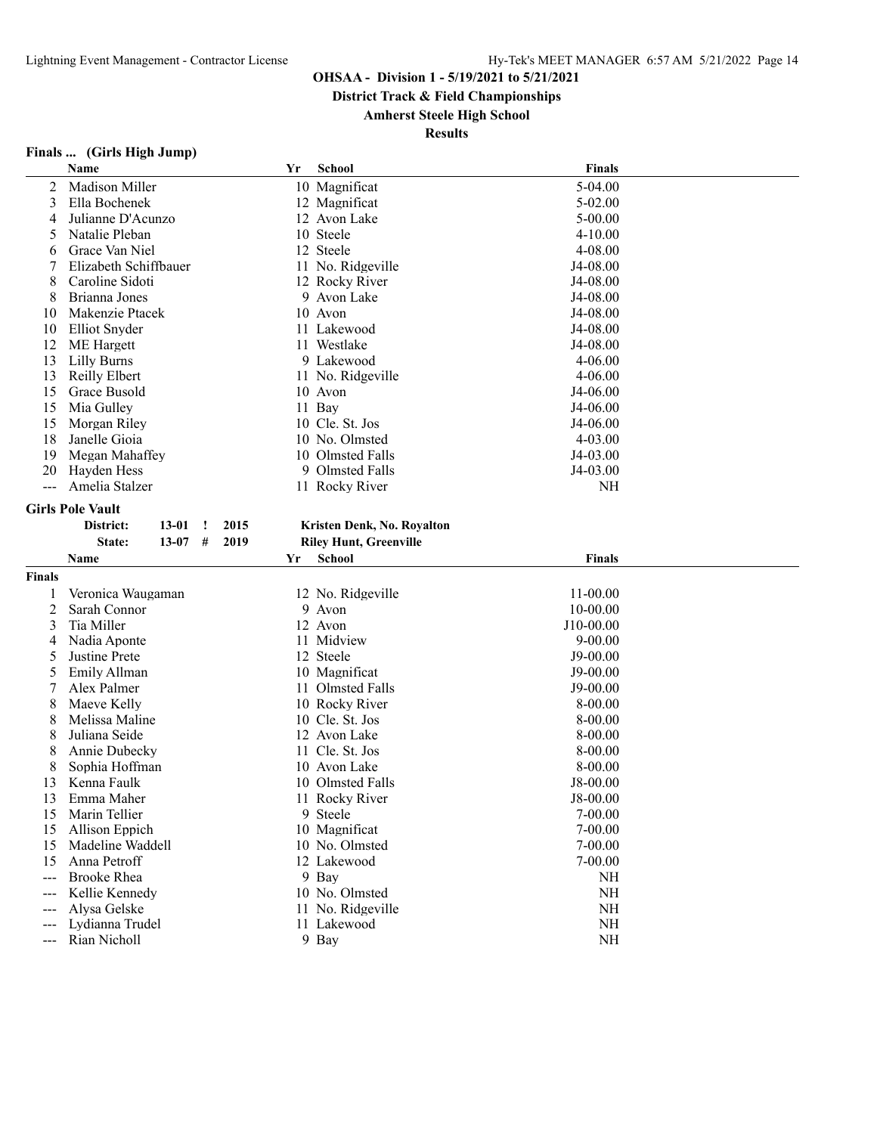**District Track & Field Championships**

# **Amherst Steele High School**

| Finals |  | (Girls High Jump) |  |
|--------|--|-------------------|--|
|        |  |                   |  |

|               | Name                                | Yr | <b>School</b>                 | <b>Finals</b>         |  |
|---------------|-------------------------------------|----|-------------------------------|-----------------------|--|
| 2             | Madison Miller                      |    | 10 Magnificat                 | 5-04.00               |  |
| 3             | Ella Bochenek                       |    | 12 Magnificat                 | $5 - 02.00$           |  |
| 4             | Julianne D'Acunzo                   |    | 12 Avon Lake                  | $5 - 00.00$           |  |
| 5             | Natalie Pleban                      |    | 10 Steele                     | $4 - 10.00$           |  |
| 6             | Grace Van Niel                      |    | 12 Steele                     | 4-08.00               |  |
|               | Elizabeth Schiffbauer               |    | 11 No. Ridgeville             | J4-08.00              |  |
| 8             | Caroline Sidoti                     |    | 12 Rocky River                | J4-08.00              |  |
| 8             | Brianna Jones                       |    | 9 Avon Lake                   | J4-08.00              |  |
| 10            | Makenzie Ptacek                     |    | 10 Avon                       | J4-08.00              |  |
| 10            | Elliot Snyder                       |    | 11 Lakewood                   | J4-08.00              |  |
| 12            | <b>ME</b> Hargett                   |    | 11 Westlake                   | J4-08.00              |  |
| 13            | <b>Lilly Burns</b>                  |    | 9 Lakewood                    | $4 - 06.00$           |  |
| 13            | <b>Reilly Elbert</b>                |    | 11 No. Ridgeville             | $4 - 06.00$           |  |
| 15            | Grace Busold                        |    | 10 Avon                       | J4-06.00              |  |
| 15            | Mia Gulley                          |    | 11 Bay                        | J4-06.00              |  |
| 15            | Morgan Riley                        |    | 10 Cle. St. Jos               | J4-06.00              |  |
| 18            | Janelle Gioia                       |    | 10 No. Olmsted                | 4-03.00               |  |
| 19            | Megan Mahaffey                      |    | 10 Olmsted Falls              | J4-03.00              |  |
| 20            | Hayden Hess                         |    | 9 Olmsted Falls               | J4-03.00              |  |
| ---           | Amelia Stalzer                      |    | 11 Rocky River                | NH                    |  |
|               |                                     |    |                               |                       |  |
|               | <b>Girls Pole Vault</b>             |    |                               |                       |  |
|               | District:<br>2015<br>$13 - 01$<br>Ţ |    | Kristen Denk, No. Royalton    |                       |  |
|               | #<br>2019<br>State:<br>13-07        |    | <b>Riley Hunt, Greenville</b> |                       |  |
|               | Name                                | Yr | <b>School</b>                 | <b>Finals</b>         |  |
| <b>Finals</b> |                                     |    |                               |                       |  |
|               | Veronica Waugaman                   |    | 12 No. Ridgeville             | $11 - 00.00$          |  |
| 2             | Sarah Connor                        |    | 9 Avon                        | $10 - 00.00$          |  |
| 3             | Tia Miller                          |    | 12 Avon                       | J10-00.00             |  |
| 4             | Nadia Aponte                        |    | 11 Midview                    | $9 - 00.00$           |  |
| 5             | Justine Prete                       |    | 12 Steele                     | J9-00.00              |  |
| 5             | Emily Allman                        |    | 10 Magnificat                 | J9-00.00              |  |
|               | Alex Palmer                         |    | 11 Olmsted Falls              | J9-00.00              |  |
| 8             | Maeve Kelly                         |    | 10 Rocky River                | 8-00.00               |  |
| 8             | Melissa Maline                      |    | 10 Cle. St. Jos               | 8-00.00               |  |
| 8             | Juliana Seide                       |    | 12 Avon Lake                  | 8-00.00               |  |
| 8             | Annie Dubecky                       |    | 11 Cle. St. Jos               | 8-00.00               |  |
| 8             | Sophia Hoffman                      |    | 10 Avon Lake                  |                       |  |
| 13            | Kenna Faulk                         |    | Olmsted Falls                 | 8-00.00<br>$J8-00.00$ |  |
|               |                                     | 10 |                               |                       |  |
| 13            | Emma Maher                          |    | 11 Rocky River                | J8-00.00<br>7-00.00   |  |
| 15            | Marin Tellier                       |    | 9 Steele                      |                       |  |
| 15            | Allison Eppich                      |    | 10 Magnificat                 | $7 - 00.00$           |  |
| 15            | Madeline Waddell                    |    | 10 No. Olmsted                | $7 - 00.00$           |  |
| 15            | Anna Petroff                        |    | 12 Lakewood                   | $7 - 00.00$           |  |
|               | <b>Brooke Rhea</b>                  |    | 9 Bay                         | NH                    |  |
| ---           | Kellie Kennedy                      |    | 10 No. Olmsted                | NH                    |  |
| $---$         | Alysa Gelske                        |    | 11 No. Ridgeville             | NH                    |  |
| $---$         | Lydianna Trudel                     |    |                               |                       |  |
|               | Rian Nicholl                        |    | 11 Lakewood<br>9 Bay          | NH<br><b>NH</b>       |  |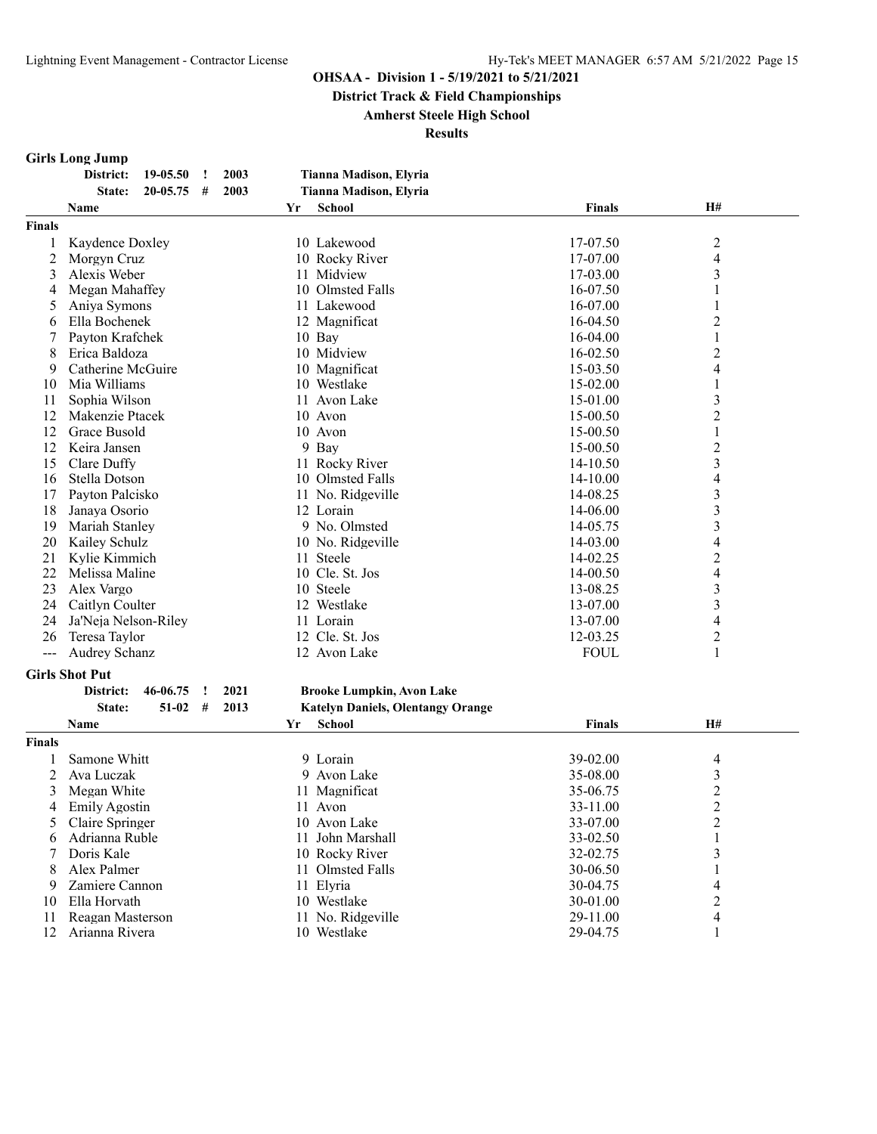**District Track & Field Championships**

#### **Amherst Steele High School**

**Results**

# **Girls Long Jump**

|               | 19-05.50<br>2003<br>District:<br>$\cdot$ | <b>Tianna Madison, Elyria</b>            |               |                         |  |
|---------------|------------------------------------------|------------------------------------------|---------------|-------------------------|--|
|               | 20-05.75<br>2003<br>State:<br>#          | Tianna Madison, Elyria                   |               |                         |  |
|               | Name                                     | <b>School</b><br>Yr                      | <b>Finals</b> | Н#                      |  |
| <b>Finals</b> |                                          |                                          |               |                         |  |
| 1             | Kaydence Doxley                          | 10 Lakewood                              | 17-07.50      | $\overline{c}$          |  |
| 2             | Morgyn Cruz                              | 10 Rocky River                           | 17-07.00      | 4                       |  |
| 3             | Alexis Weber                             | 11 Midview                               | 17-03.00      | 3                       |  |
| 4             | Megan Mahaffey                           | 10 Olmsted Falls                         | 16-07.50      | 1                       |  |
| 5             | Aniya Symons                             | 11 Lakewood                              | 16-07.00      | 1                       |  |
| 6             | Ella Bochenek                            | 12 Magnificat                            | 16-04.50      | 2                       |  |
| 7             | Payton Krafchek                          | 10 Bay                                   | $16-04.00$    | 1                       |  |
| 8             | Erica Baldoza                            | 10 Midview                               | 16-02.50      | 2                       |  |
| 9             | Catherine McGuire                        | 10 Magnificat                            | 15-03.50      | 4                       |  |
| 10            | Mia Williams                             | 10 Westlake                              | 15-02.00      | 1                       |  |
| 11            | Sophia Wilson                            | 11 Avon Lake                             | 15-01.00      | 3                       |  |
| 12            | Makenzie Ptacek                          | 10 Avon                                  | 15-00.50      | 2                       |  |
| 12            | Grace Busold                             | 10 Avon                                  | 15-00.50      | 1                       |  |
| 12            | Keira Jansen                             | 9 Bay                                    | 15-00.50      | 2                       |  |
| 15            | Clare Duffy                              | 11 Rocky River                           | 14-10.50      | 3                       |  |
| 16            | Stella Dotson                            | 10 Olmsted Falls                         | 14-10.00      | 4                       |  |
| 17            | Payton Palcisko                          | 11 No. Ridgeville                        | 14-08.25      | 3                       |  |
| 18            | Janaya Osorio                            | 12 Lorain                                | 14-06.00      | 3                       |  |
| 19            | Mariah Stanley                           | 9 No. Olmsted                            | 14-05.75      | 3                       |  |
| 20            | Kailey Schulz                            | 10 No. Ridgeville                        | 14-03.00      | 4                       |  |
| 21            | Kylie Kimmich                            | 11 Steele                                | 14-02.25      | $\overline{c}$          |  |
| 22            | Melissa Maline                           | 10 Cle. St. Jos                          | 14-00.50      | 4                       |  |
| 23            | Alex Vargo                               | 10 Steele                                | 13-08.25      | 3                       |  |
| 24            | Caitlyn Coulter                          | 12 Westlake                              | 13-07.00      | 3                       |  |
| 24            | Ja'Neja Nelson-Riley                     | 11 Lorain                                | 13-07.00      | 4                       |  |
| 26            | Teresa Taylor                            | 12 Cle. St. Jos                          | 12-03.25      | 2                       |  |
| $---$         | <b>Audrey Schanz</b>                     | 12 Avon Lake                             | <b>FOUL</b>   | 1                       |  |
|               |                                          |                                          |               |                         |  |
|               | <b>Girls Shot Put</b>                    |                                          |               |                         |  |
|               | 46-06.75<br>2021<br>District:<br>$\cdot$ | <b>Brooke Lumpkin, Avon Lake</b>         |               |                         |  |
|               | State:<br>$51-02$<br>#<br>2013           | <b>Katelyn Daniels, Olentangy Orange</b> |               |                         |  |
|               | Name                                     | School<br>Yr                             | <b>Finals</b> | H#                      |  |
| <b>Finals</b> |                                          |                                          |               |                         |  |
| 1             | Samone Whitt                             | 9 Lorain                                 | 39-02.00      | 4                       |  |
| 2             | Ava Luczak                               | 9 Avon Lake                              | 35-08.00      | 3                       |  |
| 3             | Megan White                              | 11 Magnificat                            | 35-06.75      | $\overline{c}$          |  |
| 4             | Emily Agostin                            | 11 Avon                                  | 33-11.00      | 2                       |  |
| 5             | Claire Springer                          | 10 Avon Lake                             | 33-07.00      | $\overline{\mathbf{c}}$ |  |
| 6             | Adrianna Ruble                           | 11 John Marshall                         | 33-02.50      |                         |  |
| 7             | Doris Kale                               | 10 Rocky River                           | 32-02.75      | 3                       |  |
| 8             | Alex Palmer                              | 11 Olmsted Falls                         | 30-06.50      |                         |  |
| 9             | Zamiere Cannon                           | 11 Elyria                                | 30-04.75      | 4                       |  |
| 10            | Ella Horvath                             | 10 Westlake                              | 30-01.00      | 2                       |  |
| 11            | Reagan Masterson                         | 11 No. Ridgeville                        | 29-11.00      | 4                       |  |
| 12            | Arianna Rivera                           | 10 Westlake                              | 29-04.75      | 1                       |  |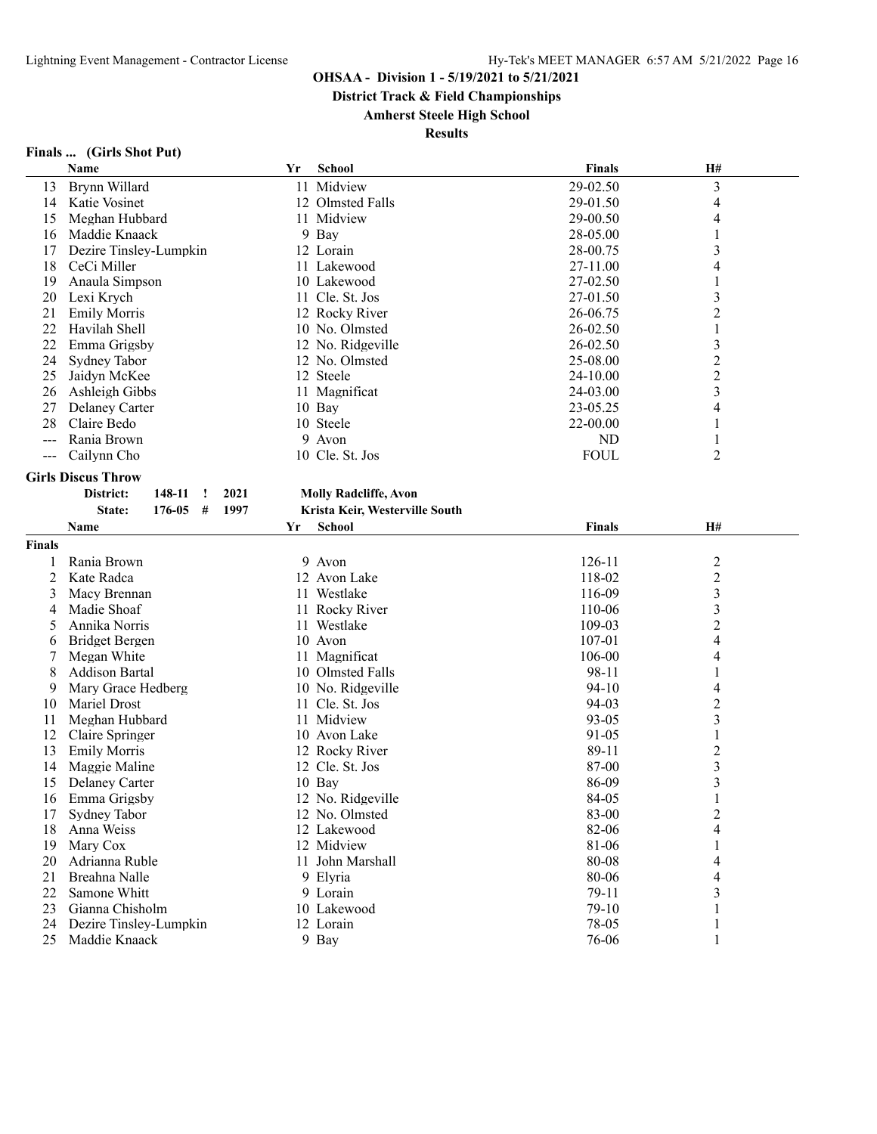**District Track & Field Championships**

# **Amherst Steele High School**

| Finals<br>(Girls Shot Put) |
|----------------------------|
|----------------------------|

|               | Name                      | Yr   | <b>School</b>                  | <b>Finals</b>  | H#               |  |
|---------------|---------------------------|------|--------------------------------|----------------|------------------|--|
| 13            | Brynn Willard             |      | 11 Midview                     | 29-02.50       | 3                |  |
| 14            | Katie Vosinet             |      | 12 Olmsted Falls               | 29-01.50       | 4                |  |
| 15            | Meghan Hubbard            |      | 11 Midview                     | 29-00.50       | 4                |  |
| 16            | Maddie Knaack             |      | 9 Bay                          | 28-05.00       | 1                |  |
| 17            | Dezire Tinsley-Lumpkin    |      | 12 Lorain                      | 28-00.75       | 3                |  |
| 18            | CeCi Miller               |      | 11 Lakewood                    | 27-11.00       | 4                |  |
| 19            | Anaula Simpson            |      | 10 Lakewood                    | 27-02.50       | 1                |  |
| 20            | Lexi Krych                |      | 11 Cle. St. Jos                | 27-01.50       | 3                |  |
| 21            | <b>Emily Morris</b>       |      | 12 Rocky River                 | 26-06.75       | $\overline{c}$   |  |
| 22            | Havilah Shell             |      | 10 No. Olmsted                 | 26-02.50       | 1                |  |
| 22            | Emma Grigsby              |      | 12 No. Ridgeville              | 26-02.50       | 3                |  |
| 24            | Sydney Tabor              |      | 12 No. Olmsted                 | 25-08.00       | $\overline{c}$   |  |
| 25            | Jaidyn McKee              |      | 12 Steele                      | 24-10.00       | $\boldsymbol{2}$ |  |
| 26            | Ashleigh Gibbs            |      | 11 Magnificat                  | 24-03.00       | 3                |  |
| 27            | Delaney Carter            |      | 10 Bay                         | 23-05.25       | 4                |  |
| 28            | Claire Bedo               |      | 10 Steele                      | 22-00.00       | 1                |  |
| $---$         | Rania Brown               |      | 9 Avon                         | N <sub>D</sub> | 1                |  |
| $---$         | Cailynn Cho               |      | 10 Cle. St. Jos                | <b>FOUL</b>    | 2                |  |
|               |                           |      |                                |                |                  |  |
|               | <b>Girls Discus Throw</b> |      |                                |                |                  |  |
|               | District:<br>148-11<br>!  | 2021 | <b>Molly Radcliffe, Avon</b>   |                |                  |  |
|               | State:<br>176-05<br>#     | 1997 | Krista Keir, Westerville South |                |                  |  |
|               | Name                      | Yr   | <b>School</b>                  | <b>Finals</b>  | H#               |  |
| <b>Finals</b> |                           |      |                                |                |                  |  |
| 1             | Rania Brown               |      | 9 Avon                         | 126-11         | $\overline{c}$   |  |
| 2             | Kate Radca                |      | 12 Avon Lake                   | 118-02         | $\overline{c}$   |  |
| 3             | Macy Brennan              |      | 11 Westlake                    | 116-09         | 3                |  |
| 4             | Madie Shoaf               |      | 11 Rocky River                 | 110-06         | 3                |  |
| 5             | Annika Norris             |      | 11 Westlake                    | 109-03         | $\overline{c}$   |  |
| 6             | <b>Bridget Bergen</b>     |      | 10 Avon                        | 107-01         | 4                |  |
| 7             | Megan White               |      | 11 Magnificat                  | 106-00         | 4                |  |
| 8             | <b>Addison Bartal</b>     |      | 10 Olmsted Falls               | 98-11          |                  |  |
| 9             | Mary Grace Hedberg        |      | 10 No. Ridgeville              | $94-10$        | 4                |  |
| 10            | Mariel Drost              |      | 11 Cle. St. Jos                | 94-03          | $\overline{c}$   |  |
| 11            | Meghan Hubbard            |      | 11 Midview                     | 93-05          | 3                |  |
| 12            | Claire Springer           |      | 10 Avon Lake                   | 91-05          | 1                |  |
| 13            | <b>Emily Morris</b>       |      | 12 Rocky River                 | 89-11          | $\overline{c}$   |  |
| 14            | Maggie Maline             |      | 12 Cle. St. Jos                | 87-00          | $\mathfrak{Z}$   |  |
| 15            | Delaney Carter            |      | 10 Bay                         | 86-09          | 3                |  |
| 16            | Emma Grigsby              |      | 12 No. Ridgeville              | 84-05          | 1                |  |
| 17            | Sydney Tabor              |      | 12 No. Olmsted                 | 83-00          | $\overline{c}$   |  |
| 18            | Anna Weiss                |      | 12 Lakewood                    | 82-06          | 4                |  |
| 19            | Mary Cox                  |      | 12 Midview                     | 81-06          |                  |  |
| 20            | Adrianna Ruble            |      | 11 John Marshall               | 80-08          | 4                |  |
| 21            | Breahna Nalle             |      | 9 Elyria                       | 80-06          | 4                |  |
| 22            | Samone Whitt              |      | 9 Lorain                       | 79-11          | 3                |  |
| 23            | Gianna Chisholm           |      | 10 Lakewood                    | 79-10          | 1                |  |
| 24            | Dezire Tinsley-Lumpkin    |      | 12 Lorain                      | 78-05          | 1                |  |
| 25            | Maddie Knaack             |      | 9 Bay                          | 76-06          |                  |  |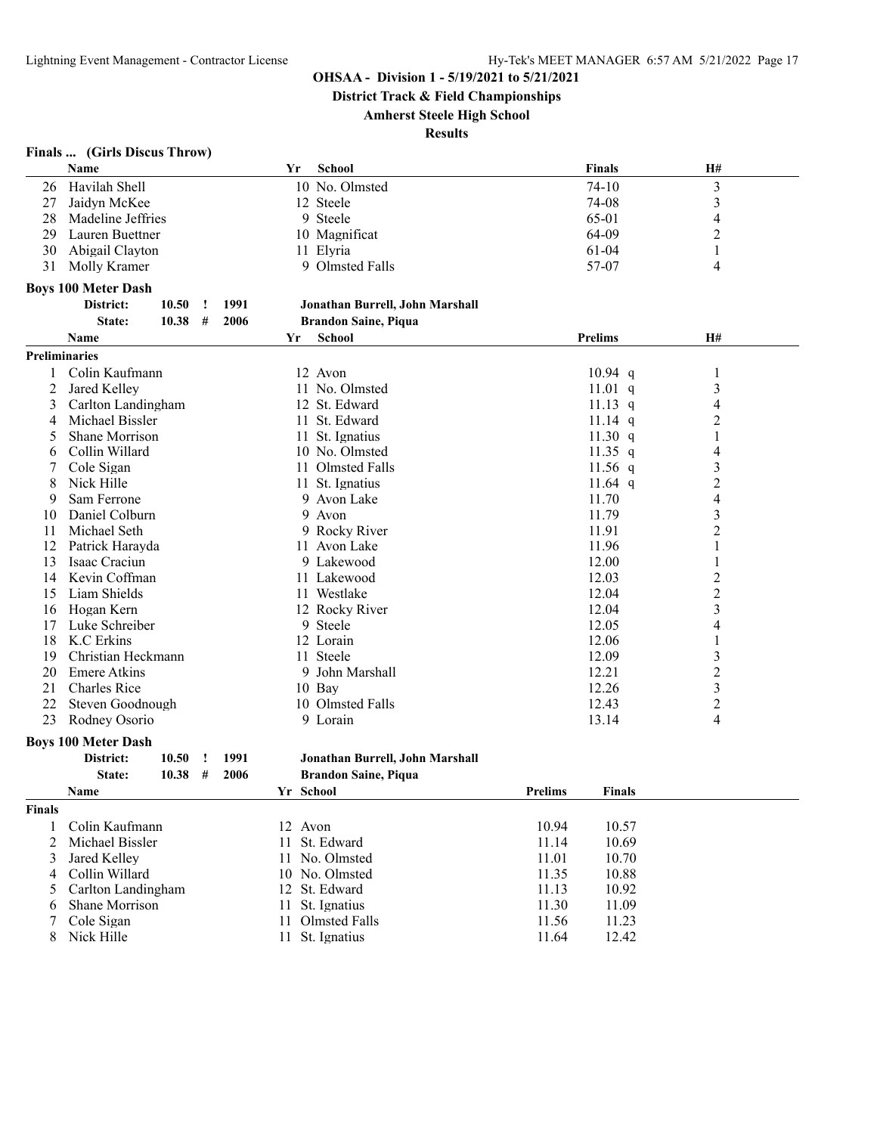**District Track & Field Championships**

**Amherst Steele High School**

**Results**

# **Finals ... (Girls Discus Throw)**

|                      | Name                                 |       |          |      | Yr        | <b>School</b>                   |                | <b>Finals</b>  | H#             |  |
|----------------------|--------------------------------------|-------|----------|------|-----------|---------------------------------|----------------|----------------|----------------|--|
| 26                   | Havilah Shell                        |       |          |      |           | 10 No. Olmsted                  |                | $74 - 10$      | 3              |  |
| 27                   | Jaidyn McKee                         |       |          |      |           | 12 Steele                       |                | 74-08          | 3              |  |
| 28                   | Madeline Jeffries                    |       |          |      |           | 9 Steele                        |                | 65-01          | 4              |  |
| 29                   | Lauren Buettner                      |       |          |      |           | 10 Magnificat                   |                | 64-09          | 2              |  |
| 30                   | Abigail Clayton                      |       |          |      |           | 11 Elyria                       |                | $61 - 04$      | 1              |  |
| 31                   | Molly Kramer                         |       |          |      |           | 9 Olmsted Falls                 |                | 57-07          | 4              |  |
|                      |                                      |       |          |      |           |                                 |                |                |                |  |
|                      | <b>Boys 100 Meter Dash</b>           |       |          |      |           |                                 |                |                |                |  |
|                      | District:                            | 10.50 | <u>!</u> | 1991 |           | Jonathan Burrell, John Marshall |                |                |                |  |
|                      | State:                               | 10.38 | #        | 2006 |           | <b>Brandon Saine, Piqua</b>     |                |                |                |  |
|                      | Name                                 |       |          |      | Yr        | <b>School</b>                   |                | <b>Prelims</b> | <b>H#</b>      |  |
| <b>Preliminaries</b> |                                      |       |          |      |           |                                 |                |                |                |  |
| 1                    | Colin Kaufmann                       |       |          |      |           | 12 Avon                         |                | $10.94$ q      | $\mathbf{1}$   |  |
| 2                    | Jared Kelley                         |       |          |      |           | 11 No. Olmsted                  |                | $11.01$ q      | 3              |  |
| 3                    | Carlton Landingham                   |       |          |      |           | 12 St. Edward                   |                | 11.13 q        | 4              |  |
| 4                    | Michael Bissler                      |       |          |      |           | 11 St. Edward                   |                | $11.14$ q      | 2              |  |
| 5                    | Shane Morrison                       |       |          |      |           | 11 St. Ignatius                 |                | 11.30 $q$      | 1              |  |
| 6                    | Collin Willard                       |       |          |      |           | 10 No. Olmsted                  |                | 11.35 $q$      | 4              |  |
| 7                    | Cole Sigan                           |       |          |      |           | 11 Olmsted Falls                |                | $11.56$ q      | 3              |  |
| 8                    | Nick Hille                           |       |          |      |           | 11 St. Ignatius                 |                | 11.64 q        | 2              |  |
| 9                    | Sam Ferrone                          |       |          |      |           | 9 Avon Lake                     |                | 11.70          | 4              |  |
| 10                   | Daniel Colburn                       |       |          |      |           | 9 Avon                          |                | 11.79          | 3              |  |
| 11                   | Michael Seth                         |       |          |      |           | 9 Rocky River                   |                | 11.91          | 2              |  |
| 12                   | Patrick Harayda                      |       |          |      |           | 11 Avon Lake                    |                | 11.96          | 1              |  |
| 13                   | Isaac Craciun                        |       |          |      |           | 9 Lakewood                      |                | 12.00          | 1              |  |
| 14                   | Kevin Coffman                        |       |          |      |           | 11 Lakewood                     |                | 12.03          | 2              |  |
| 15                   | Liam Shields                         |       |          |      |           | 11 Westlake                     |                | 12.04          | $\overline{c}$ |  |
| 16                   | Hogan Kern                           |       |          |      |           | 12 Rocky River                  |                | 12.04          | 3              |  |
| 17                   | Luke Schreiber                       |       |          |      |           | 9 Steele                        |                | 12.05          | 4              |  |
| 18                   | K.C Erkins                           |       |          |      |           | 12 Lorain                       |                | 12.06          | 1              |  |
| 19                   | Christian Heckmann                   |       |          |      |           | 11 Steele                       |                |                |                |  |
| 20                   | <b>Emere Atkins</b>                  |       |          |      |           |                                 |                | 12.09          | 3              |  |
| 21                   | <b>Charles Rice</b>                  |       |          |      |           | 9 John Marshall                 |                | 12.21          | 2              |  |
|                      |                                      |       |          |      |           | 10 Bay                          |                | 12.26          | 3              |  |
| 22                   | Steven Goodnough                     |       |          |      |           | 10 Olmsted Falls                |                | 12.43          | $\overline{c}$ |  |
| 23                   | Rodney Osorio                        |       |          |      |           | 9 Lorain                        |                | 13.14          | 4              |  |
|                      | <b>Boys 100 Meter Dash</b>           |       |          |      |           |                                 |                |                |                |  |
|                      | District:                            | 10.50 | !        | 1991 |           | Jonathan Burrell, John Marshall |                |                |                |  |
|                      | State:                               | 10.38 | #        | 2006 |           | <b>Brandon Saine, Piqua</b>     |                |                |                |  |
|                      | Name                                 |       |          |      | Yr School |                                 | <b>Prelims</b> | <b>Finals</b>  |                |  |
| <b>Finals</b>        |                                      |       |          |      |           |                                 |                |                |                |  |
| 1                    | Colin Kaufmann                       |       |          |      | 12 Avon   |                                 | 10.94          | 10.57          |                |  |
| 2                    | Michael Bissler                      |       |          |      | 11        | St. Edward                      | 11.14          | 10.69          |                |  |
| 3                    | Jared Kelley                         |       |          |      |           | 11 No. Olmsted                  | 11.01          | 10.70          |                |  |
| 4                    | Collin Willard                       |       |          |      |           | 10 No. Olmsted                  | 11.35          | 10.88          |                |  |
|                      |                                      |       |          |      |           | St. Edward                      |                | 10.92          |                |  |
| 5                    | Carlton Landingham<br>Shane Morrison |       |          |      | 12        | St. Ignatius                    | 11.13          |                |                |  |
| 6                    |                                      |       |          |      | 11        |                                 | 11.30          | 11.09          |                |  |
| 7                    | Cole Sigan                           |       |          |      |           | 11 Olmsted Falls                | 11.56          | 11.23          |                |  |
| 8                    | Nick Hille                           |       |          |      |           | 11 St. Ignatius                 | 11.64          | 12.42          |                |  |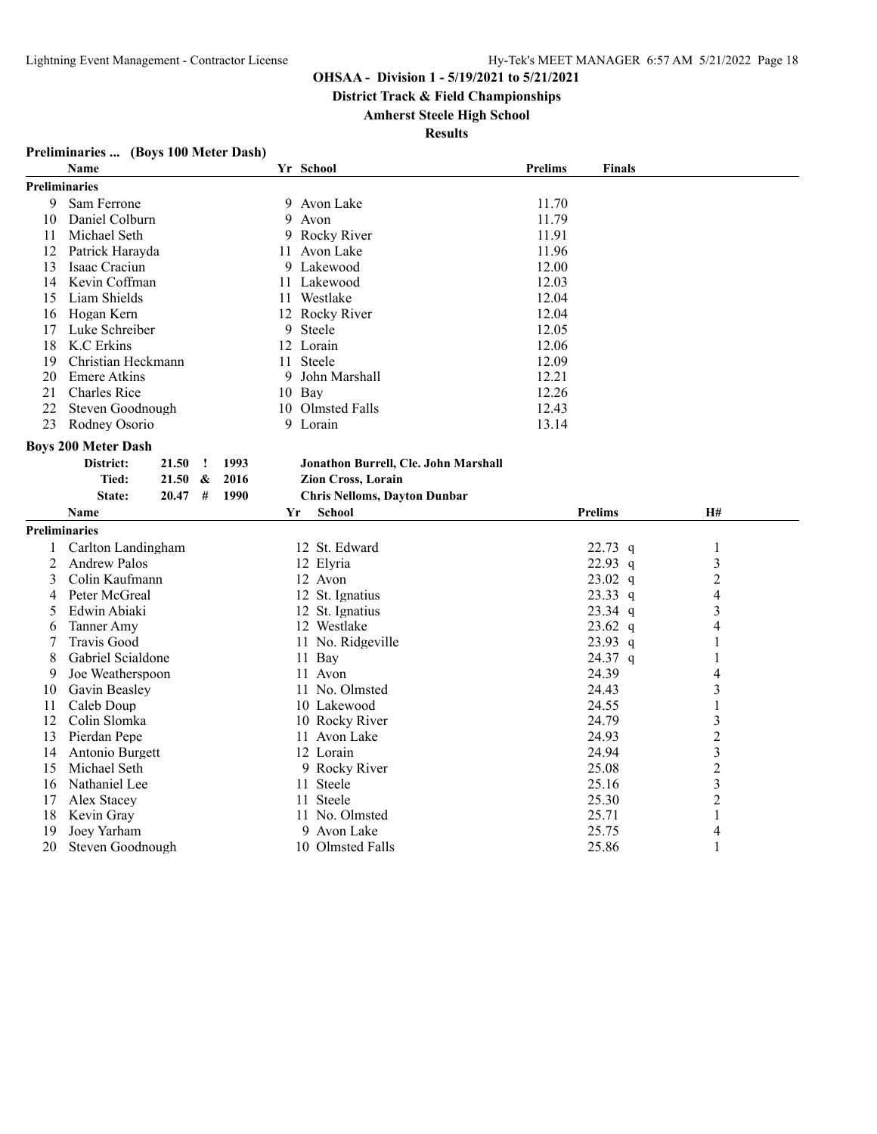**District Track & Field Championships**

**Amherst Steele High School**

| Preliminaries  (Boys 100 Meter Dash) |
|--------------------------------------|
|--------------------------------------|

|                      | <b>Name</b>                |       |   |      |    |        | Yr School                            | <b>Prelims</b> | Finals         |                |  |
|----------------------|----------------------------|-------|---|------|----|--------|--------------------------------------|----------------|----------------|----------------|--|
| <b>Preliminaries</b> |                            |       |   |      |    |        |                                      |                |                |                |  |
| 9                    | Sam Ferrone                |       |   |      | 9. |        | Avon Lake                            | 11.70          |                |                |  |
| 10                   | Daniel Colburn             |       |   |      | 9  |        | Avon                                 | 11.79          |                |                |  |
| 11                   | Michael Seth               |       |   |      | 9  |        | Rocky River                          | 11.91          |                |                |  |
| 12                   | Patrick Harayda            |       |   |      |    |        | 11 Avon Lake                         | 11.96          |                |                |  |
| 13                   | Isaac Craciun              |       |   |      |    |        | 9 Lakewood                           | 12.00          |                |                |  |
| 14                   | Kevin Coffman              |       |   |      |    |        | 11 Lakewood                          | 12.03          |                |                |  |
| 15                   | Liam Shields               |       |   |      |    |        | 11 Westlake                          | 12.04          |                |                |  |
| 16                   | Hogan Kern                 |       |   |      |    |        | 12 Rocky River                       | 12.04          |                |                |  |
| 17                   | Luke Schreiber             |       |   |      | 9  |        | Steele                               | 12.05          |                |                |  |
| 18                   | K.C Erkins                 |       |   |      |    |        | 12 Lorain                            | 12.06          |                |                |  |
| 19                   | Christian Heckmann         |       |   |      |    |        | 11 Steele                            | 12.09          |                |                |  |
| 20                   | <b>Emere Atkins</b>        |       |   |      |    |        | 9 John Marshall                      | 12.21          |                |                |  |
| 21                   | <b>Charles Rice</b>        |       |   |      |    | 10 Bay |                                      | 12.26          |                |                |  |
| 22                   | Steven Goodnough           |       |   |      |    |        | 10 Olmsted Falls                     | 12.43          |                |                |  |
| 23                   | Rodney Osorio              |       |   |      |    |        | 9 Lorain                             | 13.14          |                |                |  |
|                      | <b>Boys 200 Meter Dash</b> |       |   |      |    |        |                                      |                |                |                |  |
|                      | District:                  | 21.50 | Ţ | 1993 |    |        | Jonathon Burrell, Cle. John Marshall |                |                |                |  |
|                      | Tied:                      | 21.50 | & | 2016 |    |        | Zion Cross, Lorain                   |                |                |                |  |
|                      | State:                     | 20.47 | # | 1990 |    |        | <b>Chris Nelloms, Dayton Dunbar</b>  |                |                |                |  |
|                      | <b>Name</b>                |       |   |      | Yr |        | <b>School</b>                        |                | <b>Prelims</b> | H#             |  |
| <b>Preliminaries</b> |                            |       |   |      |    |        |                                      |                |                |                |  |
| $\mathbf{1}$         | Carlton Landingham         |       |   |      |    |        | 12 St. Edward                        |                | $22.73$ q      | 1              |  |
| 2                    | <b>Andrew Palos</b>        |       |   |      |    |        | 12 Elyria                            |                | 22.93 q        | 3              |  |
| 3                    | Colin Kaufmann             |       |   |      |    |        | 12 Avon                              |                | $23.02$ q      | $\overline{2}$ |  |
| 4                    | Peter McGreal              |       |   |      |    |        | 12 St. Ignatius                      |                | $23.33$ q      | 4              |  |
| 5                    | Edwin Abiaki               |       |   |      |    |        | 12 St. Ignatius                      |                | $23.34$ q      | 3              |  |
| 6                    | Tanner Amy                 |       |   |      |    |        | 12 Westlake                          |                | $23.62$ q      | 4              |  |
| 7                    | Travis Good                |       |   |      |    |        | 11 No. Ridgeville                    |                | $23.93$ q      | 1              |  |
| 8                    | Gabriel Scialdone          |       |   |      |    |        | 11 Bay                               |                | 24.37 q        | 1              |  |
| 9                    | Joe Weatherspoon           |       |   |      |    |        | 11 Avon                              |                | 24.39          | 4              |  |
| 10                   | Gavin Beasley              |       |   |      |    |        | 11 No. Olmsted                       |                | 24.43          | 3              |  |
| 11                   | Caleb Doup                 |       |   |      |    |        | 10 Lakewood                          |                | 24.55          | 1              |  |
| 12                   | Colin Slomka               |       |   |      |    |        | 10 Rocky River                       |                | 24.79          | 3              |  |
| 13                   | Pierdan Pepe               |       |   |      |    |        | 11 Avon Lake                         |                | 24.93          | $\overline{2}$ |  |
| 14                   | Antonio Burgett            |       |   |      |    |        | 12 Lorain                            |                | 24.94          | 3              |  |
| 15                   | Michael Seth               |       |   |      |    |        | 9 Rocky River                        |                | 25.08          | $\overline{2}$ |  |
| 16                   | Nathaniel Lee              |       |   |      |    |        | 11 Steele                            |                | 25.16          | 3              |  |
| 17                   | Alex Stacey                |       |   |      |    |        | 11 Steele                            |                | 25.30          | $\overline{2}$ |  |
| 18                   | Kevin Gray                 |       |   |      |    |        | 11 No. Olmsted                       |                | 25.71          | 1              |  |
| 19                   |                            |       |   |      |    |        |                                      |                |                |                |  |
|                      | Joey Yarham                |       |   |      |    |        | 9 Avon Lake                          |                | 25.75          | 4              |  |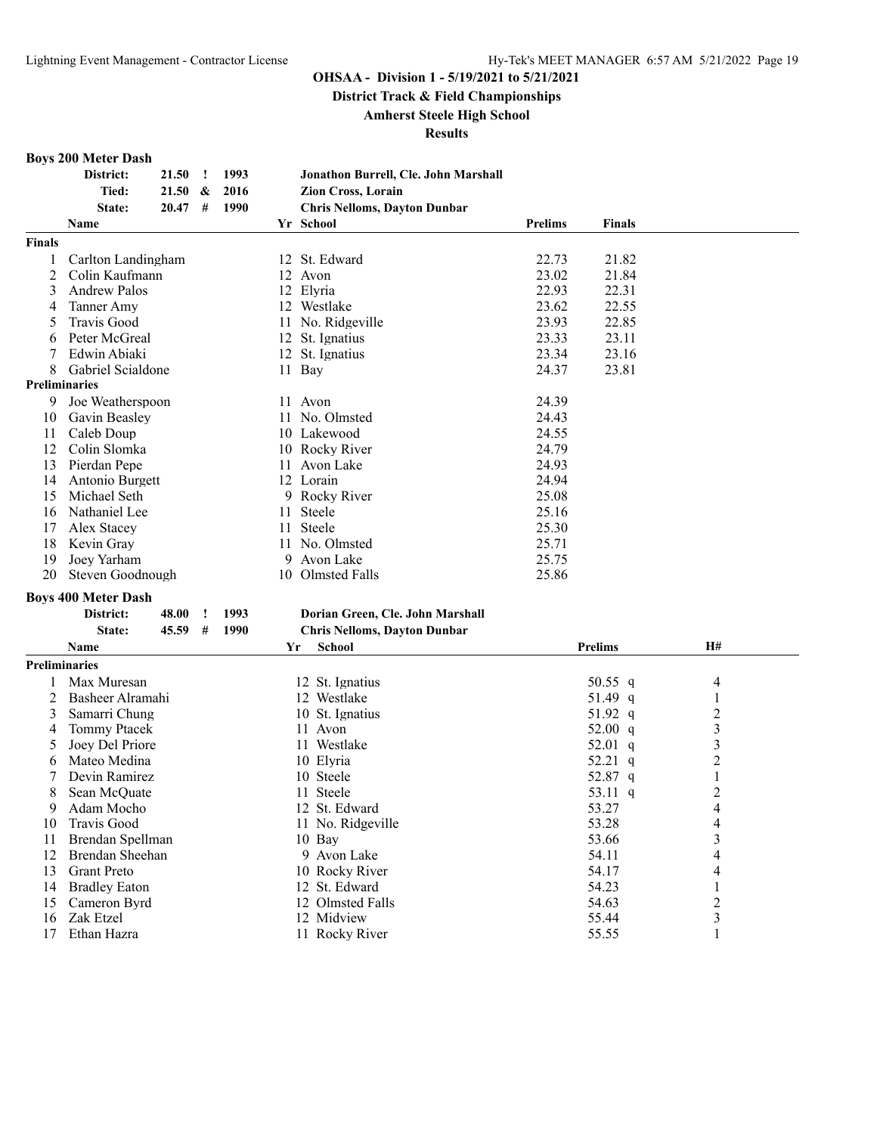**District Track & Field Championships**

**Amherst Steele High School**

**Results**

#### **Boys 200 Meter Dash**

|                      | District:                  | 21.50 | Ţ | 1993 |    | Jonathon Burrell, Cle. John Marshall |         |                |    |  |
|----------------------|----------------------------|-------|---|------|----|--------------------------------------|---------|----------------|----|--|
|                      | Tied:                      | 21.50 | & | 2016 |    | Zion Cross, Lorain                   |         |                |    |  |
|                      | State:                     | 20.47 | # | 1990 |    | <b>Chris Nelloms, Dayton Dunbar</b>  |         |                |    |  |
|                      | Name                       |       |   |      |    | Yr School                            | Prelims | <b>Finals</b>  |    |  |
| Finals               |                            |       |   |      |    |                                      |         |                |    |  |
| 1                    | Carlton Landingham         |       |   |      |    | 12 St. Edward                        | 22.73   | 21.82          |    |  |
| 2                    | Colin Kaufmann             |       |   |      |    | 12 Avon                              | 23.02   | 21.84          |    |  |
| 3                    | <b>Andrew Palos</b>        |       |   |      |    | 12 Elyria                            | 22.93   | 22.31          |    |  |
| 4                    | Tanner Amy                 |       |   |      |    | 12 Westlake                          | 23.62   | 22.55          |    |  |
| 5                    | <b>Travis Good</b>         |       |   |      |    | 11 No. Ridgeville                    | 23.93   | 22.85          |    |  |
| 6                    | Peter McGreal              |       |   |      |    | 12 St. Ignatius                      | 23.33   | 23.11          |    |  |
| 7                    | Edwin Abiaki               |       |   |      |    | 12 St. Ignatius                      | 23.34   | 23.16          |    |  |
| 8                    | Gabriel Scialdone          |       |   |      |    | 11 Bay                               | 24.37   | 23.81          |    |  |
| <b>Preliminaries</b> |                            |       |   |      |    |                                      |         |                |    |  |
| 9                    | Joe Weatherspoon           |       |   |      |    | 11 Avon                              | 24.39   |                |    |  |
|                      |                            |       |   |      |    |                                      |         |                |    |  |
| 10                   | Gavin Beasley              |       |   |      |    | 11 No. Olmsted                       | 24.43   |                |    |  |
| 11                   | Caleb Doup                 |       |   |      |    | 10 Lakewood                          | 24.55   |                |    |  |
| 12                   | Colin Slomka               |       |   |      |    | 10 Rocky River                       | 24.79   |                |    |  |
| 13                   | Pierdan Pepe               |       |   |      |    | 11 Avon Lake                         | 24.93   |                |    |  |
| 14                   | Antonio Burgett            |       |   |      |    | 12 Lorain                            | 24.94   |                |    |  |
| 15                   | Michael Seth               |       |   |      |    | 9 Rocky River                        | 25.08   |                |    |  |
| 16                   | Nathaniel Lee              |       |   |      | 11 | Steele                               | 25.16   |                |    |  |
| 17                   | Alex Stacey                |       |   |      | 11 | Steele                               | 25.30   |                |    |  |
| 18                   | Kevin Gray                 |       |   |      |    | 11 No. Olmsted                       | 25.71   |                |    |  |
| 19                   | Joey Yarham                |       |   |      |    | 9 Avon Lake                          | 25.75   |                |    |  |
| 20                   | Steven Goodnough           |       |   |      |    | 10 Olmsted Falls                     | 25.86   |                |    |  |
|                      | <b>Boys 400 Meter Dash</b> |       |   |      |    |                                      |         |                |    |  |
|                      | District:                  | 48.00 | Ţ | 1993 |    | Dorian Green, Cle. John Marshall     |         |                |    |  |
|                      | State:                     | 45.59 | # | 1990 |    | <b>Chris Nelloms, Dayton Dunbar</b>  |         |                |    |  |
|                      | Name                       |       |   |      |    | <b>School</b><br>Yr                  |         | <b>Prelims</b> | H# |  |
| <b>Preliminaries</b> |                            |       |   |      |    |                                      |         |                |    |  |
| 1                    | Max Muresan                |       |   |      |    | 12 St. Ignatius                      |         | 50.55 $q$      | 4  |  |
| 2                    | Basheer Alramahi           |       |   |      |    | 12 Westlake                          |         | 51.49 q        | 1  |  |
| 3                    | Samarri Chung              |       |   |      |    | 10 St. Ignatius                      |         | 51.92 q        | 2  |  |
| 4                    | <b>Tommy Ptacek</b>        |       |   |      |    | 11 Avon                              |         | 52.00 $q$      | 3  |  |
| 5                    | Joey Del Priore            |       |   |      |    | 11 Westlake                          |         | 52.01 $q$      | 3  |  |
| 6                    | Mateo Medina               |       |   |      |    | 10 Elyria                            |         | 52.21 q        | 2  |  |
| 7                    | Devin Ramirez              |       |   |      |    | 10 Steele                            |         | 52.87 q        | 1  |  |
| 8                    | Sean McQuate               |       |   |      |    | 11 Steele                            |         | 53.11 $q$      | 2  |  |
| 9                    | Adam Mocho                 |       |   |      |    | 12 St. Edward                        |         | 53.27          | 4  |  |
| 10                   | Travis Good                |       |   |      |    | 11 No. Ridgeville                    |         | 53.28          | 4  |  |
| 11                   | Brendan Spellman           |       |   |      |    | 10 Bay                               |         | 53.66          | 3  |  |
| 12                   | Brendan Sheehan            |       |   |      |    | 9 Avon Lake                          |         |                |    |  |
|                      |                            |       |   |      |    | 10 Rocky River                       |         | 54.11<br>54.17 | 4  |  |
| 13                   | <b>Grant Preto</b>         |       |   |      |    |                                      |         |                | 4  |  |
| 14                   | <b>Bradley Eaton</b>       |       |   |      |    | 12 St. Edward                        |         | 54.23          | 1  |  |
| 15                   | Cameron Byrd               |       |   |      |    | 12 Olmsted Falls                     |         | 54.63          | 2  |  |
| 16                   | Zak Etzel                  |       |   |      |    | 12 Midview                           |         | 55.44          | 3  |  |
| 17                   | Ethan Hazra                |       |   |      |    | 11 Rocky River                       |         | 55.55          | 1  |  |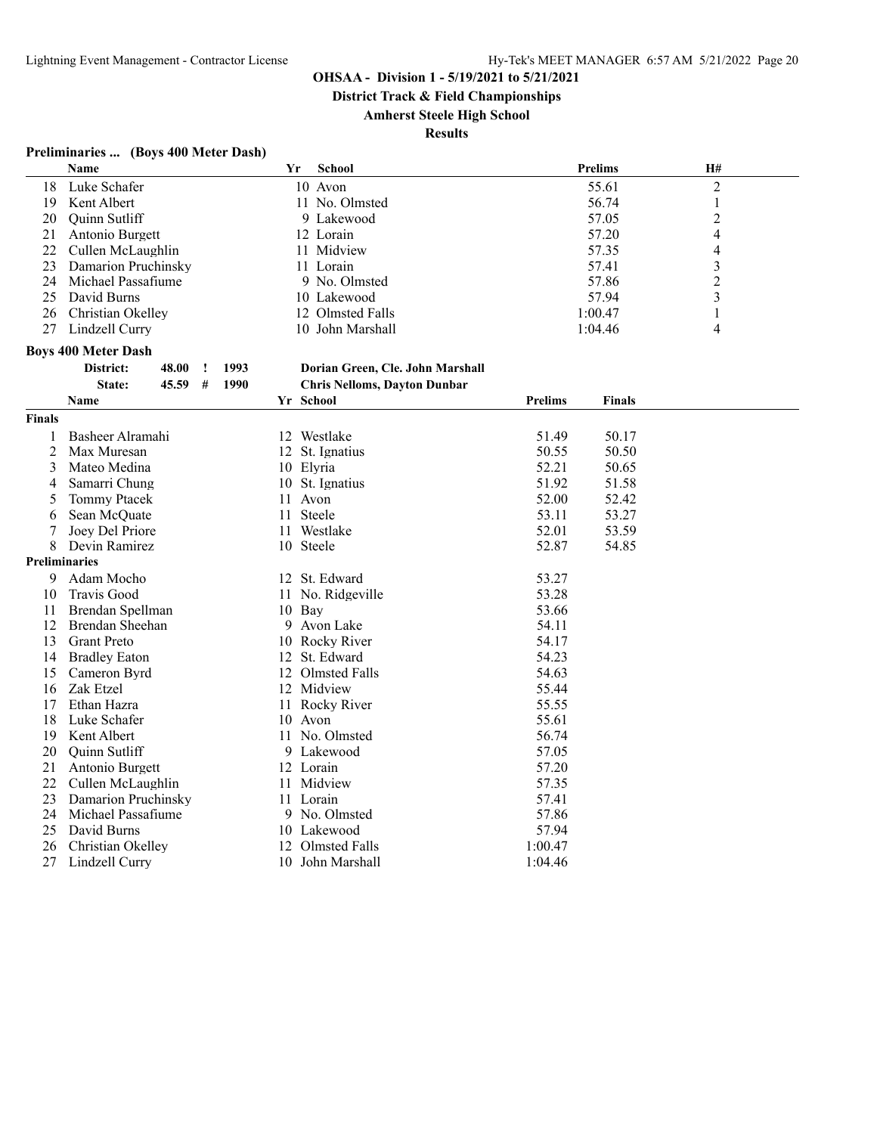**District Track & Field Championships**

#### **Amherst Steele High School**

**Results**

# **Preliminaries ... (Boys 400 Meter Dash)**

|                           | Name                            | Yr   | School                              |                | <b>Prelims</b> | H#             |  |
|---------------------------|---------------------------------|------|-------------------------------------|----------------|----------------|----------------|--|
| 18                        | Luke Schafer                    |      | 10 Avon                             |                | 55.61          | $\overline{2}$ |  |
| 19                        | Kent Albert                     |      | 11 No. Olmsted                      |                | 56.74          | 1              |  |
| 20                        | Quinn Sutliff                   |      | 9 Lakewood                          |                | 57.05          | $\overline{2}$ |  |
| 21                        | Antonio Burgett                 |      | 12 Lorain                           |                | 57.20          | 4              |  |
| 22                        | Cullen McLaughlin               |      | 11 Midview                          |                | 57.35          | 4              |  |
| 23                        | Damarion Pruchinsky             |      | 11 Lorain                           |                | 57.41          | 3              |  |
| 24                        | Michael Passafiume              |      | 9 No. Olmsted                       |                | 57.86          | $\overline{c}$ |  |
| 25                        | David Burns                     |      | 10 Lakewood                         |                | 57.94          | 3              |  |
| 26                        | Christian Okelley               |      | 12 Olmsted Falls                    |                | 1:00.47        | 1              |  |
| 27                        | Lindzell Curry                  |      | 10 John Marshall                    |                | 1:04.46        | 4              |  |
|                           | <b>Boys 400 Meter Dash</b>      |      |                                     |                |                |                |  |
|                           | 48.00<br>District:<br>$\cdot$   | 1993 | Dorian Green, Cle. John Marshall    |                |                |                |  |
|                           | #<br>State:<br>45.59            | 1990 | <b>Chris Nelloms, Dayton Dunbar</b> |                |                |                |  |
|                           | Name                            |      | Yr School                           | <b>Prelims</b> | <b>Finals</b>  |                |  |
| <b>Finals</b>             |                                 |      |                                     |                |                |                |  |
|                           | Basheer Alramahi                |      | 12 Westlake                         | 51.49          | 50.17          |                |  |
| 1                         | Max Muresan                     |      |                                     | 50.55          | 50.50          |                |  |
| 2                         |                                 | 12   | St. Ignatius                        |                |                |                |  |
| 3                         | Mateo Medina                    |      | 10 Elyria                           | 52.21<br>51.92 | 50.65          |                |  |
| 4                         | Samarri Chung                   |      | 10 St. Ignatius                     | 52.00          | 51.58          |                |  |
| 5                         | <b>Tommy Ptacek</b>             |      | 11 Avon                             |                | 52.42          |                |  |
| 6                         | Sean McQuate<br>Joey Del Priore |      | 11 Steele                           | 53.11<br>52.01 | 53.27<br>53.59 |                |  |
| 7                         | Devin Ramirez                   | 11   | Westlake<br>10 Steele               | 52.87          | 54.85          |                |  |
| 8<br><b>Preliminaries</b> |                                 |      |                                     |                |                |                |  |
| 9                         |                                 |      |                                     |                |                |                |  |
|                           | Adam Mocho                      |      | 12 St. Edward                       | 53.27          |                |                |  |
| 10                        | Travis Good                     | 11   | No. Ridgeville                      | 53.28          |                |                |  |
| 11                        | Brendan Spellman                |      | 10 Bay                              | 53.66          |                |                |  |
| 12                        | Brendan Sheehan                 | 9    | Avon Lake                           | 54.11          |                |                |  |
| 13                        | <b>Grant Preto</b>              | 10   | Rocky River                         | 54.17          |                |                |  |
| 14                        | <b>Bradley Eaton</b>            |      | 12 St. Edward                       | 54.23          |                |                |  |
| 15                        | Cameron Byrd                    |      | 12 Olmsted Falls                    | 54.63          |                |                |  |
| 16                        | Zak Etzel                       |      | 12 Midview                          | 55.44          |                |                |  |
| 17                        | Ethan Hazra                     |      | 11 Rocky River                      | 55.55          |                |                |  |
| 18                        | Luke Schafer                    | 10   | Avon                                | 55.61          |                |                |  |
| 19                        | Kent Albert                     | 11   | No. Olmsted                         | 56.74          |                |                |  |
| 20                        | Quinn Sutliff                   |      | 9 Lakewood                          | 57.05          |                |                |  |
| 21                        | Antonio Burgett                 |      | 12 Lorain                           | 57.20          |                |                |  |
| 22                        | Cullen McLaughlin               | 11   | Midview                             | 57.35          |                |                |  |
| 23                        | Damarion Pruchinsky             |      | 11 Lorain                           | 57.41          |                |                |  |
| 24                        | Michael Passafiume              | 9.   | No. Olmsted                         | 57.86          |                |                |  |
| 25                        | David Burns                     | 10   | Lakewood                            | 57.94          |                |                |  |
| 26                        | Christian Okelley               | 12   | <b>Olmsted Falls</b>                | 1:00.47        |                |                |  |
| 27                        | Lindzell Curry                  | 10   | John Marshall                       | 1:04.46        |                |                |  |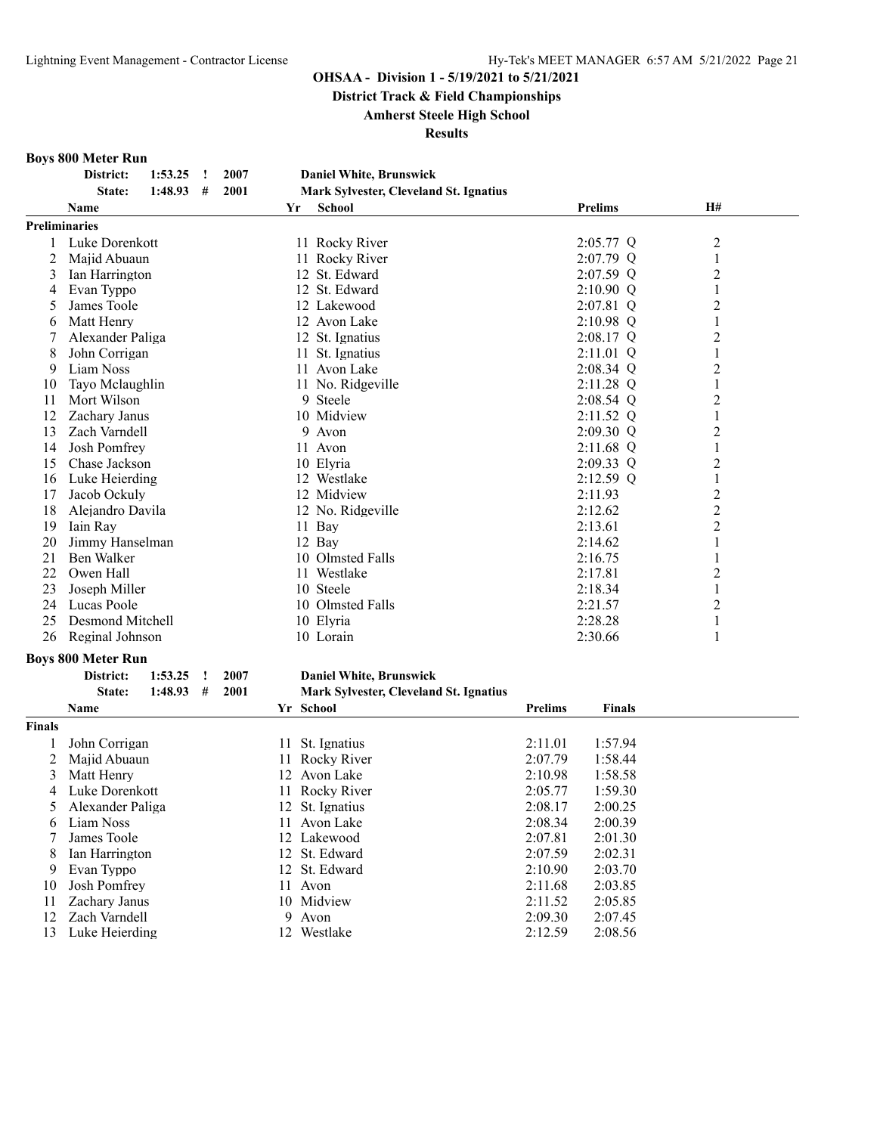**District Track & Field Championships**

#### **Amherst Steele High School**

**Results**

#### **Boys 800 Meter Run**

|                | District:                 | 1:53.25 | $\cdot$ | 2007 |    | <b>Daniel White, Brunswick</b>         |                |                |                |  |
|----------------|---------------------------|---------|---------|------|----|----------------------------------------|----------------|----------------|----------------|--|
|                | State:                    | 1:48.93 | #       | 2001 |    | Mark Sylvester, Cleveland St. Ignatius |                |                |                |  |
|                | Name                      |         |         |      | Yr | <b>School</b>                          |                | <b>Prelims</b> | H#             |  |
|                | <b>Preliminaries</b>      |         |         |      |    |                                        |                |                |                |  |
| $\mathbf{1}$   | Luke Dorenkott            |         |         |      |    | 11 Rocky River                         |                | $2:05.77$ Q    | $\overline{c}$ |  |
| 2              | Majid Abuaun              |         |         |      |    | 11 Rocky River                         |                | $2:07.79$ Q    | $\mathbf{1}$   |  |
| 3              | Ian Harrington            |         |         |      |    | 12 St. Edward                          |                | $2:07.59$ Q    | $\overline{2}$ |  |
| 4              | Evan Typpo                |         |         |      |    | 12 St. Edward                          |                | $2:10.90$ Q    | 1              |  |
| 5              | James Toole               |         |         |      |    | 12 Lakewood                            |                | $2:07.81$ Q    | $\overline{c}$ |  |
| 6              | Matt Henry                |         |         |      |    | 12 Avon Lake                           |                | $2:10.98$ Q    | $\mathbf{1}$   |  |
| 7              | Alexander Paliga          |         |         |      |    | 12 St. Ignatius                        |                | $2:08.17$ Q    | $\overline{c}$ |  |
| 8              | John Corrigan             |         |         |      |    | 11 St. Ignatius                        |                | 2:11.01 Q      | $\mathbf{1}$   |  |
| 9              | Liam Noss                 |         |         |      |    | 11 Avon Lake                           |                | $2:08.34$ Q    | $\overline{c}$ |  |
| 10             | Tayo Mclaughlin           |         |         |      |    | 11 No. Ridgeville                      |                | 2:11.28 Q      | $\mathbf{1}$   |  |
| 11             | Mort Wilson               |         |         |      |    | 9 Steele                               |                | $2:08.54$ Q    | $\overline{c}$ |  |
| 12             | Zachary Janus             |         |         |      |    | 10 Midview                             |                | $2:11.52$ Q    | $\mathbf{1}$   |  |
| 13             | Zach Varndell             |         |         |      |    | Avon<br>9                              |                | 2:09.30 Q      | $\overline{c}$ |  |
| 14             | Josh Pomfrey              |         |         |      |    | 11 Avon                                |                | $2:11.68$ Q    | $\mathbf{1}$   |  |
| 15             | Chase Jackson             |         |         |      |    | 10 Elyria                              |                | $2:09.33$ Q    | $\overline{c}$ |  |
| 16             | Luke Heierding            |         |         |      |    | 12 Westlake                            |                | $2:12.59$ Q    | $\mathbf{1}$   |  |
| 17             | Jacob Ockuly              |         |         |      |    | 12 Midview                             |                | 2:11.93        | $\overline{c}$ |  |
| 18             | Alejandro Davila          |         |         |      |    | 12 No. Ridgeville                      |                | 2:12.62        | $\overline{c}$ |  |
| 19             | Iain Ray                  |         |         |      |    | 11 Bay                                 |                | 2:13.61        | $\overline{c}$ |  |
| 20             | Jimmy Hanselman           |         |         |      |    | 12 Bay                                 |                | 2:14.62        | 1              |  |
| 21             | Ben Walker                |         |         |      |    | 10 Olmsted Falls                       |                | 2:16.75        | 1              |  |
| 22             | Owen Hall                 |         |         |      |    | 11 Westlake                            |                | 2:17.81        | $\overline{2}$ |  |
| 23             | Joseph Miller             |         |         |      |    | 10 Steele                              |                | 2:18.34        | $\mathbf{1}$   |  |
| 24             | Lucas Poole               |         |         |      |    | 10 Olmsted Falls                       |                | 2:21.57        | $\overline{2}$ |  |
| 25             | Desmond Mitchell          |         |         |      |    | 10 Elyria                              |                | 2:28.28        | $\mathbf{1}$   |  |
| 26             | Reginal Johnson           |         |         |      |    | 10 Lorain                              |                | 2:30.66        | 1              |  |
|                | <b>Boys 800 Meter Run</b> |         |         |      |    |                                        |                |                |                |  |
|                | District:                 | 1:53.25 | !       | 2007 |    | <b>Daniel White, Brunswick</b>         |                |                |                |  |
|                | State:                    | 1:48.93 | #       | 2001 |    | Mark Sylvester, Cleveland St. Ignatius |                |                |                |  |
|                | Name                      |         |         |      |    | Yr School                              | <b>Prelims</b> | <b>Finals</b>  |                |  |
| <b>Finals</b>  |                           |         |         |      |    |                                        |                |                |                |  |
| 1              | John Corrigan             |         |         |      |    | 11 St. Ignatius                        | 2:11.01        | 1:57.94        |                |  |
| $\overline{2}$ |                           |         |         |      |    | 11 Rocky River                         | 2:07.79        |                |                |  |
| 3              | Majid Abuaun              |         |         |      |    | 12 Avon Lake                           | 2:10.98        | 1:58.44        |                |  |
|                | Matt Henry                |         |         |      |    |                                        |                | 1:58.58        |                |  |
| 4              | Luke Dorenkott            |         |         |      |    | 11 Rocky River                         | 2:05.77        | 1:59.30        |                |  |
| 5              | Alexander Paliga          |         |         |      |    | 12 St. Ignatius                        | 2:08.17        | 2:00.25        |                |  |
| 6              | Liam Noss                 |         |         |      |    | 11 Avon Lake                           | 2:08.34        | 2:00.39        |                |  |
| 7              | James Toole               |         |         |      |    | 12 Lakewood                            | 2:07.81        | 2:01.30        |                |  |
| 8              | Ian Harrington            |         |         |      |    | 12 St. Edward                          | 2:07.59        | 2:02.31        |                |  |
| 9              | Evan Typpo                |         |         |      |    | 12 St. Edward                          | 2:10.90        | 2:03.70        |                |  |
| 10             | <b>Josh Pomfrey</b>       |         |         |      |    | 11 Avon                                | 2:11.68        | 2:03.85        |                |  |
| 11             | Zachary Janus             |         |         |      |    | 10 Midview                             | 2:11.52        | 2:05.85        |                |  |

12 Zach Varndell 9 Avon 2:09.30 2:07.45<br>
13 Luke Heierding 12 Westlake 2:12.59 2:08.56 Luke Heierding 12 Westlake 2:12.59 2:08.56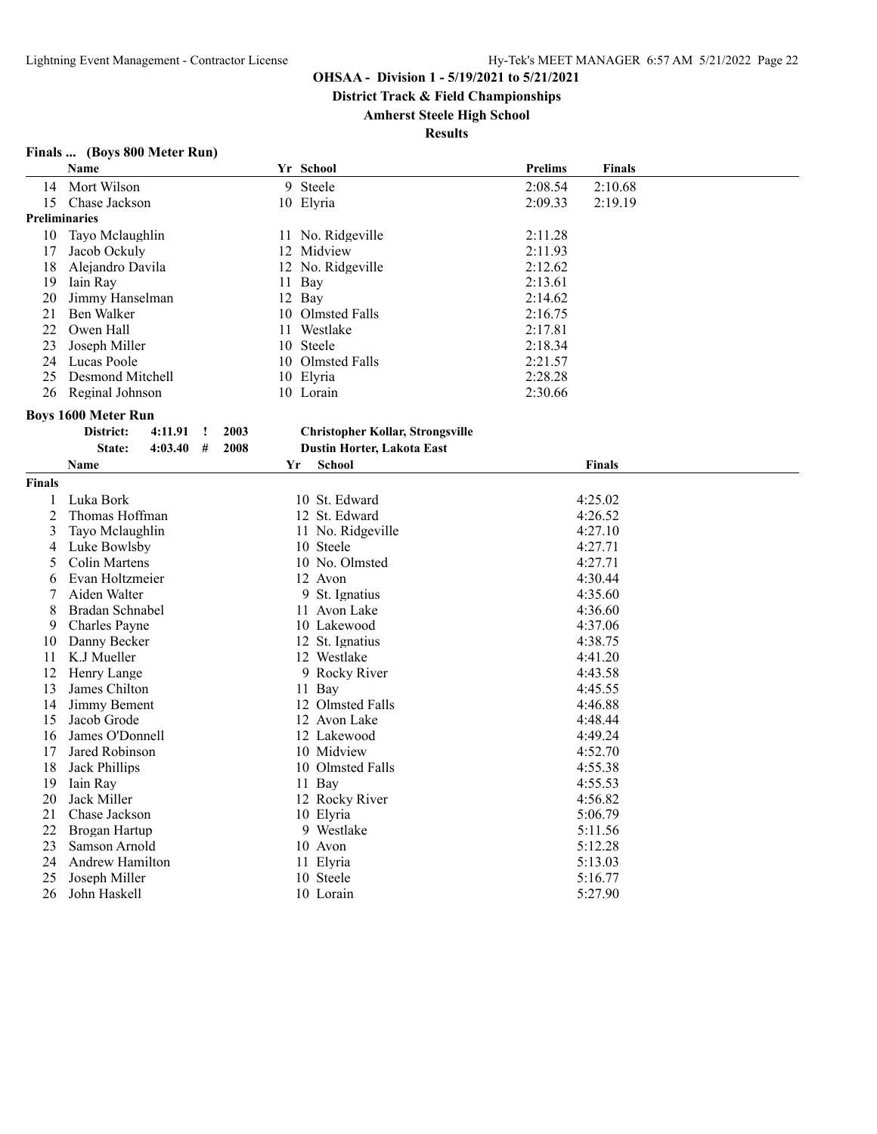**District Track & Field Championships**

**Amherst Steele High School**

| Finals  (Boys 800 Meter Run) |  |
|------------------------------|--|
|------------------------------|--|

|                      | Name                              |    | Yr School                               | <b>Prelims</b> | <b>Finals</b>      |
|----------------------|-----------------------------------|----|-----------------------------------------|----------------|--------------------|
| 14                   | Mort Wilson                       |    | 9 Steele                                | 2:08.54        | 2:10.68            |
| 15                   | Chase Jackson                     |    | 10 Elyria                               | 2:09.33        | 2:19.19            |
| <b>Preliminaries</b> |                                   |    |                                         |                |                    |
| 10                   | Tayo Mclaughlin                   |    | 11 No. Ridgeville                       | 2:11.28        |                    |
| 17                   | Jacob Ockuly                      |    | 12 Midview                              | 2:11.93        |                    |
| 18                   | Alejandro Davila                  |    | 12 No. Ridgeville                       | 2:12.62        |                    |
| 19                   | Iain Ray                          |    | 11 Bay                                  | 2:13.61        |                    |
| 20                   | Jimmy Hanselman                   |    | 12 Bay                                  | 2:14.62        |                    |
| 21                   | Ben Walker                        |    | 10 Olmsted Falls                        | 2:16.75        |                    |
| 22                   | Owen Hall                         | 11 | Westlake                                | 2:17.81        |                    |
| 23                   | Joseph Miller                     |    | 10 Steele                               | 2:18.34        |                    |
| 24                   | Lucas Poole                       |    | 10 Olmsted Falls                        | 2:21.57        |                    |
| 25                   | Desmond Mitchell                  |    | 10 Elyria                               | 2:28.28        |                    |
| 26                   | Reginal Johnson                   |    | 10 Lorain                               | 2:30.66        |                    |
|                      | <b>Boys 1600 Meter Run</b>        |    |                                         |                |                    |
|                      | District:<br>4:11.91<br>2003<br>Ţ |    | <b>Christopher Kollar, Strongsville</b> |                |                    |
|                      | 2008<br>State:<br>4:03.40<br>#    |    | <b>Dustin Horter, Lakota East</b>       |                |                    |
|                      | <b>Name</b>                       | Yr | <b>School</b>                           |                | <b>Finals</b>      |
| <b>Finals</b>        |                                   |    |                                         |                |                    |
|                      | Luka Bork                         |    | 10 St. Edward                           |                | 4:25.02            |
| 1<br>$\overline{c}$  | Thomas Hoffman                    |    | 12 St. Edward                           |                |                    |
| 3                    | Tayo Mclaughlin                   |    | 11 No. Ridgeville                       |                | 4:26.52<br>4:27.10 |
| 4                    | Luke Bowlsby                      |    | 10 Steele                               |                | 4:27.71            |
| 5                    | Colin Martens                     |    | 10 No. Olmsted                          |                | 4:27.71            |
| 6                    | Evan Holtzmeier                   |    | 12 Avon                                 |                | 4:30.44            |
| 7                    | Aiden Walter                      |    | 9<br>St. Ignatius                       |                | 4:35.60            |
| 8                    | Bradan Schnabel                   |    | 11 Avon Lake                            |                | 4:36.60            |
| 9                    | Charles Payne                     |    | 10 Lakewood                             |                | 4:37.06            |
| 10                   | Danny Becker                      |    | 12 St. Ignatius                         |                | 4:38.75            |
| 11                   | K.J Mueller                       |    | 12 Westlake                             |                | 4:41.20            |
| 12                   | Henry Lange                       |    | 9 Rocky River                           |                | 4:43.58            |
| 13                   | James Chilton                     |    | 11 Bay                                  |                | 4:45.55            |
| 14                   | Jimmy Bement                      |    | 12 Olmsted Falls                        |                | 4:46.88            |
| 15                   | Jacob Grode                       |    | 12 Avon Lake                            |                | 4:48.44            |
| 16                   | James O'Donnell                   |    | 12 Lakewood                             |                | 4:49.24            |
| 17                   | Jared Robinson                    |    | 10 Midview                              |                | 4:52.70            |
| 18                   | Jack Phillips                     |    | 10 Olmsted Falls                        |                | 4:55.38            |
| 19                   | Iain Ray                          |    | 11 Bay                                  |                | 4:55.53            |
| 20                   | Jack Miller                       |    | 12 Rocky River                          |                | 4:56.82            |
| 21                   | Chase Jackson                     |    | 10 Elyria                               |                | 5:06.79            |
| 22                   | Brogan Hartup                     |    | 9 Westlake                              |                | 5:11.56            |
| 23                   | Samson Arnold                     |    | 10 Avon                                 |                | 5:12.28            |
| 24                   | Andrew Hamilton                   |    | 11 Elyria                               |                | 5:13.03            |
| 25                   | Joseph Miller                     |    | 10 Steele                               |                | 5:16.77            |
| 26                   | John Haskell                      |    | 10 Lorain                               |                | 5:27.90            |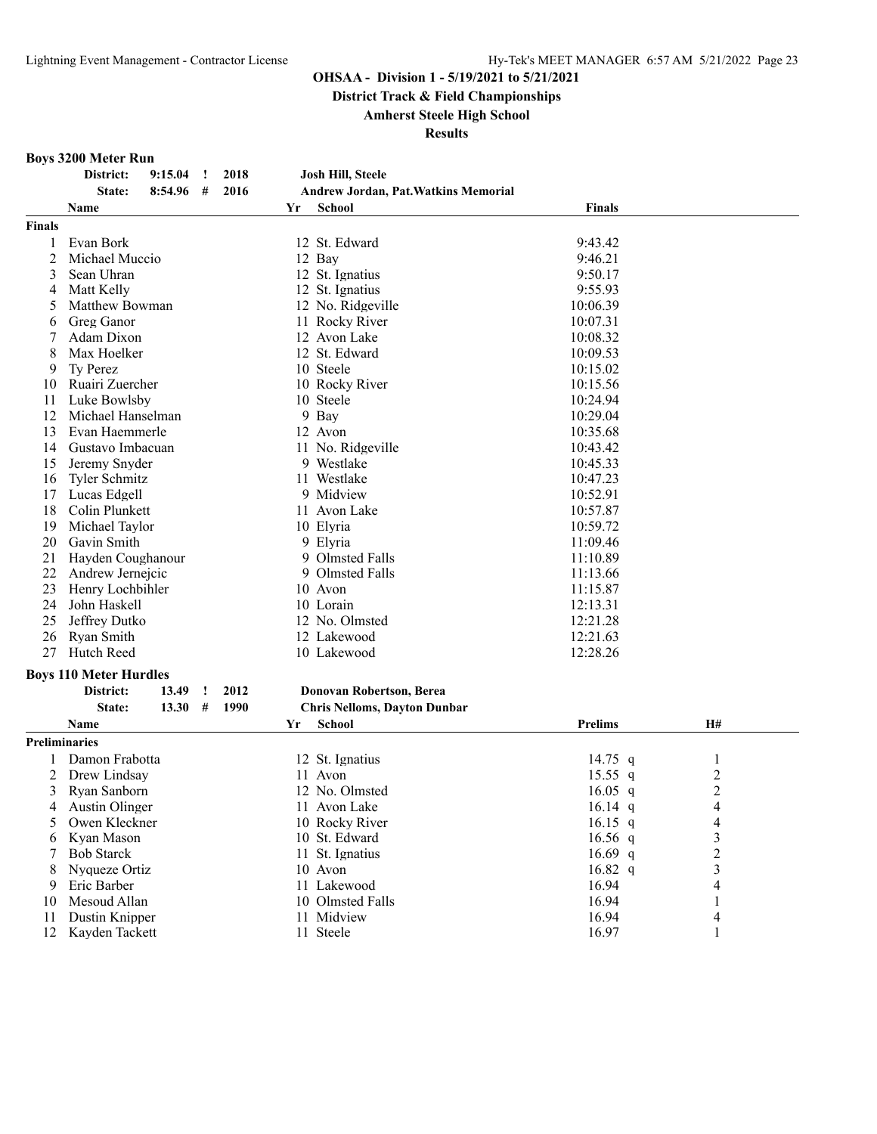**District Track & Field Championships**

**Amherst Steele High School**

#### **Results**

#### **Boys 3200 Meter Run**

|               | District:<br>9:15.04<br>$\cdot$    | 2018 | Josh Hill, Steele                    |                |                         |
|---------------|------------------------------------|------|--------------------------------------|----------------|-------------------------|
|               | State:<br>8:54.96<br>#             | 2016 | Andrew Jordan, Pat. Watkins Memorial |                |                         |
|               | Name                               | Yr   | School                               | <b>Finals</b>  |                         |
| <b>Finals</b> |                                    |      |                                      |                |                         |
| 1             | Evan Bork                          |      | 12 St. Edward                        | 9:43.42        |                         |
| 2             | Michael Muccio                     |      | 12 Bay                               | 9:46.21        |                         |
| 3             | Sean Uhran                         |      | 12 St. Ignatius                      | 9:50.17        |                         |
| 4             | Matt Kelly                         |      | 12 St. Ignatius                      | 9:55.93        |                         |
| 5             | Matthew Bowman                     |      | 12 No. Ridgeville                    | 10:06.39       |                         |
| 6             | Greg Ganor                         |      | 11 Rocky River                       | 10:07.31       |                         |
| 7             | Adam Dixon                         |      | 12 Avon Lake                         | 10:08.32       |                         |
| 8             | Max Hoelker                        |      | 12 St. Edward                        | 10:09.53       |                         |
| 9             | Ty Perez                           |      | 10 Steele                            | 10:15.02       |                         |
| 10            | Ruairi Zuercher                    |      | 10 Rocky River                       | 10:15.56       |                         |
| 11            | Luke Bowlsby                       |      | 10 Steele                            | 10:24.94       |                         |
| 12            | Michael Hanselman                  |      | 9 Bay                                | 10:29.04       |                         |
| 13            | Evan Haemmerle                     |      | 12 Avon                              | 10:35.68       |                         |
| 14            | Gustavo Imbacuan                   |      | 11 No. Ridgeville                    | 10:43.42       |                         |
| 15            | Jeremy Snyder                      |      | 9 Westlake                           | 10:45.33       |                         |
| 16            | Tyler Schmitz                      |      | 11 Westlake                          | 10:47.23       |                         |
| 17            | Lucas Edgell                       |      | 9 Midview                            | 10:52.91       |                         |
| 18            | Colin Plunkett                     |      | 11 Avon Lake                         | 10:57.87       |                         |
| 19            | Michael Taylor                     |      | 10 Elyria                            | 10:59.72       |                         |
| 20            | Gavin Smith                        |      | 9 Elyria                             | 11:09.46       |                         |
| 21            | Hayden Coughanour                  |      | 9 Olmsted Falls                      | 11:10.89       |                         |
| 22            | Andrew Jernejcic                   |      | 9 Olmsted Falls                      | 11:13.66       |                         |
| 23            | Henry Lochbihler                   |      | 10 Avon                              | 11:15.87       |                         |
| 24            | John Haskell                       |      | 10 Lorain                            | 12:13.31       |                         |
| 25            | Jeffrey Dutko                      |      | 12 No. Olmsted                       | 12:21.28       |                         |
| 26            | Ryan Smith                         |      | 12 Lakewood                          | 12:21.63       |                         |
| 27            | Hutch Reed                         |      | 10 Lakewood                          | 12:28.26       |                         |
|               |                                    |      |                                      |                |                         |
|               | <b>Boys 110 Meter Hurdles</b>      |      |                                      |                |                         |
|               | District:<br>13.49<br>$\mathbf{I}$ | 2012 | <b>Donovan Robertson, Berea</b>      |                |                         |
|               | #<br>State:<br>13.30               | 1990 | <b>Chris Nelloms, Dayton Dunbar</b>  |                |                         |
|               | Name                               | Yr   | School                               | <b>Prelims</b> | H#                      |
|               | <b>Preliminaries</b>               |      |                                      |                |                         |
| 1             | Damon Frabotta                     |      | 12 St. Ignatius                      | 14.75 $q$      | 1                       |
| 2             | Drew Lindsay                       |      | 11 Avon                              | $15.55$ q      | $\overline{\mathbf{c}}$ |
| 3             | Ryan Sanborn                       |      | 12 No. Olmsted                       | $16.05$ q      | $\overline{c}$          |
| 4             | Austin Olinger                     |      | 11 Avon Lake                         | $16.14$ q      | $\overline{4}$          |
| 5             | Owen Kleckner                      |      | 10 Rocky River                       | 16.15 $q$      | 4                       |
| 6             | Kyan Mason                         |      | 10 St. Edward                        | $16.56$ q      | $\mathfrak{Z}$          |
| 7             | <b>Bob Starck</b>                  |      | 11 St. Ignatius                      | 16.69 $q$      | $\overline{c}$          |
| 8             | Nyqueze Ortiz                      |      | 10 Avon                              | 16.82 $q$      | 3                       |
| 9             | Eric Barber                        |      | 11 Lakewood                          | 16.94          | 4                       |
| 10            | Mesoud Allan                       |      | 10 Olmsted Falls                     | 16.94          | 1                       |
| 11            | Dustin Knipper                     |      | 11 Midview                           | 16.94          | 4                       |
| 12            | Kayden Tackett                     |      | 11 Steele                            | 16.97          | 1                       |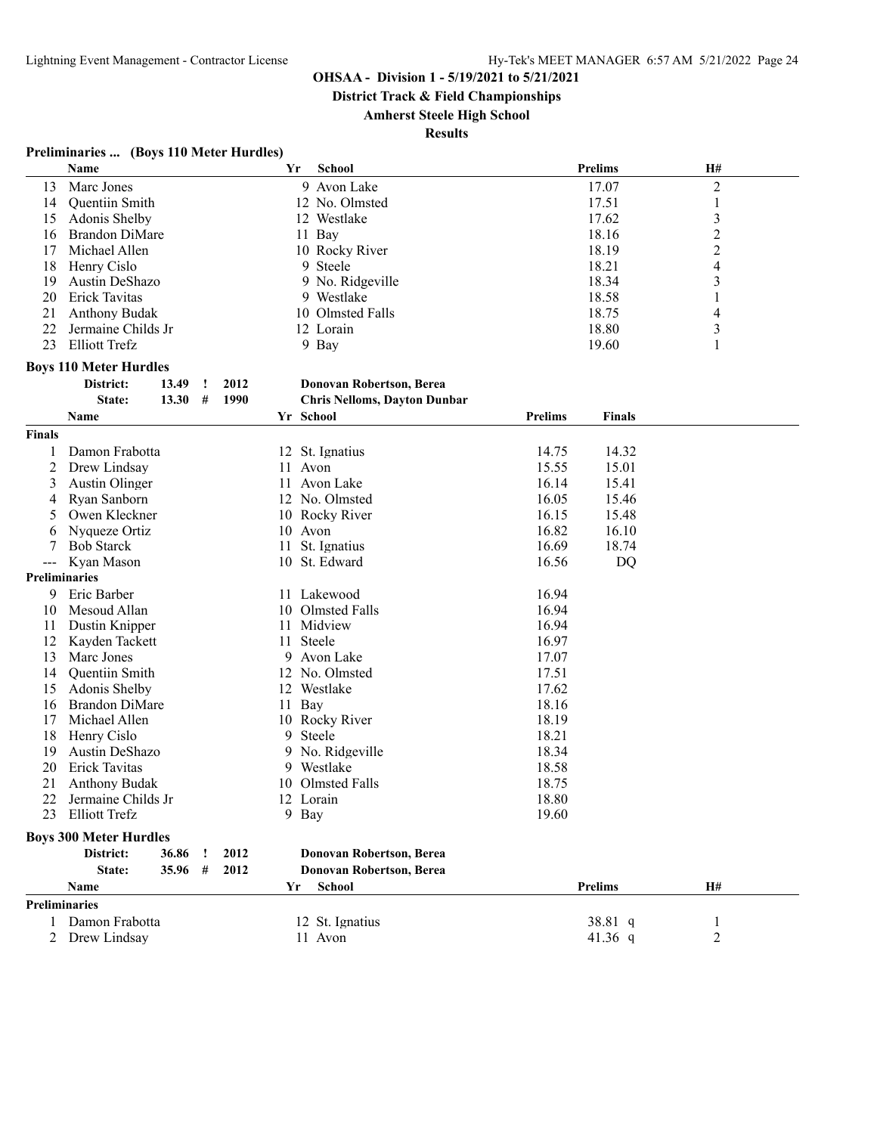**District Track & Field Championships**

# **Amherst Steele High School**

| Preliminaries  (Boys 110 Meter Hurdles) |  |  |
|-----------------------------------------|--|--|
|-----------------------------------------|--|--|

|                     | Name                          |   |      | Yr | <b>School</b>                       |                | <b>Prelims</b> | H#             |  |
|---------------------|-------------------------------|---|------|----|-------------------------------------|----------------|----------------|----------------|--|
| 13                  | Marc Jones                    |   |      |    | 9 Avon Lake                         |                | 17.07          | $\overline{c}$ |  |
| 14                  | Quentiin Smith                |   |      |    | 12 No. Olmsted                      |                | 17.51          | $\mathbf{1}$   |  |
| 15                  | Adonis Shelby                 |   |      |    | 12 Westlake                         |                | 17.62          | 3              |  |
| 16                  | <b>Brandon DiMare</b>         |   |      |    | 11 Bay                              |                | 18.16          | $\overline{c}$ |  |
| 17                  | Michael Allen                 |   |      |    | 10 Rocky River                      |                | 18.19          | $\overline{c}$ |  |
| 18                  | Henry Cislo                   |   |      |    | 9 Steele                            |                | 18.21          | $\overline{4}$ |  |
| 19                  | Austin DeShazo                |   |      |    | 9 No. Ridgeville                    |                | 18.34          | 3              |  |
| 20                  | Erick Tavitas                 |   |      |    | 9 Westlake                          |                | 18.58          | 1              |  |
| 21                  |                               |   |      |    | 10 Olmsted Falls                    |                | 18.75          |                |  |
|                     | <b>Anthony Budak</b>          |   |      |    |                                     |                |                | 4              |  |
| 22                  | Jermaine Childs Jr            |   |      |    | 12 Lorain                           |                | 18.80          | $\mathfrak{Z}$ |  |
| 23                  | <b>Elliott Trefz</b>          |   |      |    | 9 Bay                               |                | 19.60          | 1              |  |
|                     | <b>Boys 110 Meter Hurdles</b> |   |      |    |                                     |                |                |                |  |
|                     | District:<br>13.49            | ÷ | 2012 |    | Donovan Robertson, Berea            |                |                |                |  |
|                     | State:<br>13.30               | # | 1990 |    | <b>Chris Nelloms, Dayton Dunbar</b> |                |                |                |  |
|                     | Name                          |   |      |    | Yr School                           | <b>Prelims</b> | Finals         |                |  |
| <b>Finals</b>       |                               |   |      |    |                                     |                |                |                |  |
| 1                   | Damon Frabotta                |   |      |    | 12 St. Ignatius                     | 14.75          | 14.32          |                |  |
| 2                   | Drew Lindsay                  |   |      |    | 11 Avon                             | 15.55          | 15.01          |                |  |
|                     |                               |   |      |    |                                     |                |                |                |  |
| 3                   | Austin Olinger                |   |      |    | 11 Avon Lake                        | 16.14          | 15.41          |                |  |
| 4                   | Ryan Sanborn                  |   |      |    | 12 No. Olmsted                      | 16.05          | 15.46          |                |  |
| 5                   | Owen Kleckner                 |   |      |    | 10 Rocky River                      | 16.15          | 15.48          |                |  |
| 6                   | Nyqueze Ortiz                 |   |      |    | 10 Avon                             | 16.82          | 16.10          |                |  |
| 7                   | <b>Bob Starck</b>             |   |      | 11 | St. Ignatius                        | 16.69          | 18.74          |                |  |
| $\qquad \qquad - -$ | Kyan Mason                    |   |      |    | 10 St. Edward                       | 16.56          | DQ             |                |  |
| Preliminaries       |                               |   |      |    |                                     |                |                |                |  |
| 9                   | Eric Barber                   |   |      |    | 11 Lakewood                         | 16.94          |                |                |  |
| 10                  | Mesoud Allan                  |   |      |    | 10 Olmsted Falls                    | 16.94          |                |                |  |
| 11                  | Dustin Knipper                |   |      |    | 11 Midview                          | 16.94          |                |                |  |
| 12                  | Kayden Tackett                |   |      | 11 | Steele                              | 16.97          |                |                |  |
| 13                  | Marc Jones                    |   |      |    | 9 Avon Lake                         | 17.07          |                |                |  |
| 14                  | Quentiin Smith                |   |      |    | 12 No. Olmsted                      | 17.51          |                |                |  |
| 15                  | Adonis Shelby                 |   |      |    | 12 Westlake                         | 17.62          |                |                |  |
| 16                  | <b>Brandon DiMare</b>         |   |      | 11 | Bay                                 | 18.16          |                |                |  |
| 17                  | Michael Allen                 |   |      |    | 10 Rocky River                      | 18.19          |                |                |  |
| 18                  | Henry Cislo                   |   |      | 9  | Steele                              | 18.21          |                |                |  |
| 19                  | Austin DeShazo                |   |      | 9  | No. Ridgeville                      | 18.34          |                |                |  |
| 20                  | Erick Tavitas                 |   |      |    | 9 Westlake                          | 18.58          |                |                |  |
| 21                  | <b>Anthony Budak</b>          |   |      |    | 10 Olmsted Falls                    | 18.75          |                |                |  |
| 22                  | Jermaine Childs Jr            |   |      |    | 12 Lorain                           | 18.80          |                |                |  |
|                     | 23 Elliott Trefz              |   |      |    | 9 Bay                               | 19.60          |                |                |  |
|                     |                               |   |      |    |                                     |                |                |                |  |
|                     | <b>Boys 300 Meter Hurdles</b> |   |      |    |                                     |                |                |                |  |
|                     | District:<br>36.86            |   | 2012 |    | Donovan Robertson, Berea            |                |                |                |  |
|                     | State:<br>35.96               | # | 2012 |    | Donovan Robertson, Berea            |                |                |                |  |
|                     | Name                          |   |      | Yr | <b>School</b>                       |                | <b>Prelims</b> | Н#             |  |
| Preliminaries       |                               |   |      |    |                                     |                |                |                |  |
| 1                   | Damon Frabotta                |   |      |    | 12 St. Ignatius                     |                | 38.81 q        | 1              |  |
| 2                   | Drew Lindsay                  |   |      |    | 11 Avon                             |                | 41.36 $q$      | 2              |  |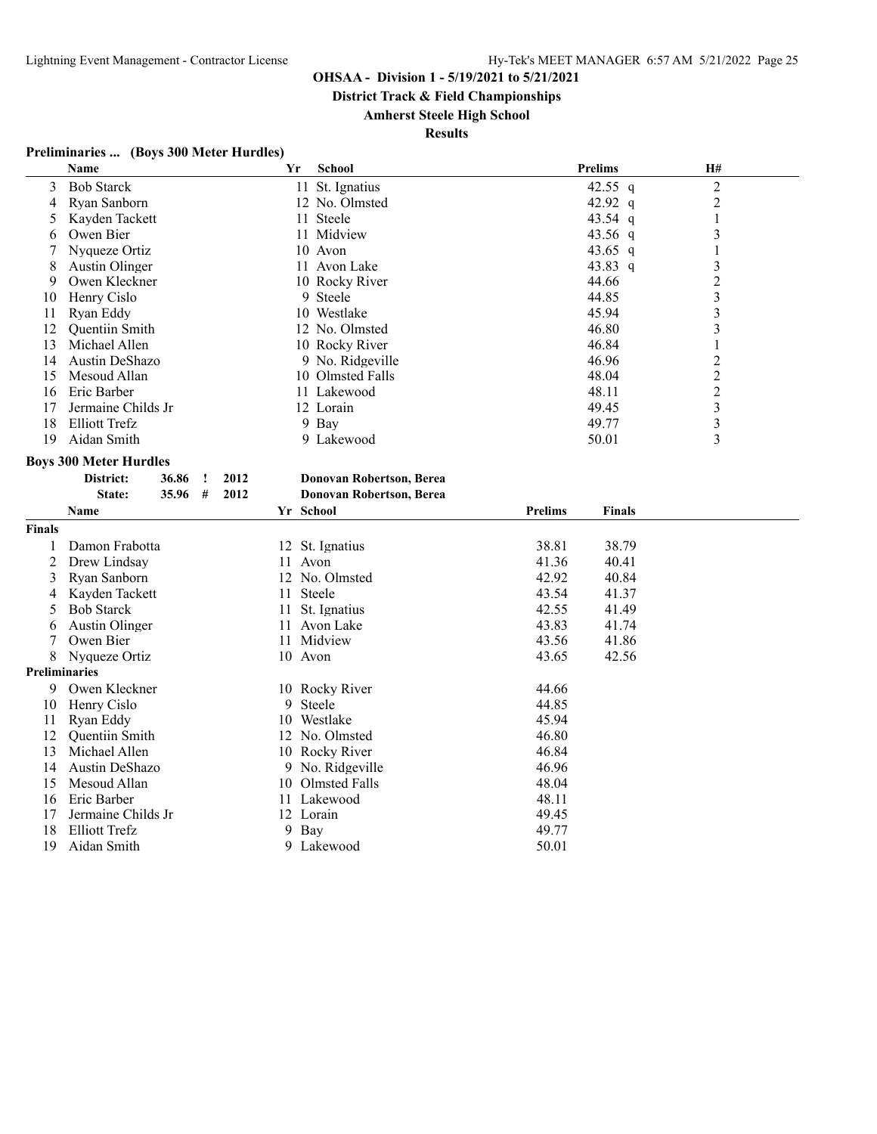**District Track & Field Championships**

### **Amherst Steele High School**

**Results**

# **Preliminaries ... (Boys 300 Meter Hurdles)**

|                      | Name                            | Yr        | <b>School</b>                   |                | <b>Prelims</b> | H#                      |  |
|----------------------|---------------------------------|-----------|---------------------------------|----------------|----------------|-------------------------|--|
| 3                    | <b>Bob Starck</b>               |           | 11 St. Ignatius                 |                | 42.55 q        | $\overline{2}$          |  |
| 4                    | Ryan Sanborn                    |           | 12 No. Olmsted                  |                | 42.92 q        | $\overline{c}$          |  |
| 5                    | Kayden Tackett                  |           | 11 Steele                       |                | 43.54 q        | 1                       |  |
| 6                    | Owen Bier                       |           | 11 Midview                      |                | 43.56 q        | $\mathfrak{Z}$          |  |
| 7                    | Nyqueze Ortiz                   |           | 10 Avon                         |                | 43.65 q        | 1                       |  |
| 8                    | Austin Olinger                  |           | 11 Avon Lake                    |                | 43.83 q        | 3                       |  |
| 9                    | Owen Kleckner                   |           | 10 Rocky River                  |                | 44.66          | $\overline{c}$          |  |
| 10                   | Henry Cislo                     |           | 9 Steele                        |                | 44.85          | $\overline{\mathbf{3}}$ |  |
| 11                   | Ryan Eddy                       |           | 10 Westlake                     |                | 45.94          | $\overline{\mathbf{3}}$ |  |
| 12                   | Quentiin Smith                  |           | 12 No. Olmsted                  |                | 46.80          | $\overline{\mathbf{3}}$ |  |
| 13                   | Michael Allen                   |           | 10 Rocky River                  |                | 46.84          | 1                       |  |
| 14                   | Austin DeShazo                  |           | 9 No. Ridgeville                |                | 46.96          | 2                       |  |
| 15                   | Mesoud Allan                    |           | 10 Olmsted Falls                |                | 48.04          | 2                       |  |
| 16                   | Eric Barber                     |           | 11 Lakewood                     |                | 48.11          | $\overline{c}$          |  |
| 17                   | Jermaine Childs Jr              |           | 12 Lorain                       |                | 49.45          | $\mathfrak{Z}$          |  |
| 18                   | Elliott Trefz                   |           | 9 Bay                           |                | 49.77          | $\mathfrak{Z}$          |  |
| 19                   | Aidan Smith                     |           | 9 Lakewood                      |                | 50.01          | 3                       |  |
|                      | <b>Boys 300 Meter Hurdles</b>   |           |                                 |                |                |                         |  |
|                      | District:<br>36.86<br>2012<br>ı |           | Donovan Robertson, Berea        |                |                |                         |  |
|                      | 2012<br>State:<br>35.96<br>#    |           | <b>Donovan Robertson, Berea</b> |                |                |                         |  |
|                      | Name                            | Yr School |                                 | <b>Prelims</b> | <b>Finals</b>  |                         |  |
| <b>Finals</b>        |                                 |           |                                 |                |                |                         |  |
| 1                    | Damon Frabotta                  |           | 12 St. Ignatius                 | 38.81          | 38.79          |                         |  |
| 2                    | Drew Lindsay                    | 11 Avon   |                                 | 41.36          | 40.41          |                         |  |
| 3                    | Ryan Sanborn                    |           | 12 No. Olmsted                  | 42.92          | 40.84          |                         |  |
| 4                    | Kayden Tackett                  | 11        | <b>Steele</b>                   | 43.54          | 41.37          |                         |  |
| 5                    | <b>Bob Starck</b>               |           | 11 St. Ignatius                 | 42.55          | 41.49          |                         |  |
| 6                    | Austin Olinger                  | 11        | Avon Lake                       | 43.83          | 41.74          |                         |  |
| 7                    | Owen Bier                       |           | 11 Midview                      | 43.56          | 41.86          |                         |  |
| 8                    | Nyqueze Ortiz                   | 10 Avon   |                                 | 43.65          | 42.56          |                         |  |
| <b>Preliminaries</b> |                                 |           |                                 |                |                |                         |  |
| 9                    | Owen Kleckner                   |           | 10 Rocky River                  | 44.66          |                |                         |  |
| 10                   | Henry Cislo                     | 9         | Steele                          | 44.85          |                |                         |  |
| 11                   | Ryan Eddy                       |           | 10 Westlake                     | 45.94          |                |                         |  |
| 12                   | Quentiin Smith                  |           | 12 No. Olmsted                  | 46.80          |                |                         |  |
| 13                   | Michael Allen                   |           | 10 Rocky River                  | 46.84          |                |                         |  |
| 14                   | Austin DeShazo                  |           | 9 No. Ridgeville                | 46.96          |                |                         |  |
| 15                   | Mesoud Allan                    | 10        | Olmsted Falls                   | 48.04          |                |                         |  |
| 16                   | Eric Barber                     | 11        | Lakewood                        | 48.11          |                |                         |  |
| 17                   | Jermaine Childs Jr              |           | 12 Lorain                       | 49.45          |                |                         |  |
| 18                   | <b>Elliott Trefz</b>            | 9         | Bay                             | 49.77          |                |                         |  |
| 19                   | Aidan Smith                     |           | 9 Lakewood                      | 50.01          |                |                         |  |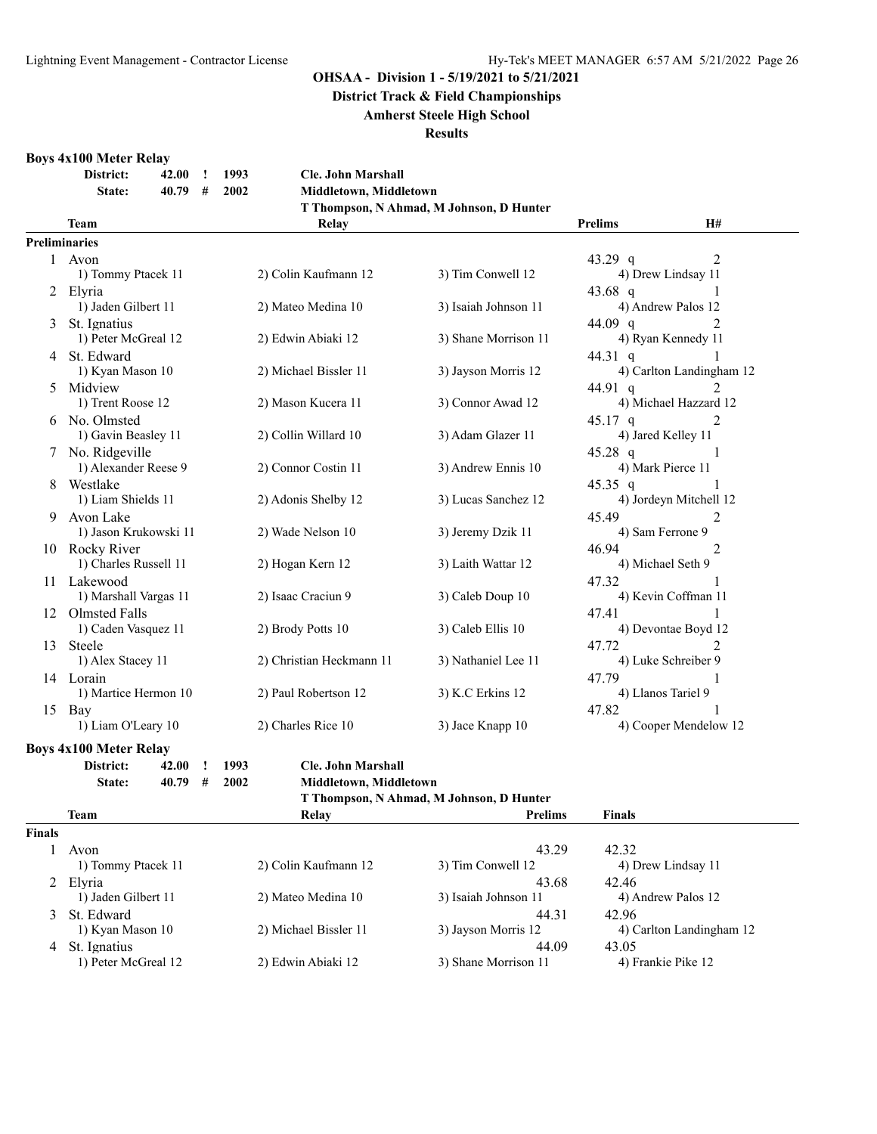**District Track & Field Championships**

#### **Amherst Steele High School**

#### **Results**

#### **Boys 4x100 Meter Relay**

|    | District:                                    | 42.00 | Ţ                    | 1993              | <b>Cle. John Marshall</b> |                                          |                   |                                      |  |  |  |  |
|----|----------------------------------------------|-------|----------------------|-------------------|---------------------------|------------------------------------------|-------------------|--------------------------------------|--|--|--|--|
|    | State:                                       | 40.79 | #                    | 2002              | Middletown, Middletown    |                                          |                   |                                      |  |  |  |  |
|    |                                              |       |                      |                   |                           | T Thompson, N Ahmad, M Johnson, D Hunter |                   |                                      |  |  |  |  |
|    | <b>Prelims</b><br>H#<br><b>Team</b><br>Relay |       |                      |                   |                           |                                          |                   |                                      |  |  |  |  |
|    | <b>Preliminaries</b>                         |       |                      |                   |                           |                                          |                   |                                      |  |  |  |  |
|    | 1 Avon                                       |       |                      |                   |                           |                                          | 43.29 q           | $\overline{2}$                       |  |  |  |  |
|    | 1) Tommy Ptacek 11                           |       |                      |                   | 2) Colin Kaufmann 12      | 3) Tim Conwell 12                        |                   | 4) Drew Lindsay 11                   |  |  |  |  |
|    | 2 Elvria                                     |       |                      |                   |                           |                                          | $43.68$ q         |                                      |  |  |  |  |
|    | 1) Jaden Gilbert 11                          |       |                      |                   | 2) Mateo Medina 10        | 3) Isaiah Johnson 11                     |                   | 4) Andrew Palos 12                   |  |  |  |  |
| 3  | St. Ignatius<br>1) Peter McGreal 12          |       |                      |                   | 2) Edwin Abiaki 12        | 3) Shane Morrison 11                     | 44.09 q           | $\mathfrak{D}$<br>4) Ryan Kennedy 11 |  |  |  |  |
|    | St. Edward                                   |       |                      |                   |                           |                                          |                   |                                      |  |  |  |  |
| 4  |                                              |       |                      |                   | 2) Michael Bissler 11     | 3) Jayson Morris 12                      | 44.31 q           | 4) Carlton Landingham 12             |  |  |  |  |
| 5  | 1) Kyan Mason 10<br>Midview                  |       |                      |                   |                           |                                          | 44.91 q           |                                      |  |  |  |  |
|    | 1) Trent Roose 12                            |       |                      |                   | 2) Mason Kucera 11        | 3) Connor Awad 12                        |                   | 4) Michael Hazzard 12                |  |  |  |  |
|    | 6 No. Olmsted                                |       |                      |                   |                           |                                          | $45.17$ q         | $\mathfrak{D}$                       |  |  |  |  |
|    | 1) Gavin Beasley 11                          |       | 2) Collin Willard 10 | 3) Adam Glazer 11 |                           | 4) Jared Kelley 11                       |                   |                                      |  |  |  |  |
|    | No. Ridgeville                               |       |                      |                   |                           |                                          | $45.28$ q         |                                      |  |  |  |  |
|    | 1) Alexander Reese 9                         |       |                      |                   | 2) Connor Costin 11       | 3) Andrew Ennis 10                       | 4) Mark Pierce 11 |                                      |  |  |  |  |
|    | Westlake                                     |       |                      |                   |                           |                                          | 45.35 q           |                                      |  |  |  |  |
|    | 1) Liam Shields 11                           |       |                      |                   | 2) Adonis Shelby 12       | 3) Lucas Sanchez 12                      |                   | 4) Jordeyn Mitchell 12               |  |  |  |  |
| 9  | Avon Lake                                    |       |                      |                   |                           |                                          | 45.49             | 2                                    |  |  |  |  |
|    | 1) Jason Krukowski 11                        |       |                      |                   | 2) Wade Nelson 10         | 3) Jeremy Dzik 11                        |                   | 4) Sam Ferrone 9                     |  |  |  |  |
|    | 10 Rocky River                               |       |                      |                   |                           |                                          | 46.94             | 2                                    |  |  |  |  |
|    | 1) Charles Russell 11                        |       |                      |                   | 2) Hogan Kern 12          | 3) Laith Wattar 12                       |                   | 4) Michael Seth 9                    |  |  |  |  |
| 11 | Lakewood                                     |       |                      |                   |                           |                                          | 47.32             |                                      |  |  |  |  |
|    | 1) Marshall Vargas 11                        |       |                      |                   | 2) Isaac Craciun 9        | 3) Caleb Doup 10                         |                   | 4) Kevin Coffman 11                  |  |  |  |  |
| 12 | Olmsted Falls                                |       |                      |                   |                           |                                          | 47.41             |                                      |  |  |  |  |
|    | 1) Caden Vasquez 11                          |       |                      |                   | 2) Brody Potts 10         | 3) Caleb Ellis 10                        |                   | 4) Devontae Boyd 12                  |  |  |  |  |
| 13 | Steele                                       |       |                      |                   |                           |                                          | 47.72             |                                      |  |  |  |  |
|    | 1) Alex Stacey 11                            |       |                      |                   | 2) Christian Heckmann 11  | 3) Nathaniel Lee 11                      |                   | 4) Luke Schreiber 9                  |  |  |  |  |
| 14 | Lorain                                       |       |                      |                   |                           |                                          | 47.79             |                                      |  |  |  |  |
|    | 1) Martice Hermon 10                         |       |                      |                   | 2) Paul Robertson 12      | 3) K.C Erkins 12                         |                   | 4) Llanos Tariel 9                   |  |  |  |  |
|    | 15 Bay                                       |       |                      |                   |                           |                                          | 47.82             |                                      |  |  |  |  |
|    | 1) Liam O'Leary 10                           |       |                      |                   | 2) Charles Rice 10        | 3) Jace Knapp 10                         |                   | 4) Cooper Mendelow 12                |  |  |  |  |
|    | <b>Boys 4x100 Meter Relay</b>                |       |                      |                   |                           |                                          |                   |                                      |  |  |  |  |
|    | District:                                    | 42.00 | I.                   | 1993              | <b>Cle. John Marshall</b> |                                          |                   |                                      |  |  |  |  |

**District: 42.00 ! 1993 Cle. John Marshall**

| <b>State:</b> | 40.79# | 2002 | Middletown, Middletown |
|---------------|--------|------|------------------------|
|               |        |      |                        |

|               | T Thompson, N Ahmad, M Johnson, D Hunter |                       |                      |                          |  |  |  |  |  |
|---------------|------------------------------------------|-----------------------|----------------------|--------------------------|--|--|--|--|--|
|               | Team                                     | Relay                 | <b>Prelims</b>       | <b>Finals</b>            |  |  |  |  |  |
| <b>Finals</b> |                                          |                       |                      |                          |  |  |  |  |  |
|               | Avon                                     |                       | 43.29                | 42.32                    |  |  |  |  |  |
|               | 1) Tommy Ptacek 11                       | 2) Colin Kaufmann 12  | 3) Tim Conwell 12    | 4) Drew Lindsay 11       |  |  |  |  |  |
|               | 2 Elyria                                 |                       | 43.68                | 42.46                    |  |  |  |  |  |
|               | 1) Jaden Gilbert 11                      | 2) Mateo Medina 10    | 3) Isaiah Johnson 11 | 4) Andrew Palos 12       |  |  |  |  |  |
|               | 3 St. Edward                             |                       | 44.31                | 42.96                    |  |  |  |  |  |
|               | 1) Kyan Mason 10                         | 2) Michael Bissler 11 | 3) Jayson Morris 12  | 4) Carlton Landingham 12 |  |  |  |  |  |
| 4             | St. Ignatius                             |                       | 44.09                | 43.05                    |  |  |  |  |  |
|               | 1) Peter McGreal 12                      | 2) Edwin Abiaki 12    | 3) Shane Morrison 11 | 4) Frankie Pike 12       |  |  |  |  |  |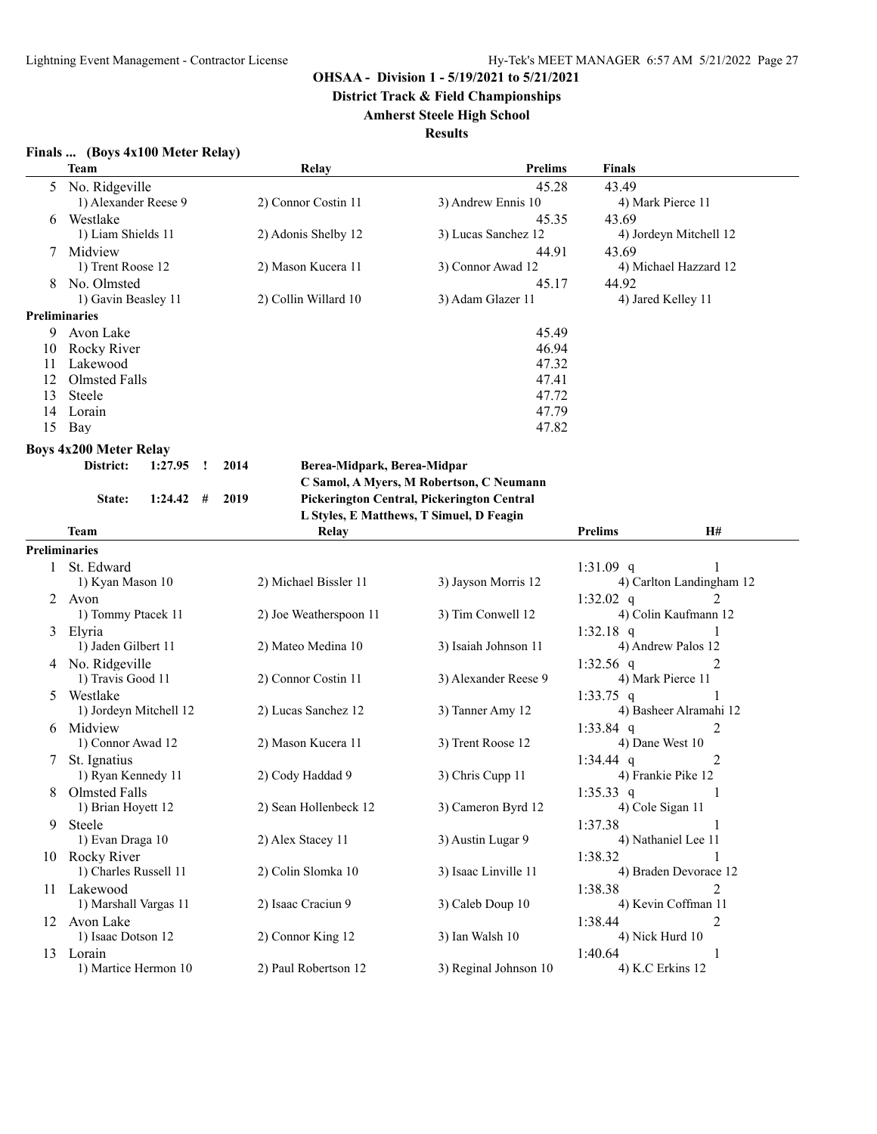**District Track & Field Championships**

#### **Amherst Steele High School**

| Finals  (Boys 4x100 Meter Relay) |
|----------------------------------|
|----------------------------------|

|                      | <b>Team</b>                   | Relay                                               | <b>Prelims</b>                             | <b>Finals</b>               |
|----------------------|-------------------------------|-----------------------------------------------------|--------------------------------------------|-----------------------------|
| 5                    | No. Ridgeville                |                                                     | 45.28                                      | 43.49                       |
|                      | 1) Alexander Reese 9          | 2) Connor Costin 11                                 | 3) Andrew Ennis 10                         | 4) Mark Pierce 11           |
| 6                    | Westlake                      |                                                     | 45.35                                      | 43.69                       |
|                      | 1) Liam Shields 11            | 2) Adonis Shelby 12                                 | 3) Lucas Sanchez 12                        | 4) Jordeyn Mitchell 12      |
|                      | Midview                       |                                                     | 44.91                                      | 43.69                       |
|                      | 1) Trent Roose 12             | 2) Mason Kucera 11                                  | 3) Connor Awad 12                          | 4) Michael Hazzard 12       |
|                      | No. Olmsted                   |                                                     | 45.17                                      | 44.92                       |
|                      | 1) Gavin Beasley 11           | 2) Collin Willard 10                                | 3) Adam Glazer 11                          | 4) Jared Kelley 11          |
| <b>Preliminaries</b> |                               |                                                     |                                            |                             |
|                      | 9 Avon Lake                   |                                                     | 45.49                                      |                             |
| 10                   | Rocky River                   |                                                     | 46.94                                      |                             |
| 11                   | Lakewood                      |                                                     | 47.32                                      |                             |
| 12                   | Olmsted Falls                 |                                                     | 47.41                                      |                             |
| 13                   | Steele                        |                                                     | 47.72                                      |                             |
| 14                   | Lorain                        |                                                     | 47.79                                      |                             |
| 15                   | Bay                           |                                                     | 47.82                                      |                             |
|                      | <b>Boys 4x200 Meter Relay</b> |                                                     |                                            |                             |
|                      | District:<br>1:27.95          | 2014<br>Berea-Midpark, Berea-Midpar<br>$\mathbf{I}$ |                                            |                             |
|                      |                               |                                                     | C Samol, A Myers, M Robertson, C Neumann   |                             |
|                      | $1:24.42$ #<br>State:         | 2019                                                | Pickerington Central, Pickerington Central |                             |
|                      |                               |                                                     | L Styles, E Matthews, T Simuel, D Feagin   |                             |
|                      | <b>Team</b>                   | Relay                                               |                                            | <b>Prelims</b><br><b>H#</b> |
| <b>Preliminaries</b> |                               |                                                     |                                            |                             |
|                      | St. Edward                    |                                                     |                                            | $\mathbf{1}$<br>1:31.09 q   |
|                      | 1) Kyan Mason 10              | 2) Michael Bissler 11                               | 3) Jayson Morris 12                        | 4) Carlton Landingham 12    |
|                      | 2 Avon                        |                                                     |                                            | 1:32.02 $q$<br>2            |
|                      | 1) Tommy Ptacek 11            | 2) Joe Weatherspoon 11                              | 3) Tim Conwell 12                          | 4) Colin Kaufmann 12        |
| 3                    | Elyria                        |                                                     |                                            | 1:32.18 $q$                 |
|                      | 1) Jaden Gilbert 11           | 2) Mateo Medina 10                                  | 3) Isaiah Johnson 11                       | 4) Andrew Palos 12          |
|                      | 4 No. Ridgeville              |                                                     |                                            | 1:32.56 $q$<br>2            |
|                      | 1) Travis Good 11             | 2) Connor Costin 11                                 | 3) Alexander Reese 9                       | 4) Mark Pierce 11           |
| 5                    | Westlake                      |                                                     |                                            | 1:33.75 q                   |
|                      | 1) Jordeyn Mitchell 12        | 2) Lucas Sanchez 12                                 | 3) Tanner Amy 12                           | 4) Basheer Alramahi 12      |
| 6                    | Midview                       |                                                     |                                            | 2<br>1:33.84 q              |
|                      | 1) Connor Awad 12             | 2) Mason Kucera 11                                  | 3) Trent Roose 12                          | 4) Dane West 10             |
| 7                    | St. Ignatius                  |                                                     |                                            | 1:34.44 q<br>2              |
|                      | 1) Ryan Kennedy 11            | 2) Cody Haddad 9                                    | 3) Chris Cupp 11                           | 4) Frankie Pike 12          |
| 8                    | Olmsted Falls                 |                                                     |                                            | 1:35.33 q<br>1              |
|                      | 1) Brian Hoyett 12            | 2) Sean Hollenbeck 12                               | 3) Cameron Byrd 12                         | 4) Cole Sigan 11            |
| 9                    | Steele                        |                                                     |                                            | 1:37.38<br>-1               |
|                      | 1) Evan Draga 10              | 2) Alex Stacey 11                                   | 3) Austin Lugar 9                          | 4) Nathaniel Lee 11         |
|                      | 10 Rocky River                |                                                     |                                            | 1:38.32                     |
|                      | 1) Charles Russell 11         | 2) Colin Slomka 10                                  | 3) Isaac Linville 11                       | 4) Braden Devorace 12       |
| 11.                  | Lakewood                      |                                                     |                                            | 2<br>1:38.38                |
|                      | 1) Marshall Vargas 11         | 2) Isaac Craciun 9                                  | 3) Caleb Doup 10                           | 4) Kevin Coffman 11         |
| 12                   | Avon Lake                     |                                                     |                                            | 1:38.44<br>2                |
|                      | 1) Isaac Dotson 12            | 2) Connor King 12                                   | 3) Ian Walsh 10                            | 4) Nick Hurd 10             |
| 13                   | Lorain                        |                                                     |                                            | 1:40.64<br>1                |
|                      | 1) Martice Hermon 10          | 2) Paul Robertson 12                                | 3) Reginal Johnson 10                      | 4) K.C Erkins 12            |
|                      |                               |                                                     |                                            |                             |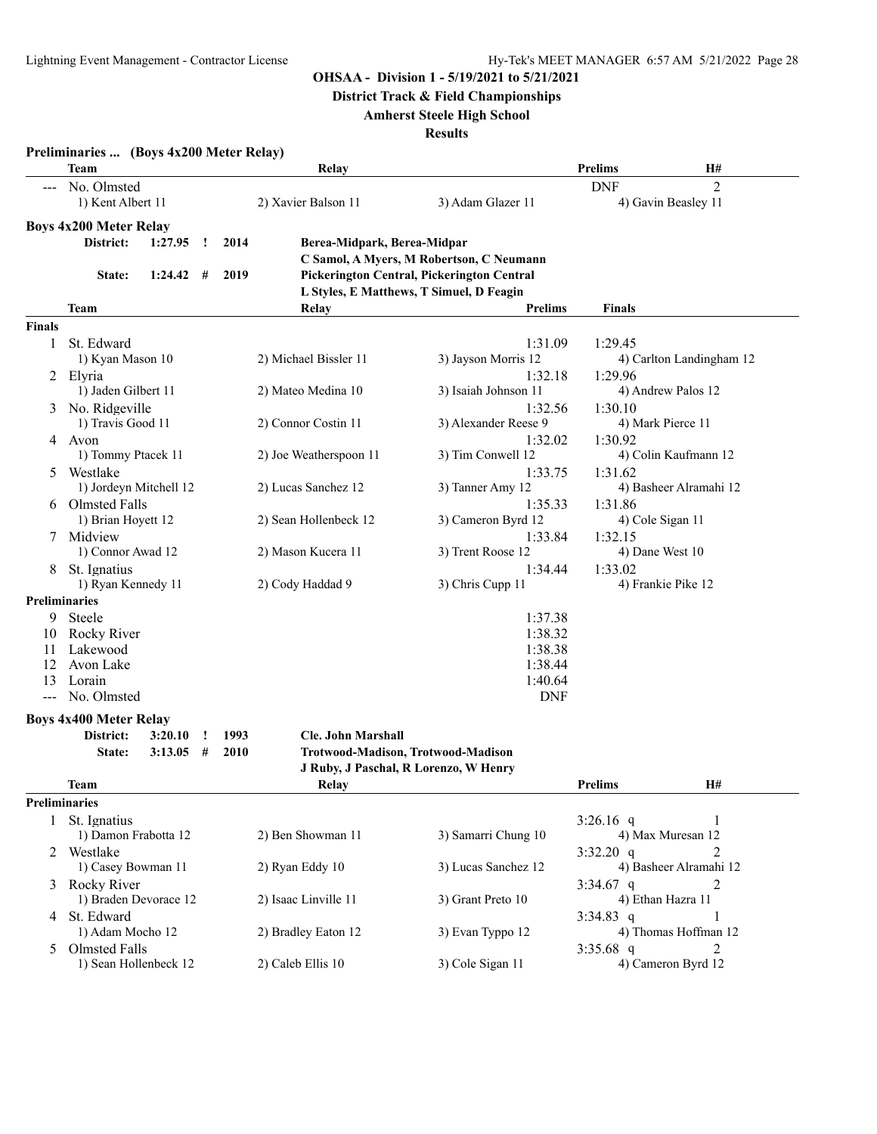**District Track & Field Championships**

#### **Amherst Steele High School**

|                   | Preliminaries  (Boys 4x200 Meter Relay)<br>Team |      | Relay                       |                                            | <b>Prelims</b>   | H#                       |
|-------------------|-------------------------------------------------|------|-----------------------------|--------------------------------------------|------------------|--------------------------|
|                   | No. Olmsted                                     |      |                             |                                            | <b>DNF</b>       | $\overline{2}$           |
|                   | 1) Kent Albert 11                               |      | 2) Xavier Balson 11         | 3) Adam Glazer 11                          |                  | 4) Gavin Beasley 11      |
|                   | <b>Boys 4x200 Meter Relay</b>                   |      |                             |                                            |                  |                          |
|                   | District:<br>1:27.95<br>Ţ                       | 2014 | Berea-Midpark, Berea-Midpar |                                            |                  |                          |
|                   |                                                 |      |                             | C Samol, A Myers, M Robertson, C Neumann   |                  |                          |
|                   | 1:24.42<br>#<br>State:                          | 2019 |                             | Pickerington Central, Pickerington Central |                  |                          |
|                   |                                                 |      |                             | L Styles, E Matthews, T Simuel, D Feagin   |                  |                          |
|                   | Team                                            |      | Relay                       | <b>Prelims</b>                             | Finals           |                          |
| <b>Finals</b>     |                                                 |      |                             |                                            |                  |                          |
|                   |                                                 |      |                             |                                            |                  |                          |
| 1                 | St. Edward                                      |      |                             | 1:31.09                                    | 1:29.45          |                          |
|                   | 1) Kyan Mason 10                                |      | 2) Michael Bissler 11       | 3) Jayson Morris 12                        |                  | 4) Carlton Landingham 12 |
| 2                 | Elvria                                          |      |                             | 1:32.18                                    | 1:29.96          |                          |
|                   | 1) Jaden Gilbert 11                             |      | 2) Mateo Medina 10          | 3) Isaiah Johnson 11                       |                  | 4) Andrew Palos 12       |
| 3                 | No. Ridgeville                                  |      |                             | 1:32.56                                    | 1:30.10          |                          |
|                   | 1) Travis Good 11                               |      | 2) Connor Costin 11         | 3) Alexander Reese 9                       |                  | 4) Mark Pierce 11        |
| 4                 | Avon                                            |      |                             | 1:32.02                                    | 1:30.92          |                          |
|                   | 1) Tommy Ptacek 11                              |      | 2) Joe Weatherspoon 11      | 3) Tim Conwell 12                          |                  | 4) Colin Kaufmann 12     |
| 5                 | Westlake                                        |      |                             | 1:33.75                                    | 1:31.62          |                          |
|                   | 1) Jordeyn Mitchell 12                          |      | 2) Lucas Sanchez 12         | 3) Tanner Amy 12                           |                  | 4) Basheer Alramahi 12   |
|                   | 6 Olmsted Falls                                 |      |                             | 1:35.33                                    | 1:31.86          |                          |
|                   | 1) Brian Hoyett 12                              |      | 2) Sean Hollenbeck 12       | 3) Cameron Byrd 12                         | 4) Cole Sigan 11 |                          |
| 7                 | Midview                                         |      |                             | 1:33.84                                    | 1:32.15          |                          |
|                   | 1) Connor Awad 12                               |      | 2) Mason Kucera 11          | 3) Trent Roose 12                          | 4) Dane West 10  |                          |
| 8                 | St. Ignatius                                    |      |                             | 1:34.44                                    | 1:33.02          |                          |
|                   | 1) Ryan Kennedy 11                              |      | 2) Cody Haddad 9            | 3) Chris Cupp 11                           |                  | 4) Frankie Pike 12       |
|                   |                                                 |      |                             |                                            |                  |                          |
|                   | <b>Preliminaries</b>                            |      |                             |                                            |                  |                          |
| 9                 | Steele                                          |      |                             | 1:37.38                                    |                  |                          |
| 10                | Rocky River                                     |      |                             | 1:38.32                                    |                  |                          |
| 11                | Lakewood                                        |      |                             | 1:38.38                                    |                  |                          |
| 12                | Avon Lake                                       |      |                             | 1:38.44                                    |                  |                          |
| 13                | Lorain                                          |      |                             | 1:40.64                                    |                  |                          |
| $\qquad \qquad -$ | No. Olmsted                                     |      |                             | <b>DNF</b>                                 |                  |                          |
|                   | <b>Boys 4x400 Meter Relay</b>                   |      |                             |                                            |                  |                          |
|                   | District:<br>3:20.10                            | 1993 | <b>Cle. John Marshall</b>   |                                            |                  |                          |
|                   | State:<br>3:13.05<br>#                          | 2010 |                             | Trotwood-Madison, Trotwood-Madison         |                  |                          |
|                   |                                                 |      |                             | J Ruby, J Paschal, R Lorenzo, W Henry      |                  |                          |
|                   | <b>Team</b>                                     |      |                             |                                            |                  | <b>H#</b>                |
|                   |                                                 |      | Relay                       |                                            | <b>Prelims</b>   |                          |
|                   | <b>Preliminaries</b>                            |      |                             |                                            |                  |                          |
| $\mathbf{1}$      | St. Ignatius                                    |      |                             |                                            | $3:26.16$ q      | 1                        |
|                   | 1) Damon Frabotta 12                            |      | 2) Ben Showman 11           | 3) Samarri Chung 10                        |                  | 4) Max Muresan 12        |
| 2                 | Westlake                                        |      |                             |                                            | $3:32.20$ q      | 2                        |
|                   | 1) Casey Bowman 11                              |      | 2) Ryan Eddy 10             | 3) Lucas Sanchez 12                        |                  | 4) Basheer Alramahi 12   |
| 3                 | Rocky River                                     |      |                             |                                            | $3:34.67$ q      | 2                        |
|                   | 1) Braden Devorace 12                           |      | 2) Isaac Linville 11        | 3) Grant Preto 10                          |                  | 4) Ethan Hazra 11        |
| 4                 | St. Edward                                      |      |                             |                                            | $3:34.83$ q      |                          |
|                   | 1) Adam Mocho 12                                |      | 2) Bradley Eaton 12         | 3) Evan Typpo 12                           |                  | 4) Thomas Hoffman 12     |
| 5                 | <b>Olmsted Falls</b>                            |      |                             |                                            | $3:35.68$ q      | $\overline{2}$           |
|                   | 1) Sean Hollenbeck 12                           |      | 2) Caleb Ellis 10           | 3) Cole Sigan 11                           |                  | 4) Cameron Byrd 12       |
|                   |                                                 |      |                             |                                            |                  |                          |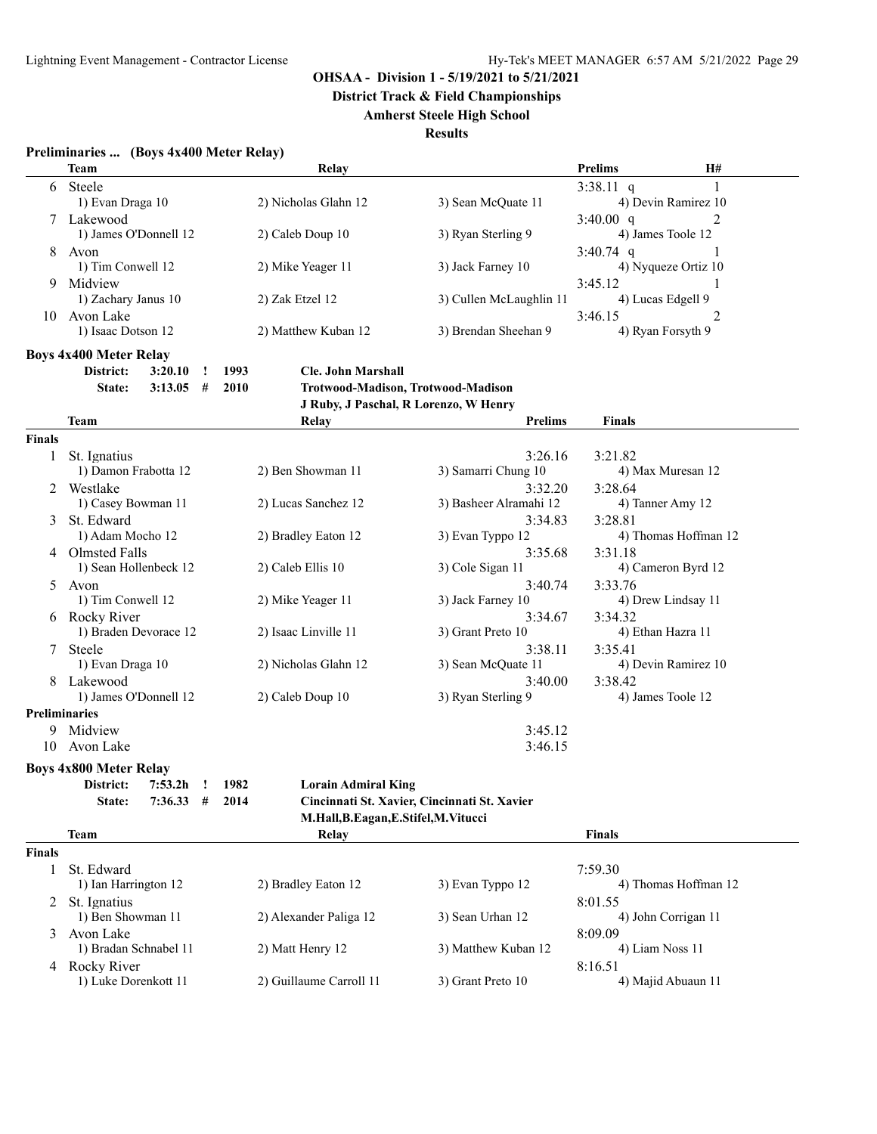**District Track & Field Championships**

#### **Amherst Steele High School**

**Results**

| Preliminaries  (Boys 4x400 Meter Relay) |  |  |
|-----------------------------------------|--|--|
|                                         |  |  |

|    | <b>Team</b>           | Relay                |                         | <b>Prelims</b>      | <b>H#</b> |
|----|-----------------------|----------------------|-------------------------|---------------------|-----------|
| 6  | Steele                |                      |                         | $3:38.11$ q         |           |
|    | 1) Evan Draga 10      | 2) Nicholas Glahn 12 | 3) Sean McQuate 11      | 4) Devin Ramirez 10 |           |
|    | Lakewood              |                      |                         | 3:40.00 $q$         |           |
|    | 1) James O'Donnell 12 | $2)$ Caleb Doup 10   | 3) Ryan Sterling 9      | 4) James Toole 12   |           |
| 8  | Avon                  |                      |                         | $3:40.74$ q         |           |
|    | 1) Tim Conwell 12     | 2) Mike Yeager 11    | 3) Jack Farney 10       | 4) Nyqueze Ortiz 10 |           |
| 9  | Midview               |                      |                         | 3:45.12             |           |
|    | 1) Zachary Janus 10   | 2) Zak Etzel 12      | 3) Cullen McLaughlin 11 | 4) Lucas Edgell 9   |           |
| 10 | Avon Lake             |                      |                         | 3:46.15             |           |
|    | 1) Isaac Dotson 12    | 2) Matthew Kuban 12  | 3) Brendan Sheehan 9    | 4) Ryan Forsyth 9   |           |

**Boys 4x400 Meter Relay**

**District: 3:20.10 ! 1993 Cle. John Marshall**

**State: 3:13.05 # 2010 Trotwood-Madison, Trotwood-Madison**

**J Ruby, J Paschal, R Lorenzo, W Henry**

|               | <b>Team</b>                   | Relay                                | <b>Prelims</b>                               | <b>Finals</b>        |
|---------------|-------------------------------|--------------------------------------|----------------------------------------------|----------------------|
| <b>Finals</b> |                               |                                      |                                              |                      |
| 1             | St. Ignatius                  |                                      | 3:26.16                                      | 3:21.82              |
|               | 1) Damon Frabotta 12          | 2) Ben Showman 11                    | 3) Samarri Chung 10                          | 4) Max Muresan 12    |
| 2             | Westlake                      |                                      | 3:32.20                                      | 3:28.64              |
|               | 1) Casey Bowman 11            | 2) Lucas Sanchez 12                  | 3) Basheer Alramahi 12                       | 4) Tanner Amy 12     |
| 3             | St. Edward                    |                                      | 3:34.83                                      | 3:28.81              |
|               | 1) Adam Mocho 12              | 2) Bradley Eaton 12                  | 3) Evan Typpo 12                             | 4) Thomas Hoffman 12 |
| 4             | Olmsted Falls                 |                                      | 3:35.68                                      | 3:31.18              |
|               | 1) Sean Hollenbeck 12         | 2) Caleb Ellis 10                    | 3) Cole Sigan 11                             | 4) Cameron Byrd 12   |
| 5.            | Avon                          |                                      | 3:40.74                                      | 3:33.76              |
|               | 1) Tim Conwell 12             | 2) Mike Yeager 11                    | 3) Jack Farney 10                            | 4) Drew Lindsay 11   |
| 6             | Rocky River                   |                                      | 3:34.67                                      | 3:34.32              |
|               | 1) Braden Devorace 12         | 2) Isaac Linville 11                 | 3) Grant Preto 10                            | 4) Ethan Hazra 11    |
|               | Steele                        |                                      | 3:38.11                                      | 3:35.41              |
|               | 1) Evan Draga 10              | 2) Nicholas Glahn 12                 | 3) Sean McQuate 11                           | 4) Devin Ramirez 10  |
|               | Lakewood                      |                                      | 3:40.00                                      | 3:38.42              |
|               | 1) James O'Donnell 12         | 2) Caleb Doup 10                     | 3) Ryan Sterling 9                           | 4) James Toole 12    |
|               | <b>Preliminaries</b>          |                                      |                                              |                      |
| 9             | Midview                       |                                      | 3:45.12                                      |                      |
| 10            | Avon Lake                     |                                      | 3:46.15                                      |                      |
|               |                               |                                      |                                              |                      |
|               | <b>Boys 4x800 Meter Relay</b> |                                      |                                              |                      |
|               | District:<br>7:53.2h          | 1982<br><b>Lorain Admiral King</b>   |                                              |                      |
|               | $7:36.33$ #<br>State:         | 2014                                 | Cincinnati St. Xavier, Cincinnati St. Xavier |                      |
|               |                               | M.Hall, B.Eagan, E.Stifel, M.Vitucci |                                              |                      |
|               | <b>Team</b>                   | Relay                                |                                              | <b>Finals</b>        |
| <b>Finals</b> |                               |                                      |                                              |                      |
|               | St. Edward                    |                                      |                                              | 7:59.30              |
|               | 1) Ian Harrington 12          | 2) Bradley Eaton 12                  | 3) Evan Typpo 12                             | 4) Thomas Hoffman 12 |
| 2             | St. Ignatius                  |                                      |                                              | 8:01.55              |
|               | 1) Ben Showman 11             | 2) Alexander Paliga 12               | 3) Sean Urhan 12                             | 4) John Corrigan 11  |
| 3             | Avon Lake                     |                                      |                                              | 8:09.09              |
|               | 1) Bradan Schnabel 11         | 2) Matt Henry 12                     | 3) Matthew Kuban 12                          | 4) Liam Noss 11      |
| 4             | Rocky River                   |                                      |                                              | 8:16.51              |
|               | 1) Luke Dorenkott 11          | 2) Guillaume Carroll 11              | 3) Grant Preto 10                            | 4) Majid Abuaun 11   |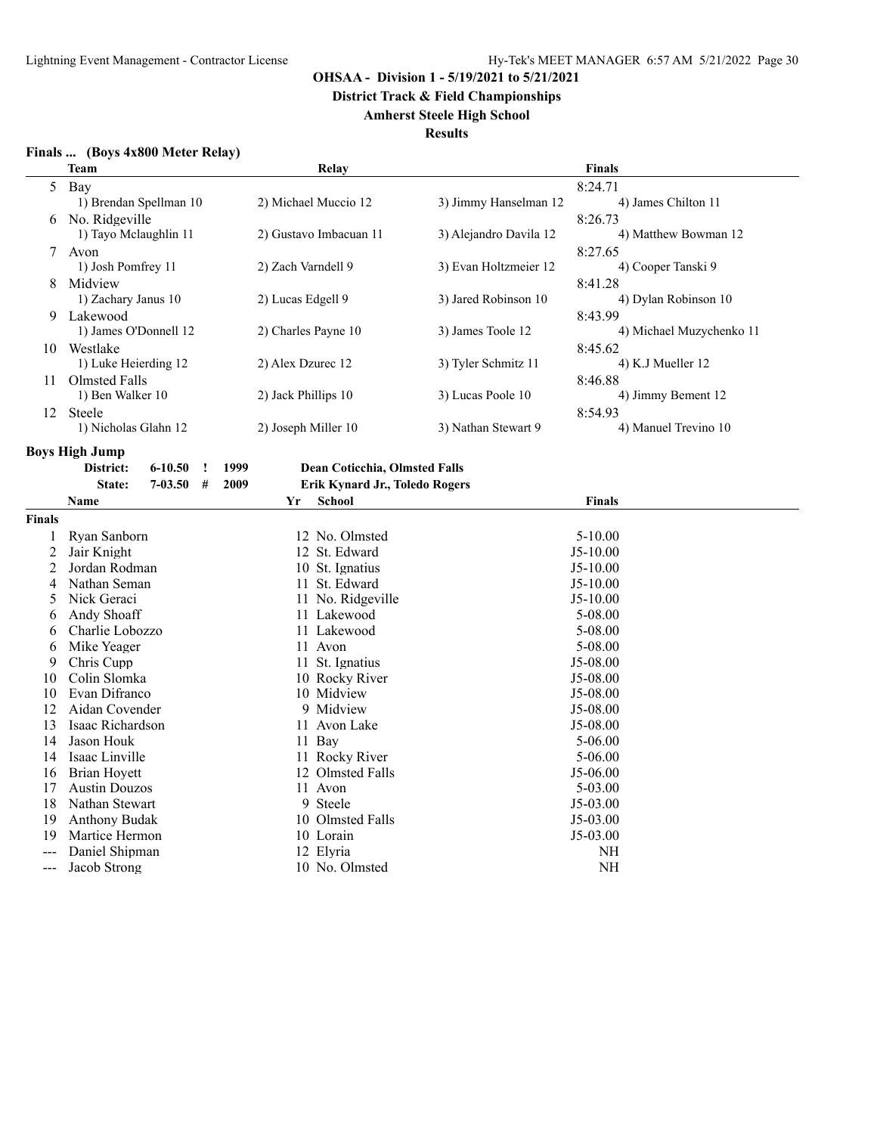**District Track & Field Championships**

#### **Amherst Steele High School**

#### **Results**

| <b>Finals</b><br>(Boys 4x800 Meter Relay) |  |  |
|-------------------------------------------|--|--|
|-------------------------------------------|--|--|

|        | <b>Team</b>                | Relay                                        | Finals                                         |  |  |  |
|--------|----------------------------|----------------------------------------------|------------------------------------------------|--|--|--|
| 5      | Bay                        |                                              | 8:24.71                                        |  |  |  |
|        | 1) Brendan Spellman 10     | 2) Michael Muccio 12                         | 3) Jimmy Hanselman 12<br>4) James Chilton 11   |  |  |  |
|        | No. Ridgeville             |                                              | 8:26.73                                        |  |  |  |
|        | 1) Tayo Mclaughlin 11      | 2) Gustavo Imbacuan 11                       | 3) Alejandro Davila 12<br>4) Matthew Bowman 12 |  |  |  |
| 7      | Avon                       |                                              | 8:27.65                                        |  |  |  |
|        | 1) Josh Pomfrey 11         | 2) Zach Varndell 9                           | 4) Cooper Tanski 9<br>3) Evan Holtzmeier 12    |  |  |  |
| 8      | Midview                    |                                              | 8:41.28                                        |  |  |  |
|        | 1) Zachary Janus 10        | 2) Lucas Edgell 9                            | 3) Jared Robinson 10<br>4) Dylan Robinson 10   |  |  |  |
| 9      | Lakewood                   |                                              | 8:43.99                                        |  |  |  |
|        | 1) James O'Donnell 12      | 2) Charles Payne 10                          | 3) James Toole 12<br>4) Michael Muzychenko 11  |  |  |  |
|        | 10 Westlake                |                                              | 8:45.62                                        |  |  |  |
|        | 1) Luke Heierding 12       | 2) Alex Dzurec 12                            | 3) Tyler Schmitz 11<br>4) K.J Mueller 12       |  |  |  |
| 11.    | Olmsted Falls              |                                              | 8:46.88                                        |  |  |  |
|        | 1) Ben Walker 10           | 2) Jack Phillips 10                          | 3) Lucas Poole 10<br>4) Jimmy Bement 12        |  |  |  |
|        | 12 Steele                  |                                              | 8:54.93                                        |  |  |  |
|        | 1) Nicholas Glahn 12       | 2) Joseph Miller 10                          | 4) Manuel Trevino 10<br>3) Nathan Stewart 9    |  |  |  |
|        | Boys High Jump             |                                              |                                                |  |  |  |
|        | $6 - 10.50$<br>District:   | <b>Dean Coticchia, Olmsted Falls</b><br>1999 |                                                |  |  |  |
|        | $7 - 03.50$<br>State:<br># | 2009<br>Erik Kynard Jr., Toledo Rogers       |                                                |  |  |  |
|        | <b>Name</b>                | <b>School</b><br>Yr                          | <b>Finals</b>                                  |  |  |  |
| Finals |                            |                                              |                                                |  |  |  |
| 1      | Ryan Sanborn               | 12 No. Olmsted                               | $5 - 10.00$                                    |  |  |  |
| 2      | Jair Knight                | 12 St. Edward                                | $J5-10.00$                                     |  |  |  |
| 2      | Jordan Rodman              | 10 St. Ignatius                              | $J5-10.00$                                     |  |  |  |
| 4      | Nathan Seman               | 11 St. Edward                                | $J5-10.00$                                     |  |  |  |
| 5      | Nick Geraci                | 11 No. Ridgeville                            | $J5-10.00$                                     |  |  |  |
| 6      | Andy Shoaff                | 11 Lakewood                                  | 5-08.00                                        |  |  |  |
| 6      | Charlie Lobozzo            | 11 Lakewood                                  | 5-08.00                                        |  |  |  |
| 6      | Mike Yeager                | 11 Avon                                      | 5-08.00                                        |  |  |  |
| 9      | Chris Cupp                 | 11 St. Ignatius                              | J5-08.00                                       |  |  |  |
| 10     | Colin Slomka               | 10 Rocky River                               | J5-08.00                                       |  |  |  |
| 10     | Evan Difranco              | 10 Midview                                   | J5-08.00                                       |  |  |  |
| 12     | Aidan Covender             | 9 Midview                                    | J5-08.00                                       |  |  |  |
| 13     | Isaac Richardson           | 11 Avon Lake                                 | J5-08.00                                       |  |  |  |
| 14     | Jason Houk                 | 11 Bav                                       | $5 - 06.00$                                    |  |  |  |

12 Olmsted Falls J5-06.00<br>11 Avon 5-03.00

14 Jason Houk 11 Bay 5-06.00<br>14 Isaac Linville 11 Rocky River 5-06.00<br>5-06.00 14 Isaac Linville 11 Rocky River 5-06.00<br>16 Brian Hoyett 12 Olmsted Falls 15-06.00

17 Austin Douzos 11 Avon 5-03.00<br>18 Nathan Stewart 9 Steele 155-03.00

19 Anthony Budak 10 Olmsted Falls J5-03.00<br>19 Martice Hermon 10 Lorain J5-03.00 19 Martice Hermon 10 Lorain 10 Lorain J5-03.00<br>
--- Daniel Shipman 12 Elyria NH --- Daniel Shipman 12 Elyria 12 Elyria NH<br>--- Jacob Strong 10 No. Olmsted NH

18 Nathan Stewart 9 Steele<br>
19 Anthony Budak<br>
10 Olmsted Falls

--- Jacob Strong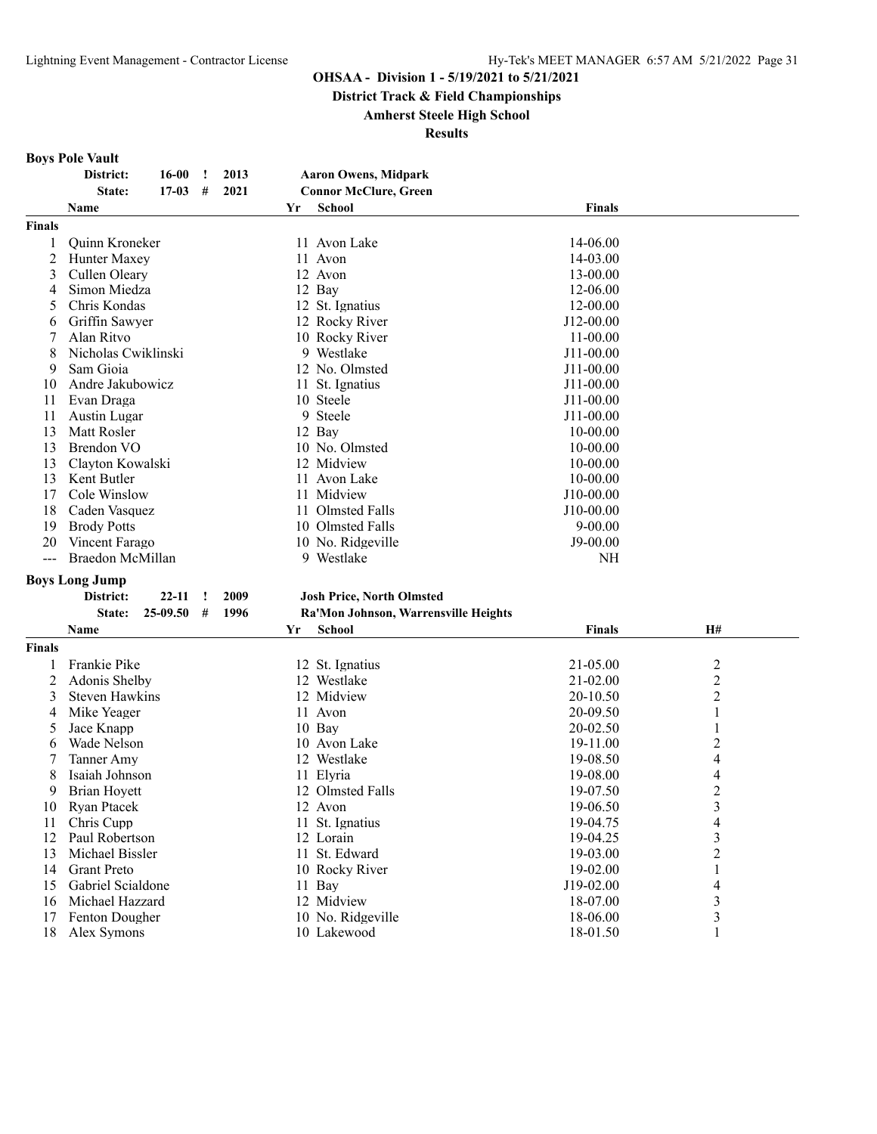**District Track & Field Championships**

#### **Amherst Steele High School**

| <b>Boys Pole Vault</b> |  |  |  |
|------------------------|--|--|--|
|------------------------|--|--|--|

|               | District:             | 16-00     | $\cdot$      | 2013 |    | <b>Aaron Owens, Midpark</b>          |               |                         |  |
|---------------|-----------------------|-----------|--------------|------|----|--------------------------------------|---------------|-------------------------|--|
|               | State:                | $17 - 03$ | #            | 2021 |    | <b>Connor McClure, Green</b>         |               |                         |  |
|               | Name                  |           |              |      | Yr | <b>School</b>                        | <b>Finals</b> |                         |  |
| <b>Finals</b> |                       |           |              |      |    |                                      |               |                         |  |
| 1             | Quinn Kroneker        |           |              |      |    | 11 Avon Lake                         | 14-06.00      |                         |  |
| 2             | Hunter Maxey          |           |              |      |    | 11 Avon                              | 14-03.00      |                         |  |
| 3             | Cullen Oleary         |           |              |      |    | 12 Avon                              | 13-00.00      |                         |  |
| 4             | Simon Miedza          |           |              |      |    | 12 Bay                               | 12-06.00      |                         |  |
| 5             | Chris Kondas          |           |              |      |    | 12 St. Ignatius                      | 12-00.00      |                         |  |
| 6             | Griffin Sawyer        |           |              |      |    | 12 Rocky River                       | J12-00.00     |                         |  |
| 7             | Alan Ritvo            |           |              |      |    | 10 Rocky River                       | $11 - 00.00$  |                         |  |
| 8             | Nicholas Cwiklinski   |           |              |      |    | 9 Westlake                           | J11-00.00     |                         |  |
| 9             | Sam Gioia             |           |              |      |    | 12 No. Olmsted                       | J11-00.00     |                         |  |
| 10            | Andre Jakubowicz      |           |              |      |    | 11 St. Ignatius                      | $J11-00.00$   |                         |  |
| 11            | Evan Draga            |           |              |      |    | 10 Steele                            | J11-00.00     |                         |  |
| 11            | Austin Lugar          |           |              |      |    | 9 Steele                             | J11-00.00     |                         |  |
| 13            |                       |           |              |      |    | 12 Bay                               |               |                         |  |
|               | Matt Rosler           |           |              |      |    |                                      | $10 - 00.00$  |                         |  |
| 13            | <b>Brendon VO</b>     |           |              |      |    | 10 No. Olmsted                       | 10-00.00      |                         |  |
| 13            | Clayton Kowalski      |           |              |      |    | 12 Midview                           | 10-00.00      |                         |  |
| 13            | Kent Butler           |           |              |      |    | 11 Avon Lake                         | $10 - 00.00$  |                         |  |
| 17            | Cole Winslow          |           |              |      |    | 11 Midview                           | J10-00.00     |                         |  |
| 18            | Caden Vasquez         |           |              |      |    | 11 Olmsted Falls                     | J10-00.00     |                         |  |
| 19            | <b>Brody Potts</b>    |           |              |      |    | 10 Olmsted Falls                     | $9 - 00.00$   |                         |  |
| 20            | Vincent Farago        |           |              |      |    | 10 No. Ridgeville                    | J9-00.00      |                         |  |
| $\frac{1}{2}$ | Braedon McMillan      |           |              |      |    | 9 Westlake                           | NH            |                         |  |
|               | <b>Boys Long Jump</b> |           |              |      |    |                                      |               |                         |  |
|               | District:             | $22 - 11$ | $\mathbf{I}$ | 2009 |    | <b>Josh Price, North Olmsted</b>     |               |                         |  |
|               | State:                | 25-09.50  | #            | 1996 |    | Ra'Mon Johnson, Warrensville Heights |               |                         |  |
|               | Name                  |           |              |      | Yr | <b>School</b>                        | <b>Finals</b> | H#                      |  |
| <b>Finals</b> |                       |           |              |      |    |                                      |               |                         |  |
| 1             | Frankie Pike          |           |              |      |    | 12 St. Ignatius                      | 21-05.00      | 2                       |  |
| 2             | Adonis Shelby         |           |              |      |    | 12 Westlake                          | $21 - 02.00$  | $\overline{\mathbf{c}}$ |  |
| 3             | <b>Steven Hawkins</b> |           |              |      |    | 12 Midview                           | 20-10.50      | 2                       |  |
| 4             | Mike Yeager           |           |              |      |    | 11 Avon                              | 20-09.50      | 1                       |  |
| 5             | Jace Knapp            |           |              |      |    | 10 Bay                               | 20-02.50      | 1                       |  |
| 6             | Wade Nelson           |           |              |      |    | 10 Avon Lake                         | 19-11.00      | 2                       |  |
| 7             | Tanner Amy            |           |              |      |    | 12 Westlake                          | 19-08.50      | 4                       |  |
| 8             | Isaiah Johnson        |           |              |      |    | 11 Elyria                            | 19-08.00      | 4                       |  |
| 9             | <b>Brian Hoyett</b>   |           |              |      |    | 12 Olmsted Falls                     | 19-07.50      | $\overline{c}$          |  |
|               |                       |           |              |      |    |                                      |               | 3                       |  |
| 10            | Ryan Ptacek           |           |              |      |    | 12 Avon                              | 19-06.50      |                         |  |
| 11            | Chris Cupp            |           |              |      |    | 11 St. Ignatius                      | 19-04.75      | 4                       |  |
| 12            | Paul Robertson        |           |              |      |    | 12 Lorain                            | 19-04.25      | 3                       |  |
| 13            | Michael Bissler       |           |              |      |    | 11 St. Edward                        | 19-03.00      | 2                       |  |
| 14            | <b>Grant Preto</b>    |           |              |      |    | 10 Rocky River                       | 19-02.00      | 1                       |  |
| 15            | Gabriel Scialdone     |           |              |      |    | 11 Bay                               | J19-02.00     | 4                       |  |
| 16            | Michael Hazzard       |           |              |      |    | 12 Midview                           | 18-07.00      | 3                       |  |
| 17            | Fenton Dougher        |           |              |      |    | 10 No. Ridgeville                    | 18-06.00      | 3                       |  |
| 18            | Alex Symons           |           |              |      |    | 10 Lakewood                          | 18-01.50      |                         |  |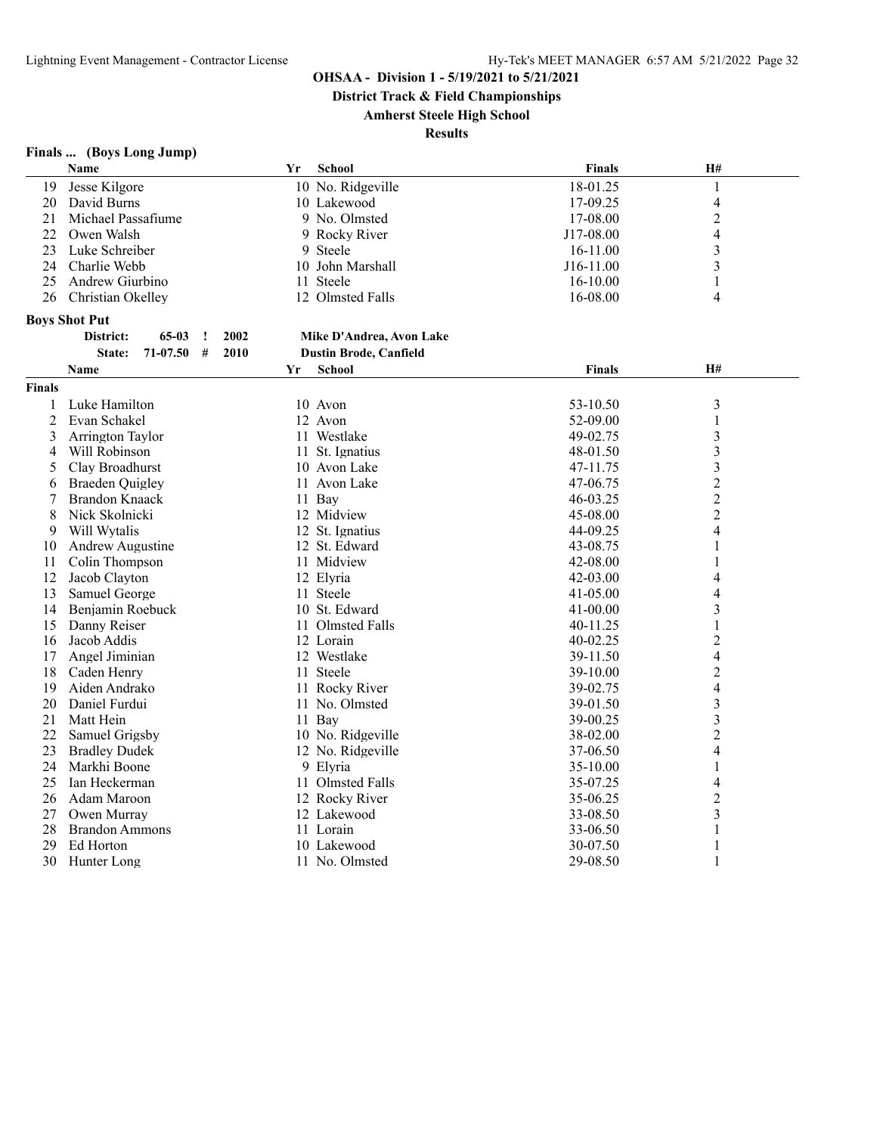**District Track & Field Championships**

**Amherst Steele High School**

**Results**

# **Finals ... (Boys Long Jump)**

|               | <b>Name</b>                          | Yr | <b>School</b>                 | <b>Finals</b>        | H#                      |  |
|---------------|--------------------------------------|----|-------------------------------|----------------------|-------------------------|--|
| 19            | Jesse Kilgore                        |    | 10 No. Ridgeville             | 18-01.25             | 1                       |  |
| 20            | David Burns                          |    | 10 Lakewood                   | 17-09.25             | 4                       |  |
| 21            | Michael Passafiume                   |    | 9 No. Olmsted                 | 17-08.00             | $\overline{c}$          |  |
| 22            | Owen Walsh                           |    | 9 Rocky River                 | J17-08.00            | 4                       |  |
| 23            | Luke Schreiber                       |    | 9 Steele                      | 16-11.00             | 3                       |  |
| 24            | Charlie Webb                         |    | 10 John Marshall              | J16-11.00            | 3                       |  |
| 25            | Andrew Giurbino                      |    | 11 Steele                     | 16-10.00             | 1                       |  |
| 26            | Christian Okelley                    |    | 12 Olmsted Falls              | 16-08.00             | $\overline{4}$          |  |
|               | <b>Boys Shot Put</b>                 |    |                               |                      |                         |  |
|               | 2002<br>District:<br>$65-03$<br>1    |    | Mike D'Andrea, Avon Lake      |                      |                         |  |
|               | 71-07.50<br>#<br>2010<br>State:      |    | <b>Dustin Brode, Canfield</b> |                      |                         |  |
|               | Name                                 | Yr | <b>School</b>                 | <b>Finals</b>        | H#                      |  |
| <b>Finals</b> |                                      |    |                               |                      |                         |  |
| 1             | Luke Hamilton                        |    | 10 Avon                       | 53-10.50             | 3                       |  |
| 2             | Evan Schakel                         |    | 12 Avon                       | 52-09.00             | 1                       |  |
| 3             | Arrington Taylor                     |    | 11 Westlake                   | 49-02.75             | 3                       |  |
| 4             | Will Robinson                        |    | 11 St. Ignatius               | 48-01.50             | 3                       |  |
| 5             | Clay Broadhurst                      |    | 10 Avon Lake                  | 47-11.75             | 3                       |  |
| 6             | <b>Braeden Quigley</b>               |    | 11 Avon Lake                  | 47-06.75             | $\overline{c}$          |  |
| 7             | Brandon Knaack                       |    | 11 Bay                        | 46-03.25             | $\overline{c}$          |  |
| 8             | Nick Skolnicki                       |    | 12 Midview                    | 45-08.00             | $\overline{c}$          |  |
| 9             | Will Wytalis                         |    | 12 St. Ignatius               | 44-09.25             | 4                       |  |
| 10            | Andrew Augustine                     |    | 12 St. Edward                 | 43-08.75             | 1                       |  |
| 11            | Colin Thompson                       |    | 11 Midview                    | 42-08.00             |                         |  |
| 12            | Jacob Clayton                        |    | 12 Elyria                     | 42-03.00             | 4                       |  |
| 13            | Samuel George                        |    | 11 Steele                     | 41-05.00             | 4                       |  |
| 14            | Benjamin Roebuck                     |    | 10 St. Edward                 | 41-00.00             | 3                       |  |
| 15            | Danny Reiser                         |    | 11 Olmsted Falls              | 40-11.25             | 1                       |  |
| 16            | Jacob Addis                          |    | 12 Lorain                     | $40 - 02.25$         | $\overline{2}$          |  |
|               | Angel Jiminian                       |    | 12 Westlake                   |                      |                         |  |
| 17<br>18      | Caden Henry                          |    | 11 Steele                     | 39-11.50<br>39-10.00 | 4<br>$\overline{c}$     |  |
| 19            | Aiden Andrako                        |    | 11 Rocky River                | 39-02.75             | 4                       |  |
| 20            | Daniel Furdui                        |    | 11 No. Olmsted                | 39-01.50             | 3                       |  |
| 21            | Matt Hein                            |    | 11 Bay                        | 39-00.25             | $\overline{\mathbf{3}}$ |  |
| 22            | Samuel Grigsby                       |    | 10 No. Ridgeville             | 38-02.00             | $\overline{c}$          |  |
| 23            |                                      |    | 12 No. Ridgeville             |                      |                         |  |
| 24            | <b>Bradley Dudek</b><br>Markhi Boone |    | 9 Elyria                      | 37-06.50             | 4                       |  |
| 25            |                                      |    |                               | 35-10.00             | 1<br>4                  |  |
|               | Ian Heckerman                        |    | 11 Olmsted Falls              | 35-07.25             |                         |  |
| 26            | Adam Maroon                          |    | 12 Rocky River                | 35-06.25             | $\overline{2}$          |  |
| 27<br>28      | Owen Murray                          |    | 12 Lakewood<br>11 Lorain      | 33-08.50             | 3                       |  |
|               | <b>Brandon Ammons</b>                |    |                               | 33-06.50             | $\mathbf{1}$            |  |
| 29            | Ed Horton                            |    | 10 Lakewood                   | 30-07.50             | 1<br>1                  |  |
| 30            | Hunter Long                          |    | 11 No. Olmsted                | 29-08.50             |                         |  |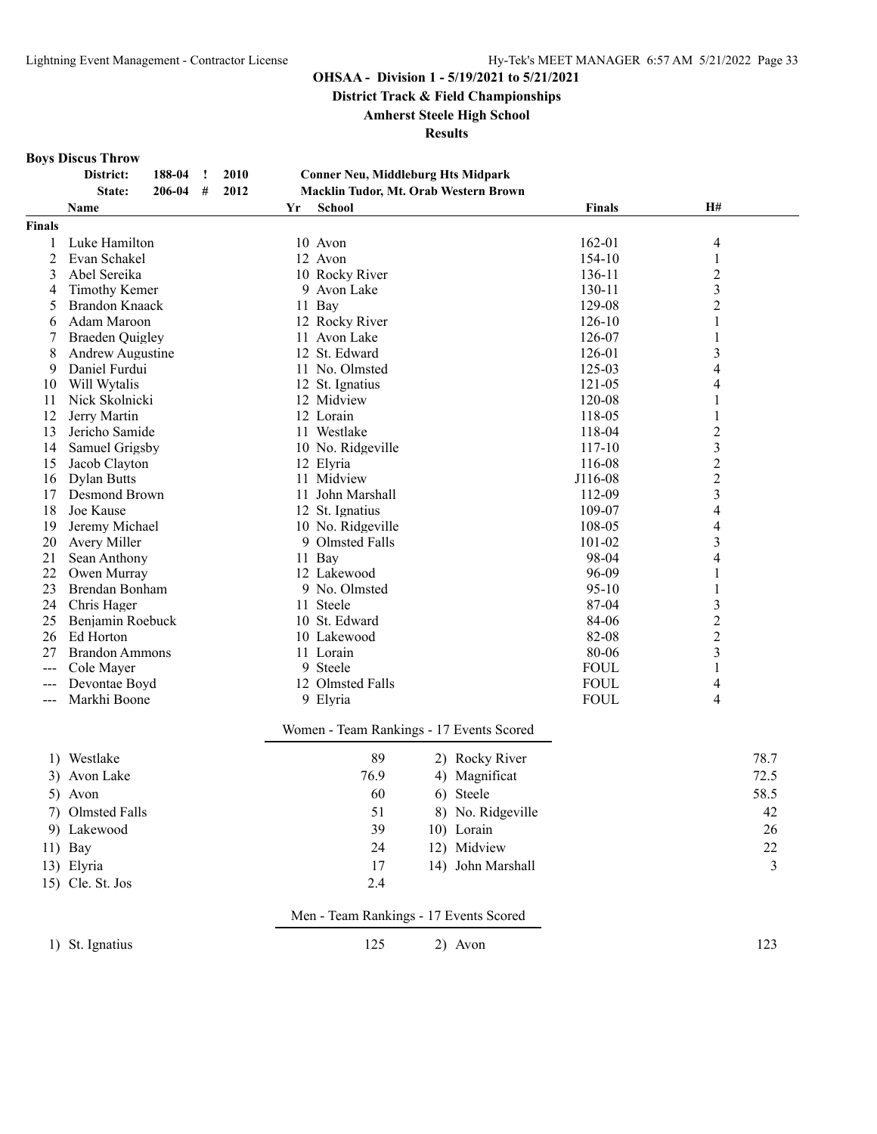**District Track & Field Championships**

**Amherst Steele High School**

**Results**

#### **Boys Discus Throw**

| District: | 188-04 ! 2010 |           |  |
|-----------|---------------|-----------|--|
| State:    | 206-04        | $\#$ 2012 |  |

#### **District: 188-04 ! 2010 Conner Neu, Middleburg Hts Midpark State: 206-04 # 2012 Macklin Tudor, Mt. Orab Western Brown**

|               | Name                        | Yr | School                                   |    |                   | <b>Finals</b>  | <b>H#</b>        |      |
|---------------|-----------------------------|----|------------------------------------------|----|-------------------|----------------|------------------|------|
| <b>Finals</b> |                             |    |                                          |    |                   |                |                  |      |
| 1             | Luke Hamilton               |    | 10 Avon                                  |    |                   | 162-01         | 4                |      |
| 2             | Evan Schakel                |    | 12 Avon                                  |    |                   | 154-10         | 1                |      |
| 3             | Abel Sereika                |    | 10 Rocky River                           |    |                   | 136-11         | $\overline{c}$   |      |
| 4             | <b>Timothy Kemer</b>        |    | 9 Avon Lake                              |    |                   | 130-11         | 3                |      |
| 5             | <b>Brandon Knaack</b>       |    | 11 Bay                                   |    |                   | 129-08         | $\overline{c}$   |      |
| 6             | Adam Maroon                 |    | 12 Rocky River                           |    |                   | 126-10         | 1                |      |
| 7             | <b>Braeden Quigley</b>      |    | 11 Avon Lake                             |    |                   | 126-07         | 1                |      |
| 8             | Andrew Augustine            |    | 12 St. Edward                            |    |                   | 126-01         | 3                |      |
| 9             | Daniel Furdui               |    | 11 No. Olmsted                           |    |                   | 125-03         | 4                |      |
| 10            | Will Wytalis                |    | 12 St. Ignatius                          |    |                   | 121-05         | 4                |      |
| 11            | Nick Skolnicki              |    | 12 Midview                               |    |                   | 120-08         | 1                |      |
| 12            | Jerry Martin                |    | 12 Lorain                                |    |                   | 118-05         | 1                |      |
| 13            | Jericho Samide              |    | 11 Westlake                              |    |                   | 118-04         | $\overline{c}$   |      |
| 14            | Samuel Grigsby              |    | 10 No. Ridgeville                        |    |                   | 117-10         | 3                |      |
| 15            | Jacob Clayton               |    | 12 Elyria                                |    |                   | 116-08         | $\boldsymbol{2}$ |      |
| 16            | <b>Dylan Butts</b>          |    | 11 Midview                               |    |                   | J116-08        | $\overline{c}$   |      |
| 17            | Desmond Brown               |    | 11 John Marshall                         |    |                   | 112-09         | 3                |      |
| 18            | Joe Kause                   |    | 12 St. Ignatius                          |    |                   | 109-07         | 4                |      |
| 19            | Jeremy Michael              |    | 10 No. Ridgeville                        |    |                   | 108-05         | 4                |      |
| 20            | Avery Miller                |    | 9 Olmsted Falls                          |    |                   | 101-02         | 3                |      |
| 21            | Sean Anthony                |    | 11 Bay                                   |    |                   | 98-04          | 4                |      |
| 22            | Owen Murray                 |    | 12 Lakewood                              |    |                   | 96-09          | 1                |      |
| 23            | Brendan Bonham              |    | 9 No. Olmsted                            |    |                   | $95-10$        | 1                |      |
| 24            | Chris Hager                 |    | 11 Steele                                |    |                   | 87-04          | 3                |      |
| 25            | Benjamin Roebuck            |    | 10 St. Edward                            |    |                   | 84-06          | $\overline{c}$   |      |
| 26            | Ed Horton                   |    | 10 Lakewood                              |    |                   | 82-08<br>80-06 | $\mathbf{2}$     |      |
| 27            | <b>Brandon Ammons</b>       |    | 11 Lorain<br>9 Steele                    |    |                   | <b>FOUL</b>    | 3                |      |
|               | Cole Mayer<br>Devontae Boyd |    | 12 Olmsted Falls                         |    |                   | <b>FOUL</b>    | 1                |      |
| ---           | Markhi Boone                |    | 9 Elyria                                 |    |                   | <b>FOUL</b>    | 4<br>4           |      |
| ---           |                             |    |                                          |    |                   |                |                  |      |
|               |                             |    | Women - Team Rankings - 17 Events Scored |    |                   |                |                  |      |
|               | 1) Westlake                 |    | 89                                       |    | 2) Rocky River    |                |                  | 78.7 |
|               | 3) Avon Lake                |    | 76.9                                     |    | 4) Magnificat     |                |                  | 72.5 |
|               | 5) Avon                     |    | 60                                       | 6) | Steele            |                |                  | 58.5 |
| 7)            | Olmsted Falls               |    | 51                                       |    | 8) No. Ridgeville |                |                  | 42   |
|               | 9) Lakewood                 |    | 39                                       |    | 10) Lorain        |                |                  | 26   |
|               |                             |    |                                          |    |                   |                |                  |      |
|               | $11)$ Bay                   |    | 24                                       |    | 12) Midview       |                |                  | 22   |
|               | 13) Elyria                  |    | 17                                       |    | 14) John Marshall |                |                  | 3    |
|               | 15) Cle. St. Jos            |    | 2.4                                      |    |                   |                |                  |      |
|               |                             |    | Men - Team Rankings - 17 Events Scored   |    |                   |                |                  |      |
|               | 1) St. Ignatius             |    | 125                                      |    | 2) Avon           |                |                  | 123  |